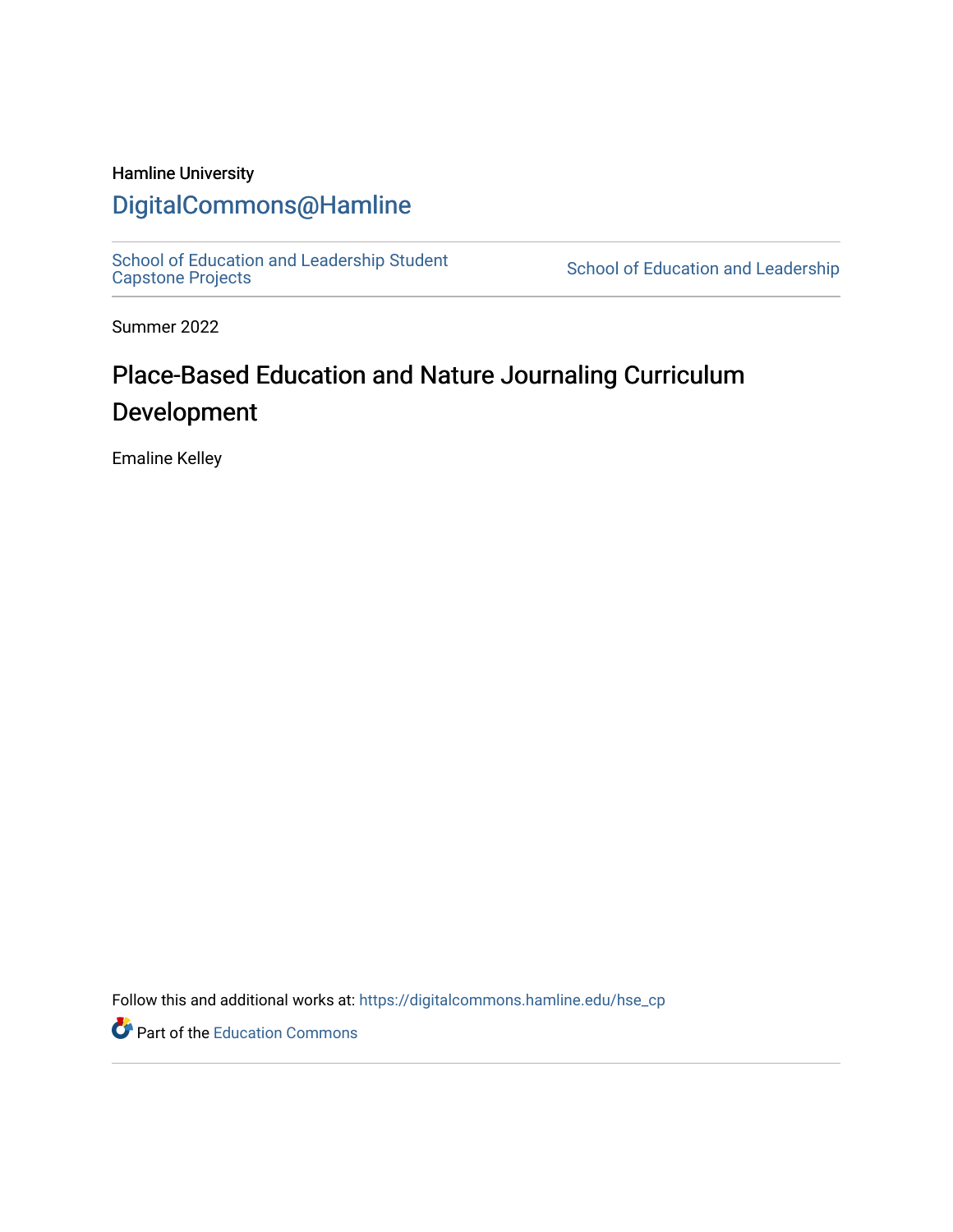### Hamline University

## [DigitalCommons@Hamline](https://digitalcommons.hamline.edu/)

[School of Education and Leadership Student](https://digitalcommons.hamline.edu/hse_cp)<br>Capstone Projects

School of Education and Leadership

Summer 2022

# Place-Based Education and Nature Journaling Curriculum Development

Emaline Kelley

Follow this and additional works at: [https://digitalcommons.hamline.edu/hse\\_cp](https://digitalcommons.hamline.edu/hse_cp?utm_source=digitalcommons.hamline.edu%2Fhse_cp%2F805&utm_medium=PDF&utm_campaign=PDFCoverPages) 

Part of the [Education Commons](https://network.bepress.com/hgg/discipline/784?utm_source=digitalcommons.hamline.edu%2Fhse_cp%2F805&utm_medium=PDF&utm_campaign=PDFCoverPages)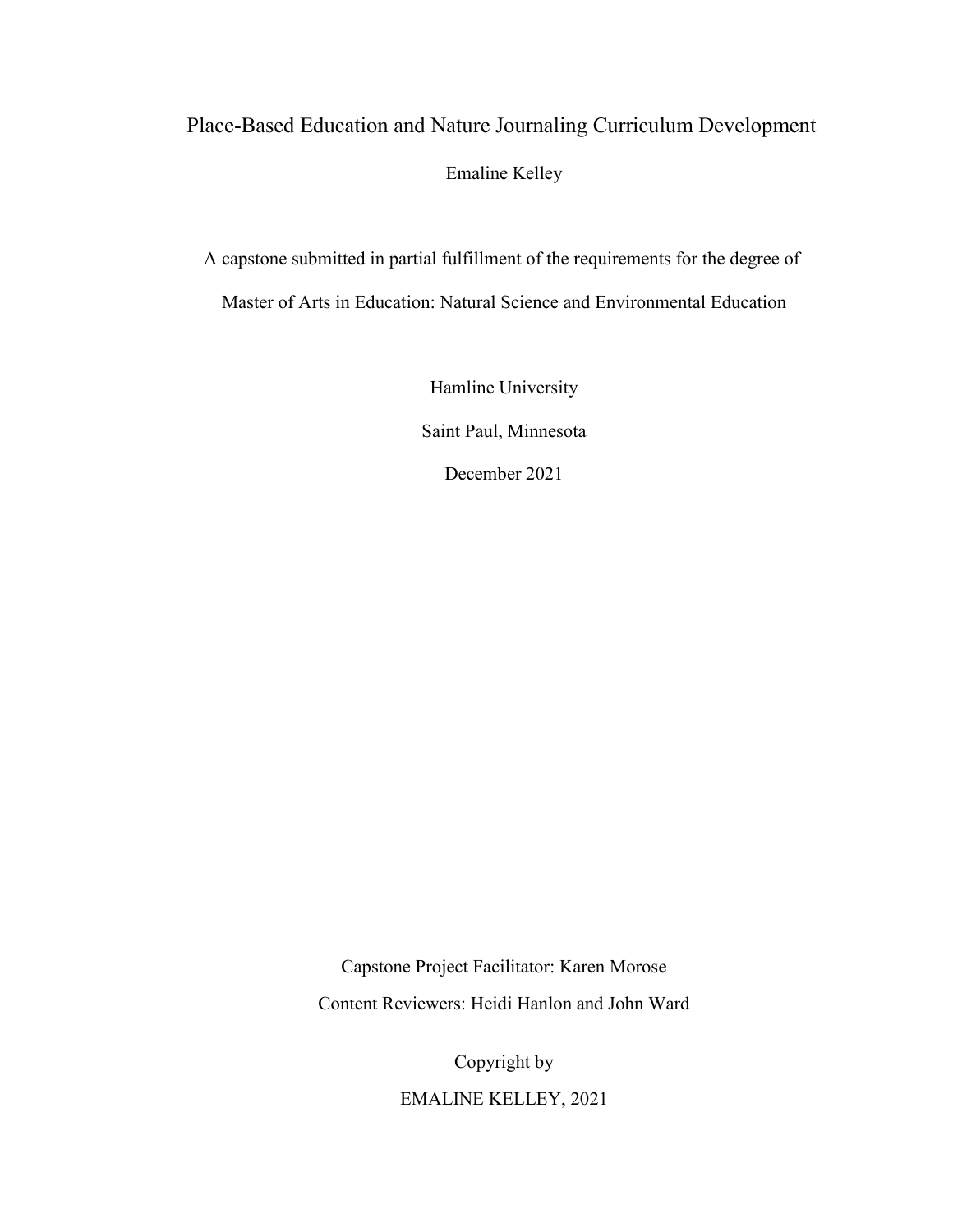# Place-Based Education and Nature Journaling Curriculum Development Emaline Kelley

A capstone submitted in partial fulfillment of the requirements for the degree of Master of Arts in Education: Natural Science and Environmental Education

Hamline University

Saint Paul, Minnesota

December 2021

Capstone Project Facilitator: Karen Morose Content Reviewers: Heidi Hanlon and John Ward

> Copyright by EMALINE KELLEY, 2021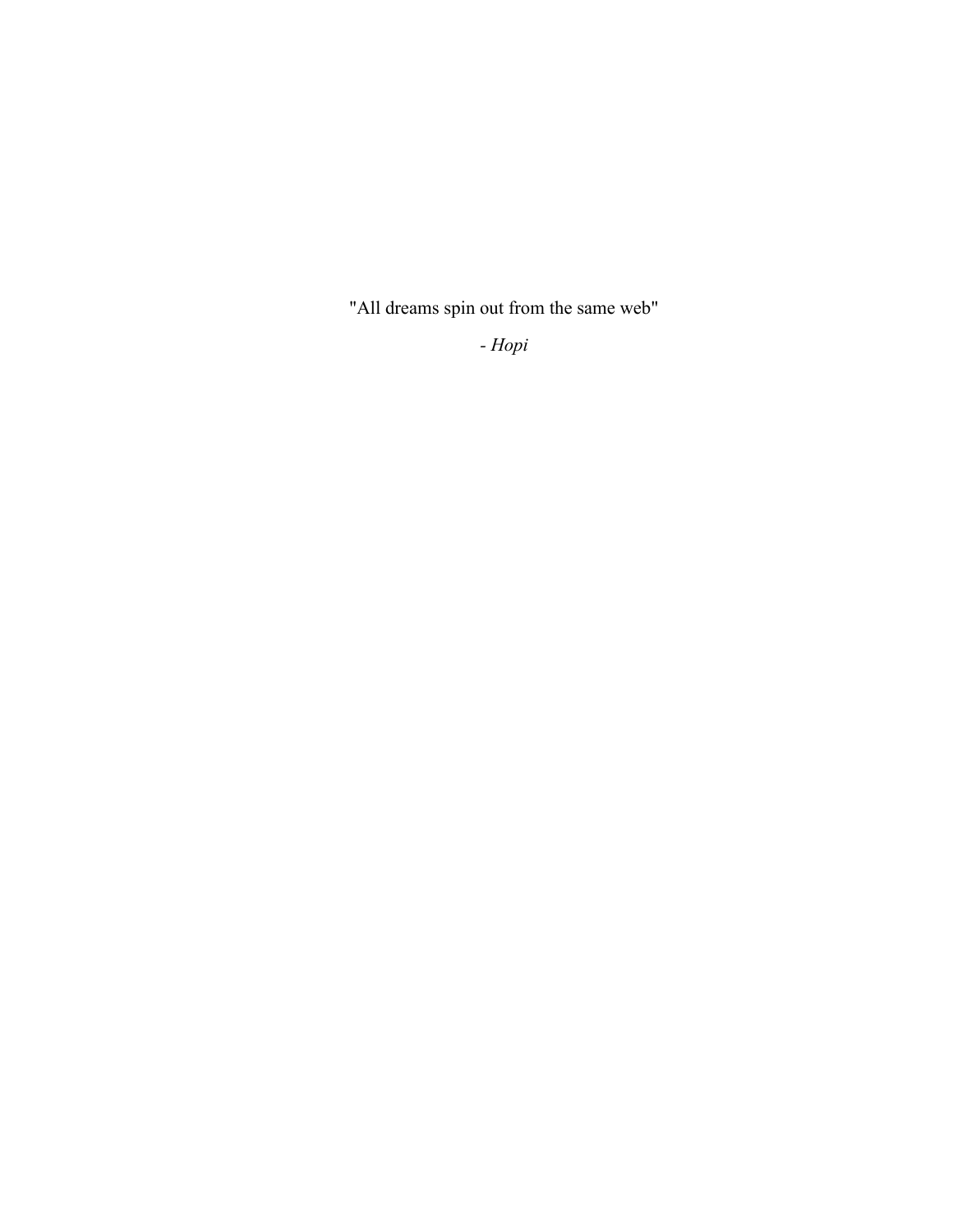"All dreams spin out from the same web"

*- Hopi*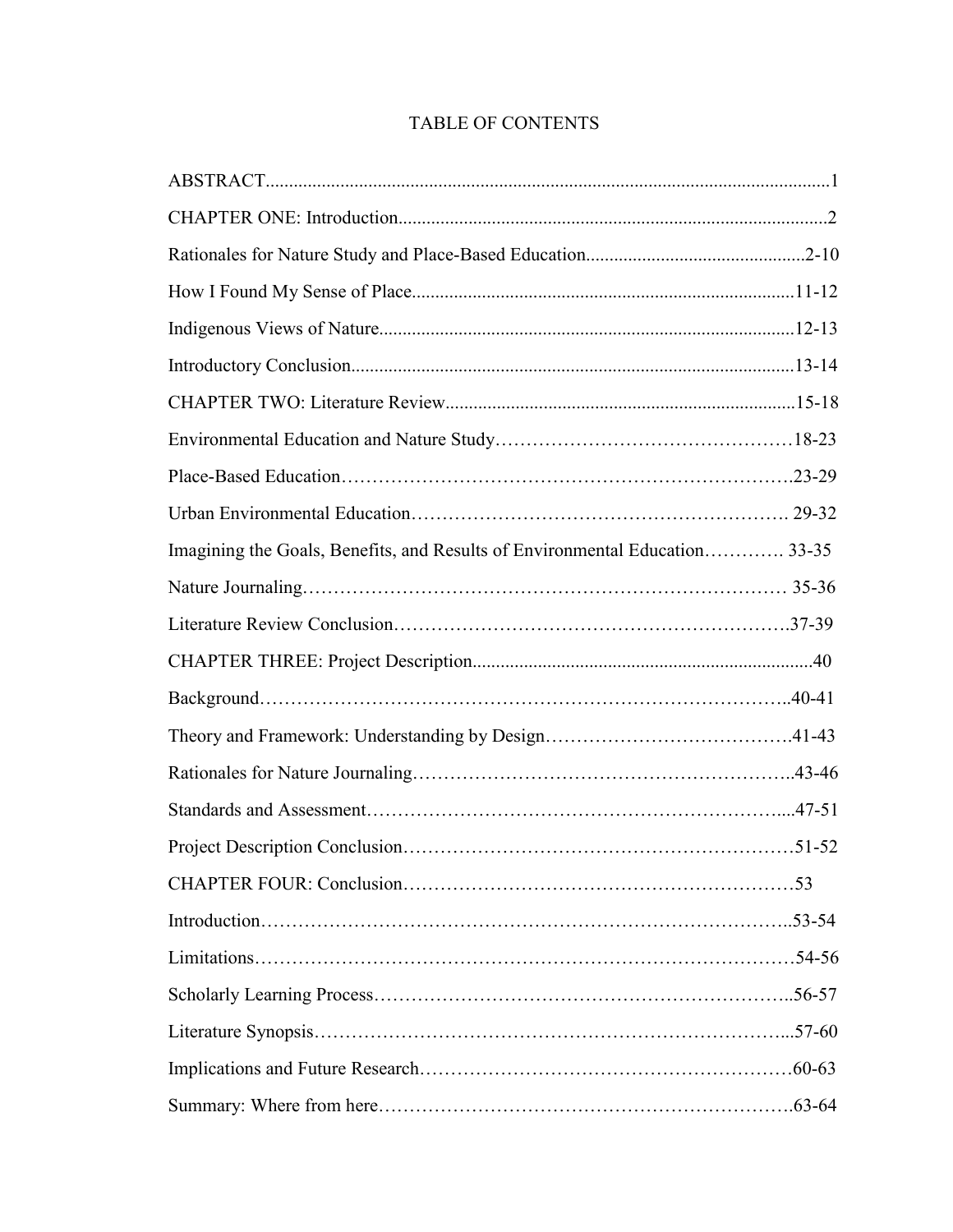### TABLE OF CONTENTS

| Imagining the Goals, Benefits, and Results of Environmental Education 33-35 |  |
|-----------------------------------------------------------------------------|--|
|                                                                             |  |
|                                                                             |  |
|                                                                             |  |
|                                                                             |  |
|                                                                             |  |
|                                                                             |  |
|                                                                             |  |
|                                                                             |  |
|                                                                             |  |
|                                                                             |  |
|                                                                             |  |
|                                                                             |  |
|                                                                             |  |
|                                                                             |  |
|                                                                             |  |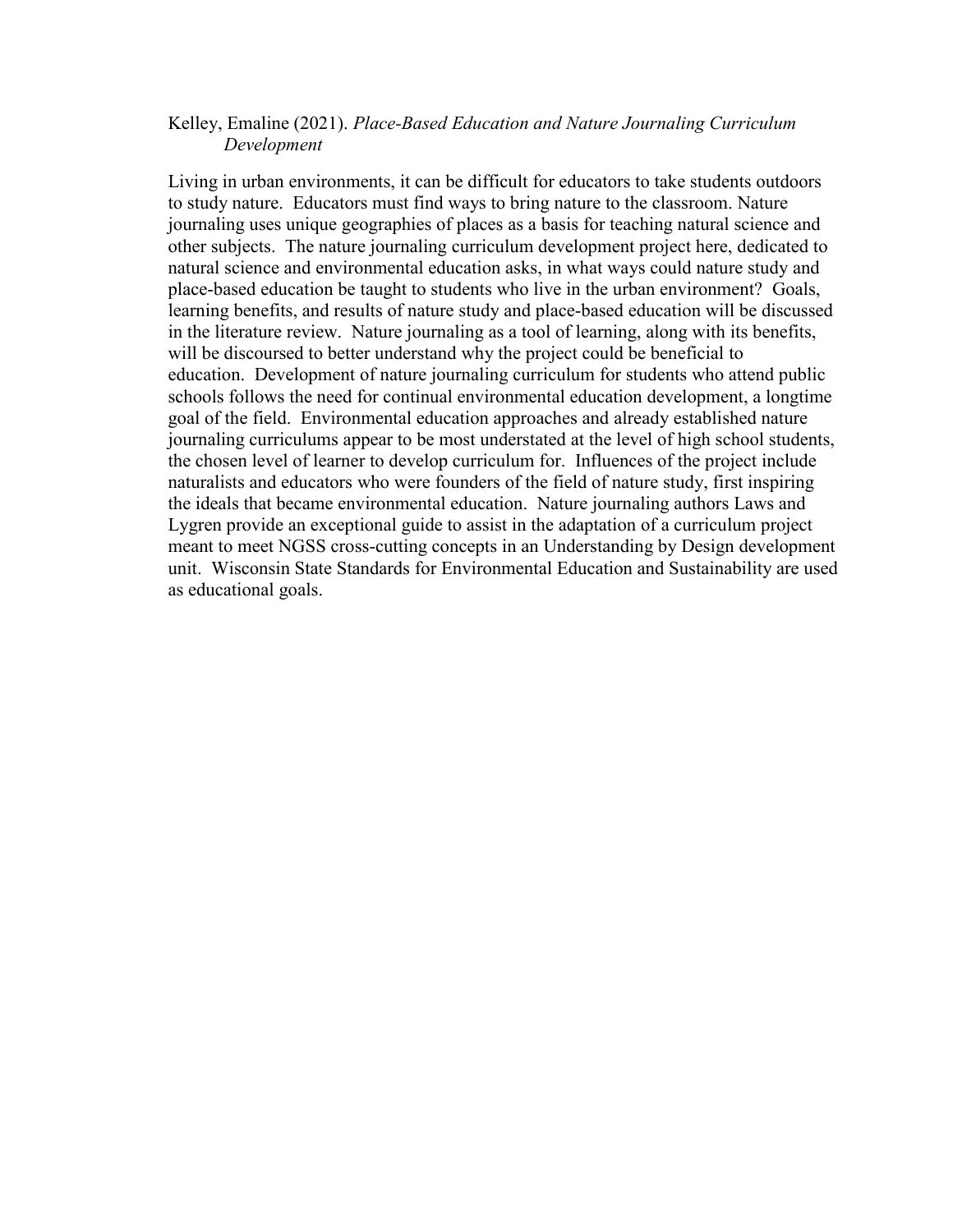#### Kelley, Emaline (2021). *Place-Based Education and Nature Journaling Curriculum Development*

Living in urban environments, it can be difficult for educators to take students outdoors to study nature. Educators must find ways to bring nature to the classroom. Nature journaling uses unique geographies of places as a basis for teaching natural science and other subjects. The nature journaling curriculum development project here, dedicated to natural science and environmental education asks, in what ways could nature study and place-based education be taught to students who live in the urban environment? Goals, learning benefits, and results of nature study and place-based education will be discussed in the literature review. Nature journaling as a tool of learning, along with its benefits, will be discoursed to better understand why the project could be beneficial to education. Development of nature journaling curriculum for students who attend public schools follows the need for continual environmental education development, a longtime goal of the field. Environmental education approaches and already established nature journaling curriculums appear to be most understated at the level of high school students, the chosen level of learner to develop curriculum for. Influences of the project include naturalists and educators who were founders of the field of nature study, first inspiring the ideals that became environmental education. Nature journaling authors Laws and Lygren provide an exceptional guide to assist in the adaptation of a curriculum project meant to meet NGSS cross-cutting concepts in an Understanding by Design development unit. Wisconsin State Standards for Environmental Education and Sustainability are used as educational goals.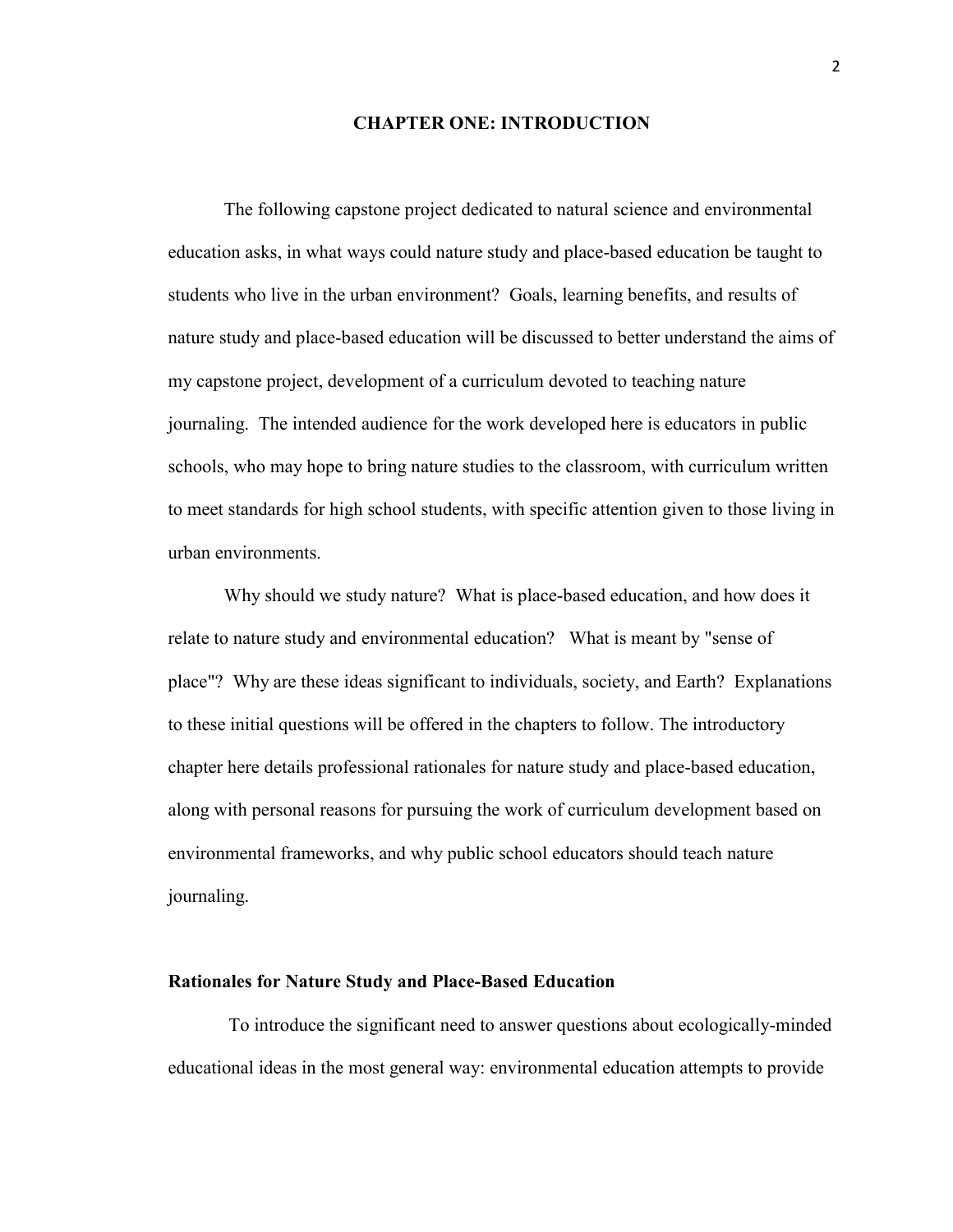#### **CHAPTER ONE: INTRODUCTION**

The following capstone project dedicated to natural science and environmental education asks, in what ways could nature study and place-based education be taught to students who live in the urban environment? Goals, learning benefits, and results of nature study and place-based education will be discussed to better understand the aims of my capstone project, development of a curriculum devoted to teaching nature journaling. The intended audience for the work developed here is educators in public schools, who may hope to bring nature studies to the classroom, with curriculum written to meet standards for high school students, with specific attention given to those living in urban environments.

Why should we study nature? What is place-based education, and how does it relate to nature study and environmental education? What is meant by "sense of place"? Why are these ideas significant to individuals, society, and Earth? Explanations to these initial questions will be offered in the chapters to follow. The introductory chapter here details professional rationales for nature study and place-based education, along with personal reasons for pursuing the work of curriculum development based on environmental frameworks, and why public school educators should teach nature journaling.

#### **Rationales for Nature Study and Place-Based Education**

To introduce the significant need to answer questions about ecologically-minded educational ideas in the most general way: environmental education attempts to provide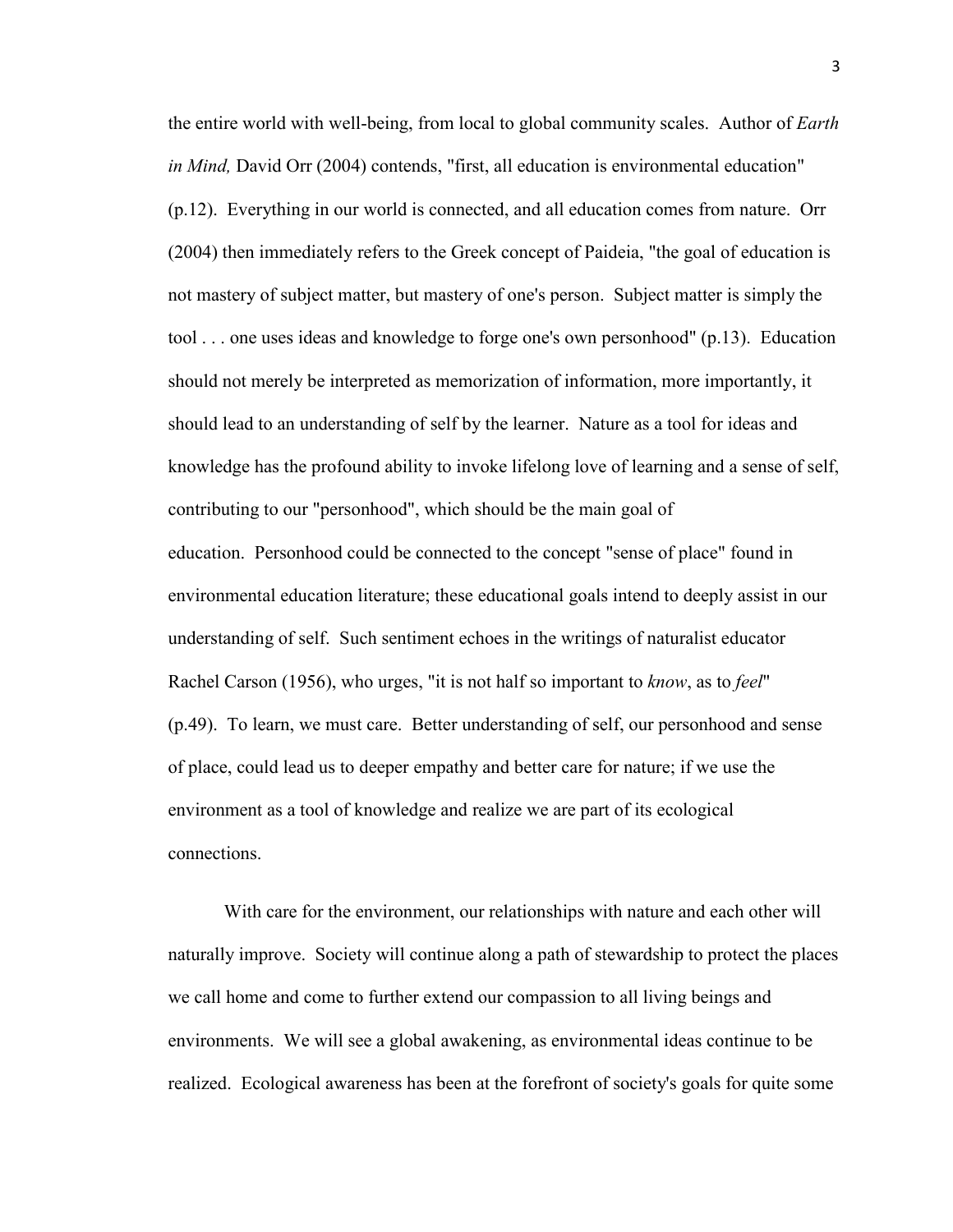the entire world with well-being, from local to global community scales. Author of *Earth in Mind,* David Orr (2004) contends, "first, all education is environmental education" (p.12). Everything in our world is connected, and all education comes from nature. Orr (2004) then immediately refers to the Greek concept of Paideia, "the goal of education is not mastery of subject matter, but mastery of one's person. Subject matter is simply the tool . . . one uses ideas and knowledge to forge one's own personhood" (p.13). Education should not merely be interpreted as memorization of information, more importantly, it should lead to an understanding of self by the learner. Nature as a tool for ideas and knowledge has the profound ability to invoke lifelong love of learning and a sense of self, contributing to our "personhood", which should be the main goal of education. Personhood could be connected to the concept "sense of place" found in environmental education literature; these educational goals intend to deeply assist in our understanding of self. Such sentiment echoes in the writings of naturalist educator Rachel Carson (1956), who urges, "it is not half so important to *know*, as to *feel*" (p.49). To learn, we must care. Better understanding of self, our personhood and sense of place, could lead us to deeper empathy and better care for nature; if we use the environment as a tool of knowledge and realize we are part of its ecological connections.

With care for the environment, our relationships with nature and each other will naturally improve. Society will continue along a path of stewardship to protect the places we call home and come to further extend our compassion to all living beings and environments. We will see a global awakening, as environmental ideas continue to be realized. Ecological awareness has been at the forefront of society's goals for quite some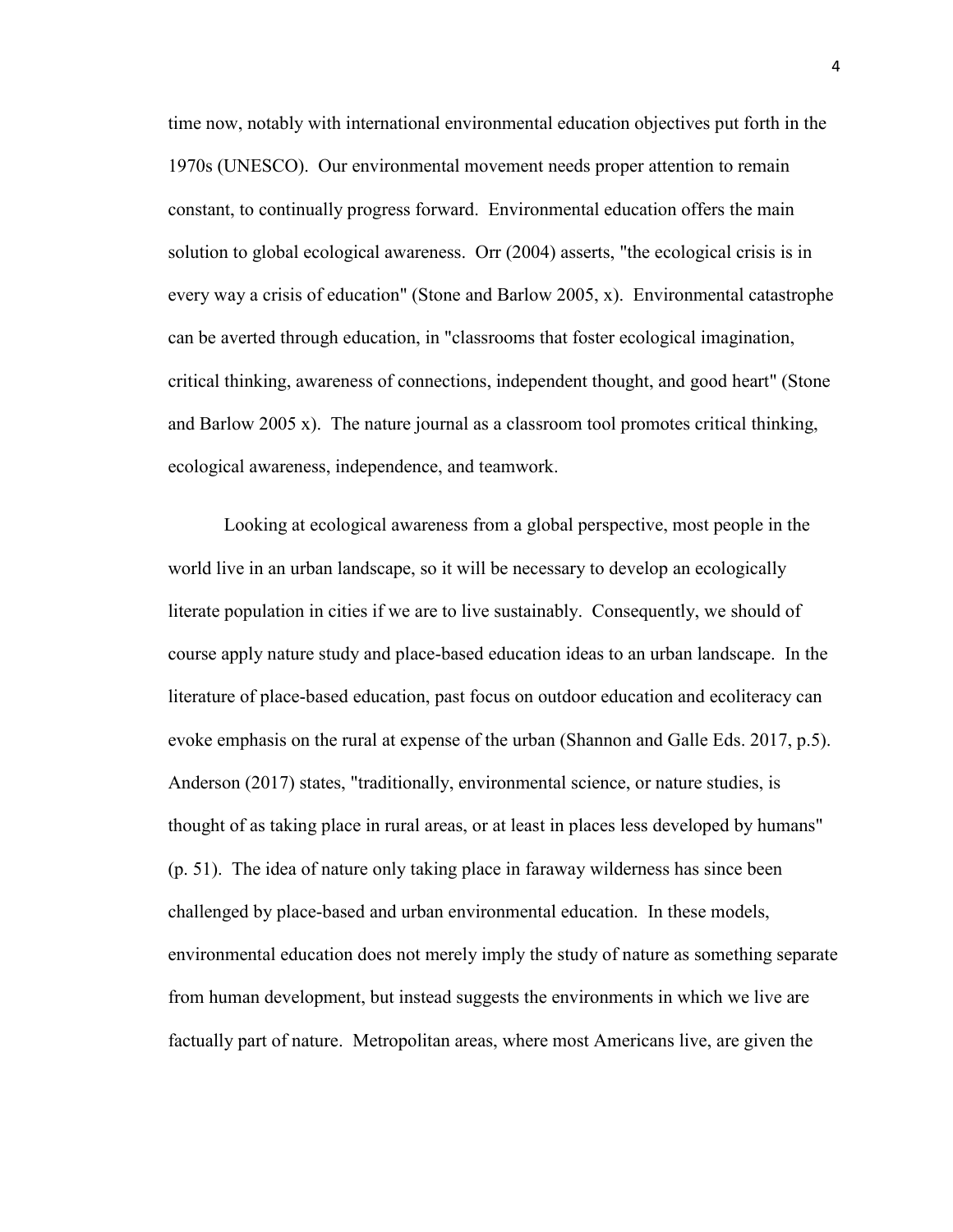time now, notably with international environmental education objectives put forth in the 1970s (UNESCO). Our environmental movement needs proper attention to remain constant, to continually progress forward. Environmental education offers the main solution to global ecological awareness. Orr (2004) asserts, "the ecological crisis is in every way a crisis of education" (Stone and Barlow 2005, x). Environmental catastrophe can be averted through education, in "classrooms that foster ecological imagination, critical thinking, awareness of connections, independent thought, and good heart" (Stone and Barlow 2005 x). The nature journal as a classroom tool promotes critical thinking, ecological awareness, independence, and teamwork.

Looking at ecological awareness from a global perspective, most people in the world live in an urban landscape, so it will be necessary to develop an ecologically literate population in cities if we are to live sustainably. Consequently, we should of course apply nature study and place-based education ideas to an urban landscape. In the literature of place-based education, past focus on outdoor education and ecoliteracy can evoke emphasis on the rural at expense of the urban (Shannon and Galle Eds. 2017, p.5). Anderson (2017) states, "traditionally, environmental science, or nature studies, is thought of as taking place in rural areas, or at least in places less developed by humans" (p. 51). The idea of nature only taking place in faraway wilderness has since been challenged by place-based and urban environmental education. In these models, environmental education does not merely imply the study of nature as something separate from human development, but instead suggests the environments in which we live are factually part of nature. Metropolitan areas, where most Americans live, are given the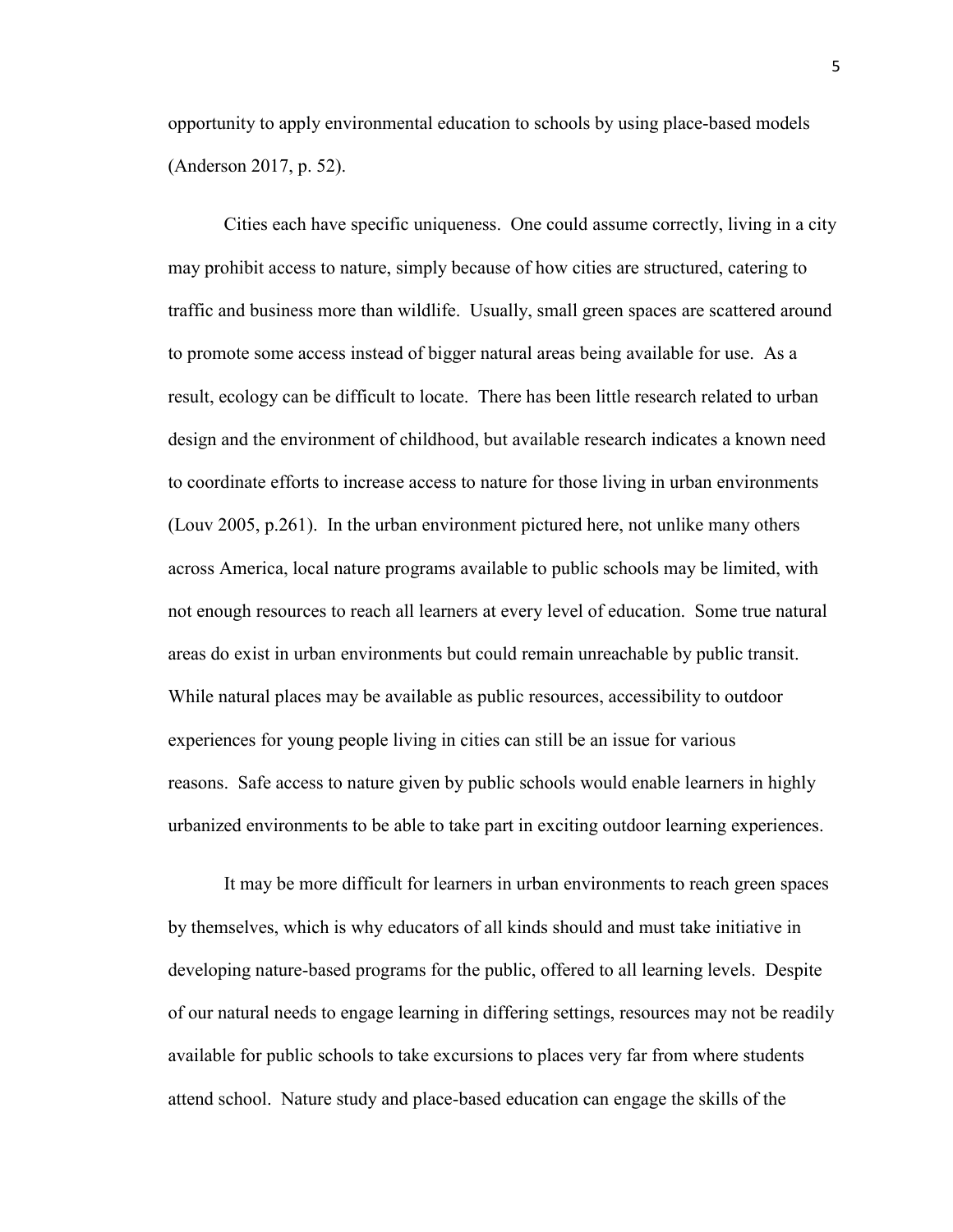opportunity to apply environmental education to schools by using place-based models (Anderson 2017, p. 52).

Cities each have specific uniqueness. One could assume correctly, living in a city may prohibit access to nature, simply because of how cities are structured, catering to traffic and business more than wildlife. Usually, small green spaces are scattered around to promote some access instead of bigger natural areas being available for use. As a result, ecology can be difficult to locate. There has been little research related to urban design and the environment of childhood, but available research indicates a known need to coordinate efforts to increase access to nature for those living in urban environments (Louv 2005, p.261). In the urban environment pictured here, not unlike many others across America, local nature programs available to public schools may be limited, with not enough resources to reach all learners at every level of education. Some true natural areas do exist in urban environments but could remain unreachable by public transit. While natural places may be available as public resources, accessibility to outdoor experiences for young people living in cities can still be an issue for various reasons. Safe access to nature given by public schools would enable learners in highly urbanized environments to be able to take part in exciting outdoor learning experiences.

It may be more difficult for learners in urban environments to reach green spaces by themselves, which is why educators of all kinds should and must take initiative in developing nature-based programs for the public, offered to all learning levels. Despite of our natural needs to engage learning in differing settings, resources may not be readily available for public schools to take excursions to places very far from where students attend school. Nature study and place-based education can engage the skills of the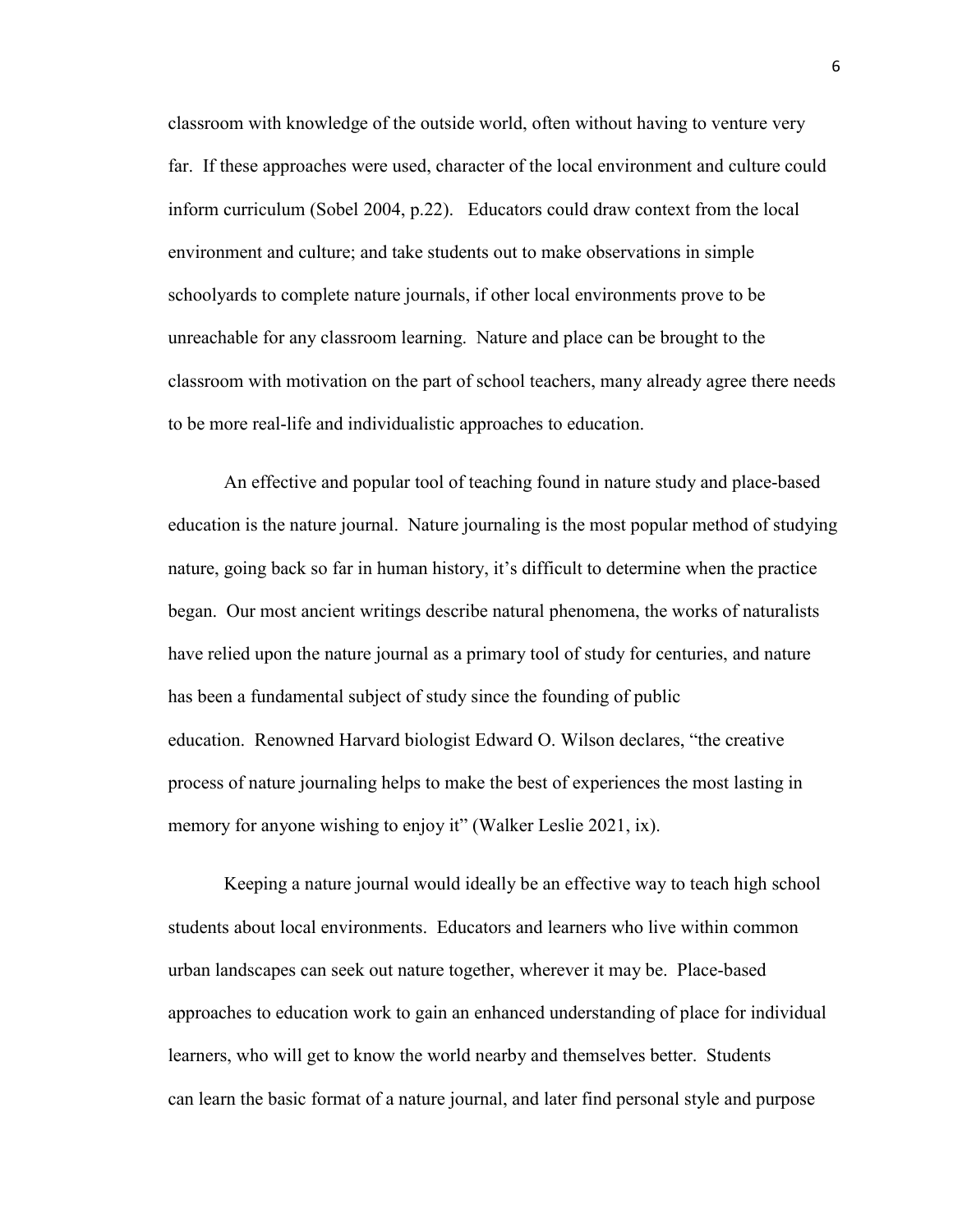classroom with knowledge of the outside world, often without having to venture very far. If these approaches were used, character of the local environment and culture could inform curriculum (Sobel 2004, p.22). Educators could draw context from the local environment and culture; and take students out to make observations in simple schoolyards to complete nature journals, if other local environments prove to be unreachable for any classroom learning. Nature and place can be brought to the classroom with motivation on the part of school teachers, many already agree there needs to be more real-life and individualistic approaches to education.

An effective and popular tool of teaching found in nature study and place-based education is the nature journal. Nature journaling is the most popular method of studying nature, going back so far in human history, it's difficult to determine when the practice began. Our most ancient writings describe natural phenomena, the works of naturalists have relied upon the nature journal as a primary tool of study for centuries, and nature has been a fundamental subject of study since the founding of public education. Renowned Harvard biologist Edward O. Wilson declares, "the creative process of nature journaling helps to make the best of experiences the most lasting in memory for anyone wishing to enjoy it" (Walker Leslie 2021, ix).

Keeping a nature journal would ideally be an effective way to teach high school students about local environments. Educators and learners who live within common urban landscapes can seek out nature together, wherever it may be. Place-based approaches to education work to gain an enhanced understanding of place for individual learners, who will get to know the world nearby and themselves better. Students can learn the basic format of a nature journal, and later find personal style and purpose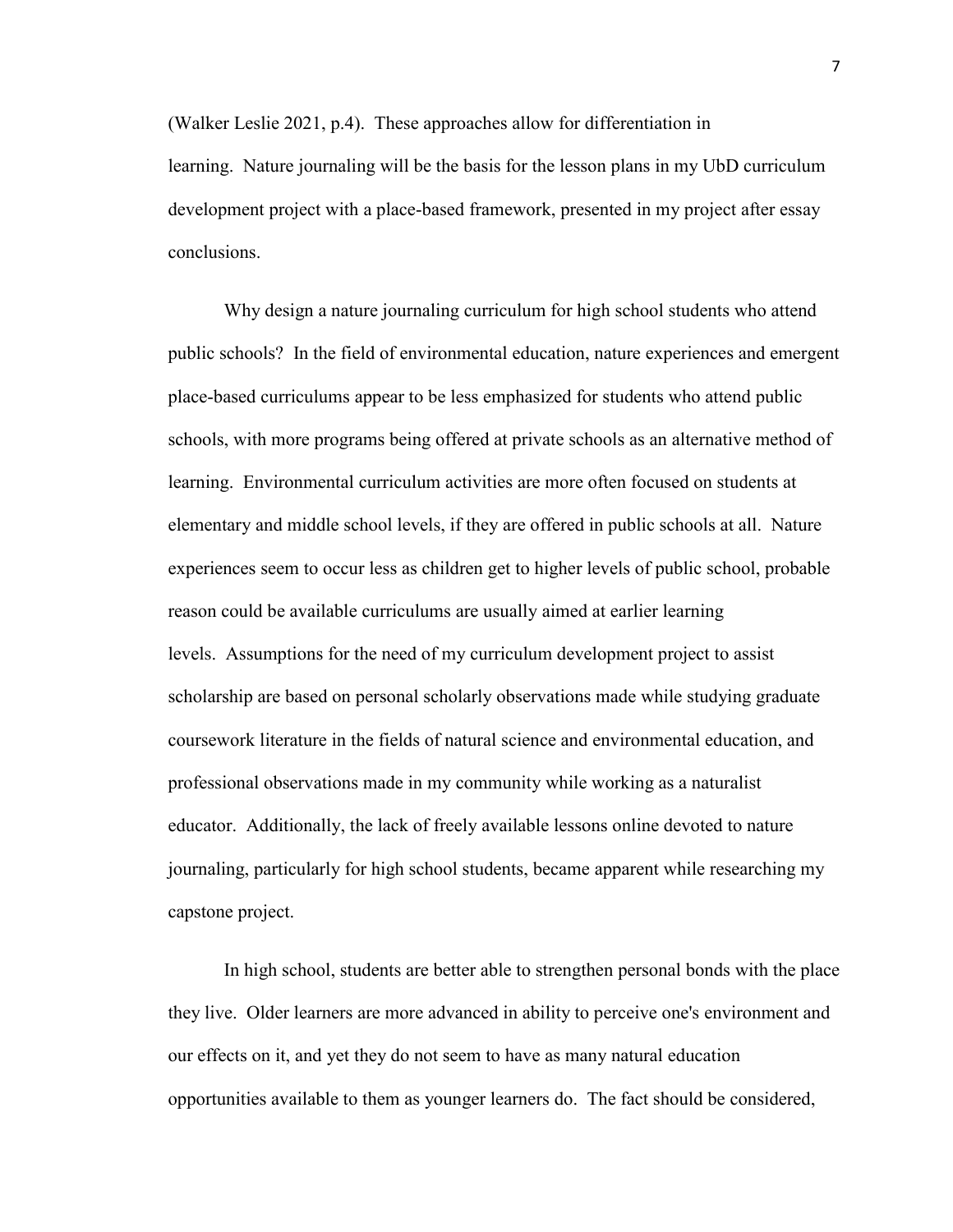(Walker Leslie 2021, p.4). These approaches allow for differentiation in learning. Nature journaling will be the basis for the lesson plans in my UbD curriculum development project with a place-based framework, presented in my project after essay conclusions.

Why design a nature journaling curriculum for high school students who attend public schools? In the field of environmental education, nature experiences and emergent place-based curriculums appear to be less emphasized for students who attend public schools, with more programs being offered at private schools as an alternative method of learning. Environmental curriculum activities are more often focused on students at elementary and middle school levels, if they are offered in public schools at all. Nature experiences seem to occur less as children get to higher levels of public school, probable reason could be available curriculums are usually aimed at earlier learning levels. Assumptions for the need of my curriculum development project to assist scholarship are based on personal scholarly observations made while studying graduate coursework literature in the fields of natural science and environmental education, and professional observations made in my community while working as a naturalist educator. Additionally, the lack of freely available lessons online devoted to nature journaling, particularly for high school students, became apparent while researching my capstone project.

In high school, students are better able to strengthen personal bonds with the place they live. Older learners are more advanced in ability to perceive one's environment and our effects on it, and yet they do not seem to have as many natural education opportunities available to them as younger learners do. The fact should be considered,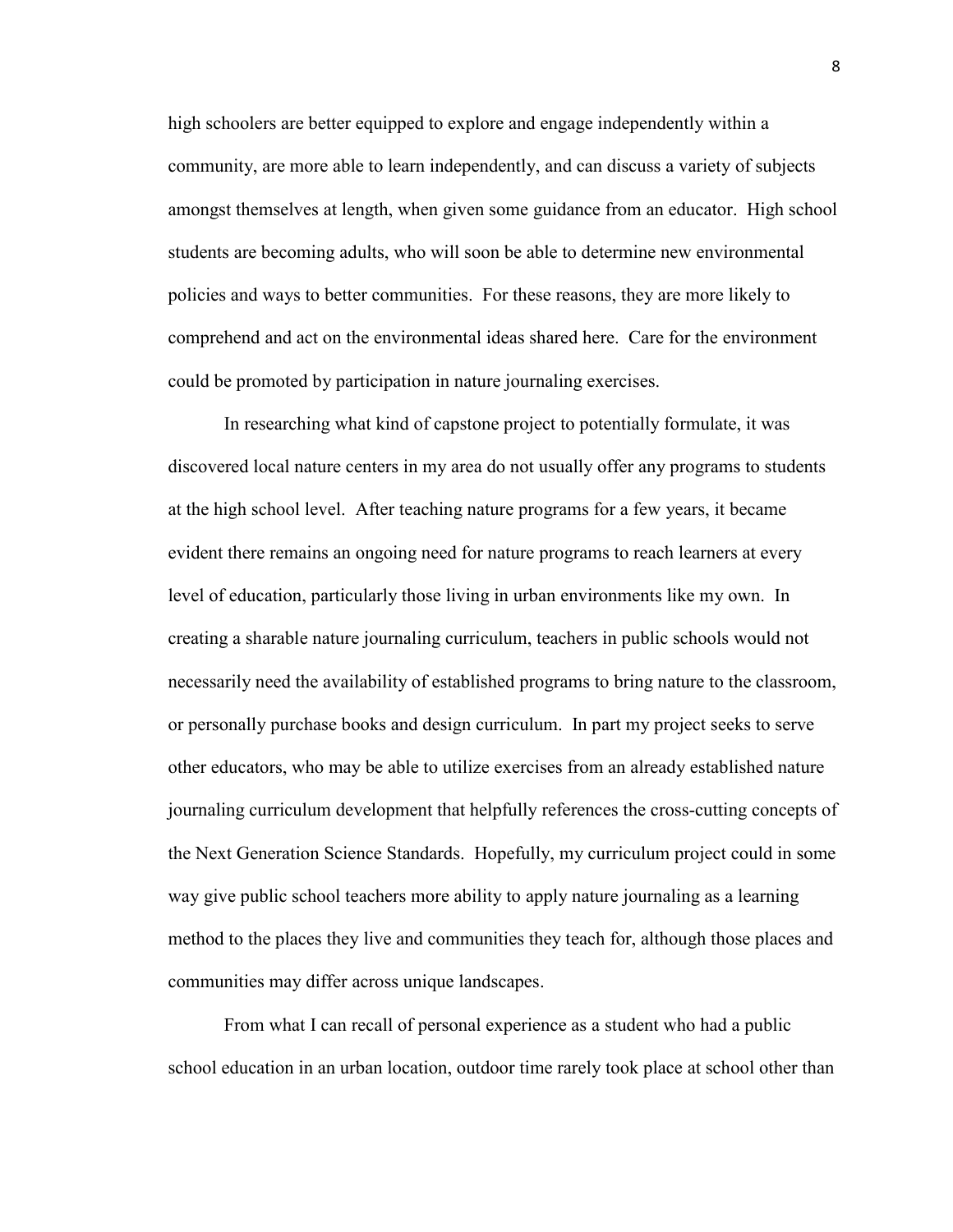high schoolers are better equipped to explore and engage independently within a community, are more able to learn independently, and can discuss a variety of subjects amongst themselves at length, when given some guidance from an educator. High school students are becoming adults, who will soon be able to determine new environmental policies and ways to better communities. For these reasons, they are more likely to comprehend and act on the environmental ideas shared here. Care for the environment could be promoted by participation in nature journaling exercises.

In researching what kind of capstone project to potentially formulate, it was discovered local nature centers in my area do not usually offer any programs to students at the high school level. After teaching nature programs for a few years, it became evident there remains an ongoing need for nature programs to reach learners at every level of education, particularly those living in urban environments like my own. In creating a sharable nature journaling curriculum, teachers in public schools would not necessarily need the availability of established programs to bring nature to the classroom, or personally purchase books and design curriculum. In part my project seeks to serve other educators, who may be able to utilize exercises from an already established nature journaling curriculum development that helpfully references the cross-cutting concepts of the Next Generation Science Standards. Hopefully, my curriculum project could in some way give public school teachers more ability to apply nature journaling as a learning method to the places they live and communities they teach for, although those places and communities may differ across unique landscapes.

From what I can recall of personal experience as a student who had a public school education in an urban location, outdoor time rarely took place at school other than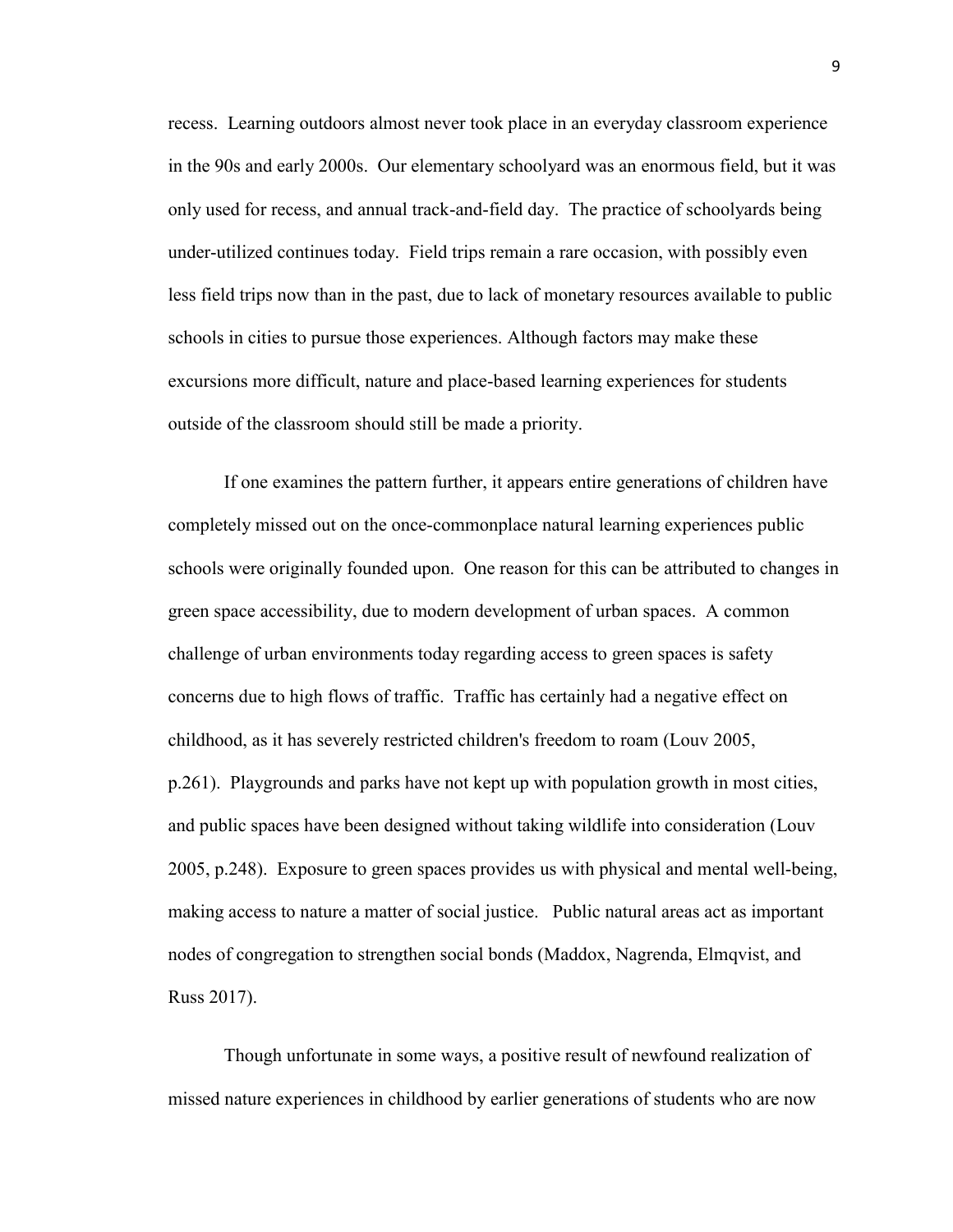recess. Learning outdoors almost never took place in an everyday classroom experience in the 90s and early 2000s. Our elementary schoolyard was an enormous field, but it was only used for recess, and annual track-and-field day. The practice of schoolyards being under-utilized continues today. Field trips remain a rare occasion, with possibly even less field trips now than in the past, due to lack of monetary resources available to public schools in cities to pursue those experiences. Although factors may make these excursions more difficult, nature and place-based learning experiences for students outside of the classroom should still be made a priority.

If one examines the pattern further, it appears entire generations of children have completely missed out on the once-commonplace natural learning experiences public schools were originally founded upon. One reason for this can be attributed to changes in green space accessibility, due to modern development of urban spaces. A common challenge of urban environments today regarding access to green spaces is safety concerns due to high flows of traffic. Traffic has certainly had a negative effect on childhood, as it has severely restricted children's freedom to roam (Louv 2005, p.261). Playgrounds and parks have not kept up with population growth in most cities, and public spaces have been designed without taking wildlife into consideration (Louv 2005, p.248). Exposure to green spaces provides us with physical and mental well-being, making access to nature a matter of social justice. Public natural areas act as important nodes of congregation to strengthen social bonds (Maddox, Nagrenda, Elmqvist, and Russ 2017).

Though unfortunate in some ways, a positive result of newfound realization of missed nature experiences in childhood by earlier generations of students who are now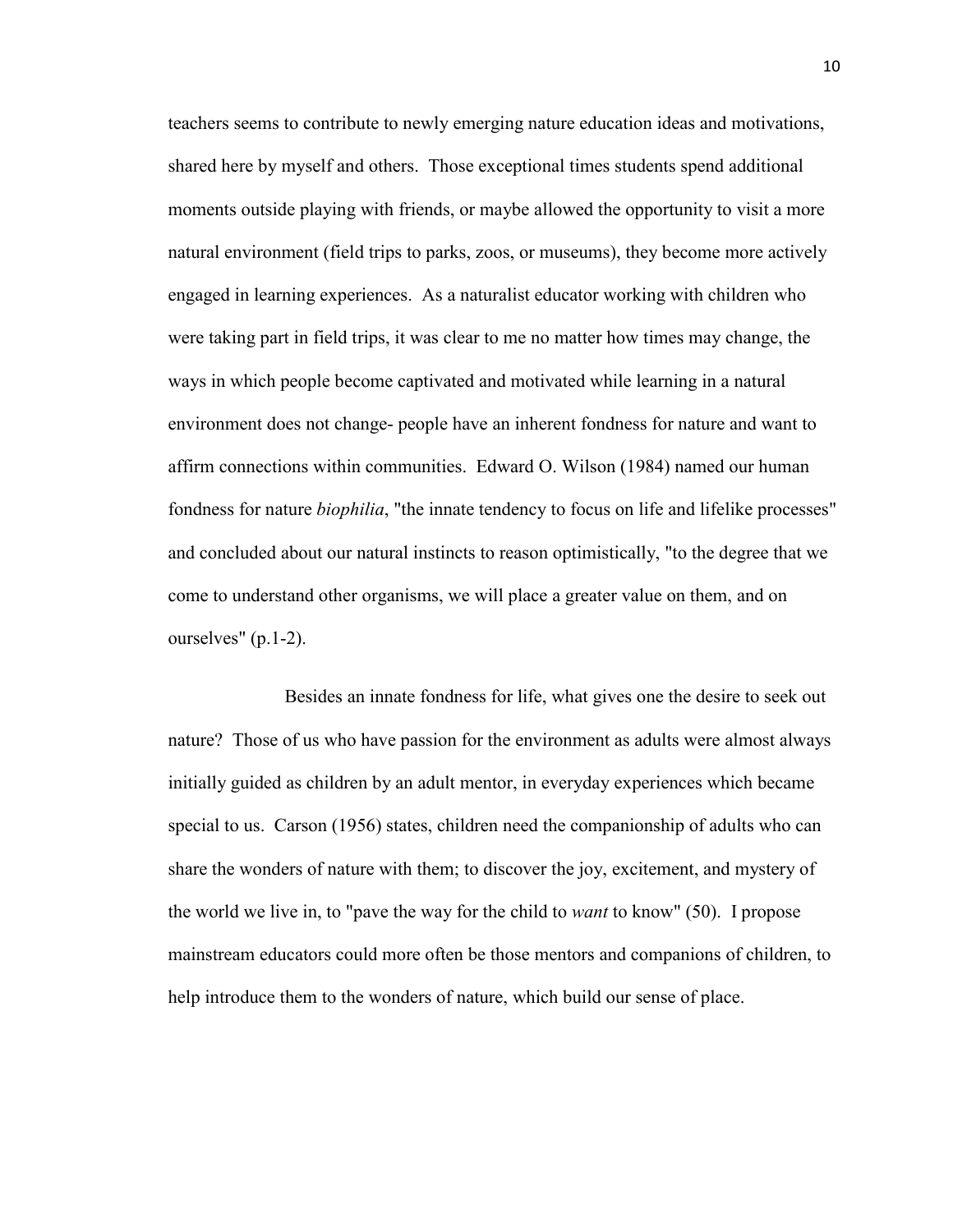teachers seems to contribute to newly emerging nature education ideas and motivations, shared here by myself and others. Those exceptional times students spend additional moments outside playing with friends, or maybe allowed the opportunity to visit a more natural environment (field trips to parks, zoos, or museums), they become more actively engaged in learning experiences. As a naturalist educator working with children who were taking part in field trips, it was clear to me no matter how times may change, the ways in which people become captivated and motivated while learning in a natural environment does not change- people have an inherent fondness for nature and want to affirm connections within communities. Edward O. Wilson (1984) named our human fondness for nature *biophilia*, "the innate tendency to focus on life and lifelike processes" and concluded about our natural instincts to reason optimistically, "to the degree that we come to understand other organisms, we will place a greater value on them, and on ourselves" (p.1-2).

Besides an innate fondness for life, what gives one the desire to seek out nature? Those of us who have passion for the environment as adults were almost always initially guided as children by an adult mentor, in everyday experiences which became special to us. Carson (1956) states, children need the companionship of adults who can share the wonders of nature with them; to discover the joy, excitement, and mystery of the world we live in, to "pave the way for the child to *want* to know" (50). I propose mainstream educators could more often be those mentors and companions of children, to help introduce them to the wonders of nature, which build our sense of place.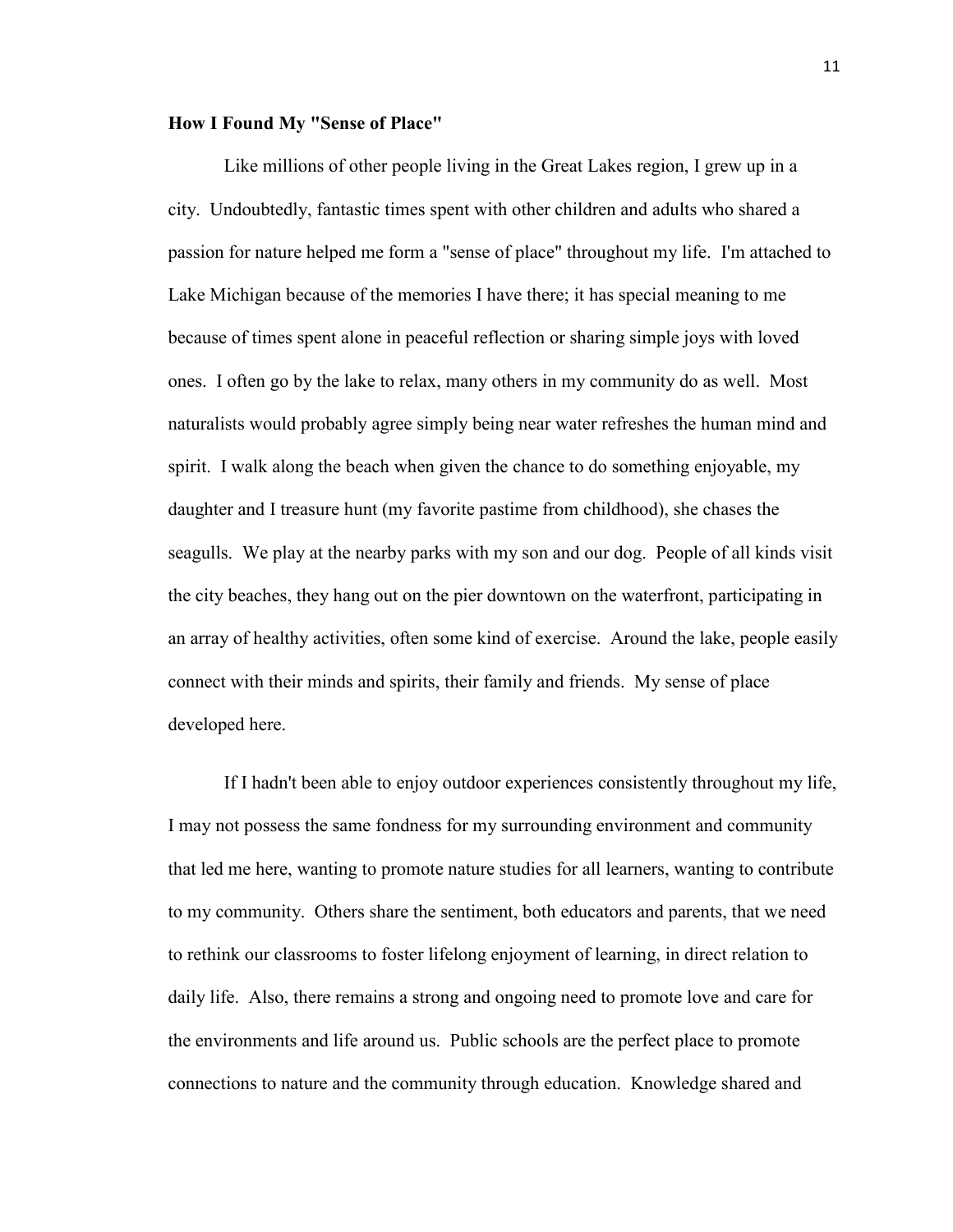#### **How I Found My "Sense of Place"**

Like millions of other people living in the Great Lakes region, I grew up in a city. Undoubtedly, fantastic times spent with other children and adults who shared a passion for nature helped me form a "sense of place" throughout my life. I'm attached to Lake Michigan because of the memories I have there; it has special meaning to me because of times spent alone in peaceful reflection or sharing simple joys with loved ones. I often go by the lake to relax, many others in my community do as well. Most naturalists would probably agree simply being near water refreshes the human mind and spirit. I walk along the beach when given the chance to do something enjoyable, my daughter and I treasure hunt (my favorite pastime from childhood), she chases the seagulls. We play at the nearby parks with my son and our dog. People of all kinds visit the city beaches, they hang out on the pier downtown on the waterfront, participating in an array of healthy activities, often some kind of exercise. Around the lake, people easily connect with their minds and spirits, their family and friends. My sense of place developed here.

If I hadn't been able to enjoy outdoor experiences consistently throughout my life, I may not possess the same fondness for my surrounding environment and community that led me here, wanting to promote nature studies for all learners, wanting to contribute to my community. Others share the sentiment, both educators and parents, that we need to rethink our classrooms to foster lifelong enjoyment of learning, in direct relation to daily life. Also, there remains a strong and ongoing need to promote love and care for the environments and life around us. Public schools are the perfect place to promote connections to nature and the community through education. Knowledge shared and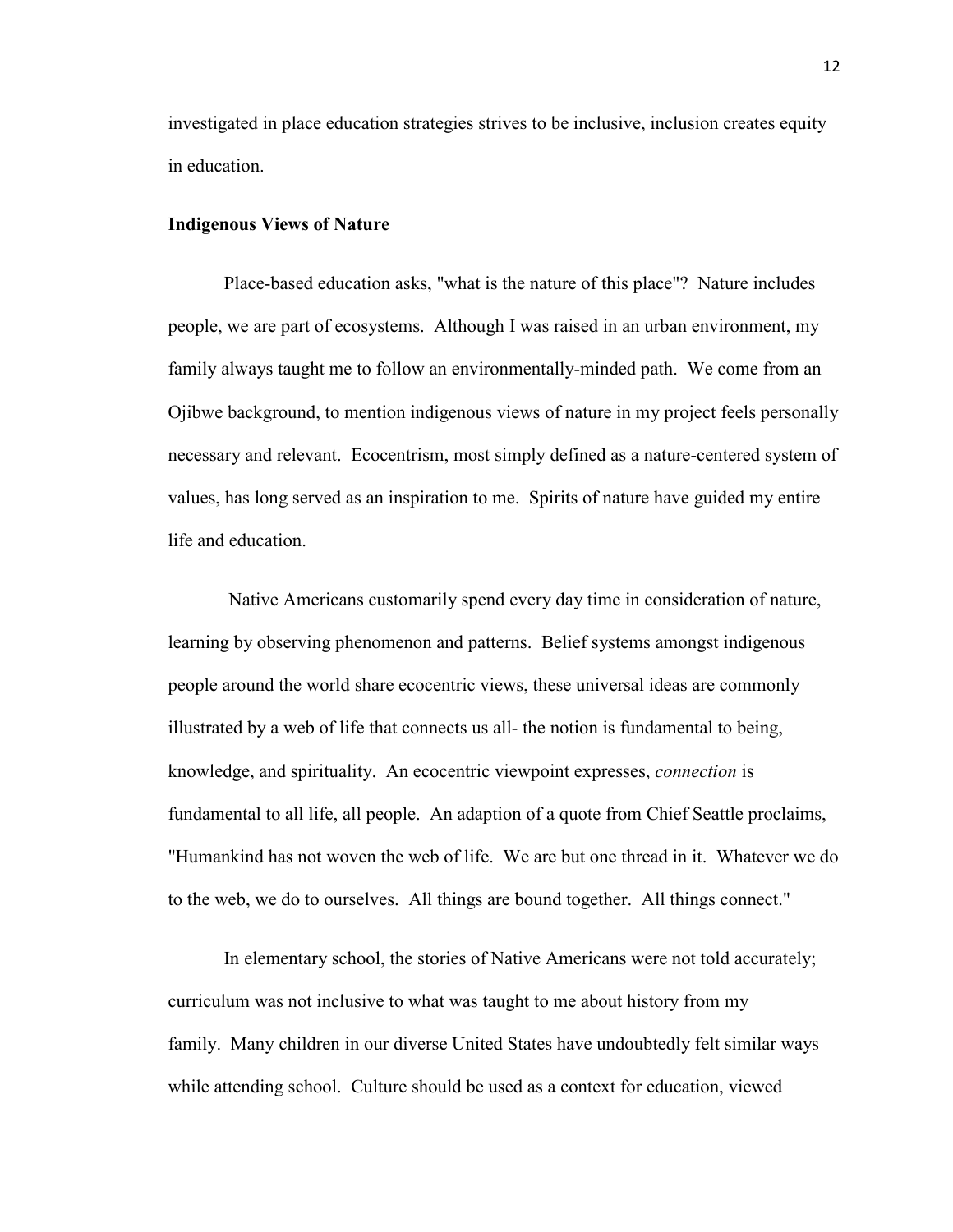investigated in place education strategies strives to be inclusive, inclusion creates equity in education.

#### **Indigenous Views of Nature**

Place-based education asks, "what is the nature of this place"? Nature includes people, we are part of ecosystems. Although I was raised in an urban environment, my family always taught me to follow an environmentally-minded path. We come from an Ojibwe background, to mention indigenous views of nature in my project feels personally necessary and relevant. Ecocentrism, most simply defined as a nature-centered system of values, has long served as an inspiration to me. Spirits of nature have guided my entire life and education.

Native Americans customarily spend every day time in consideration of nature, learning by observing phenomenon and patterns. Belief systems amongst indigenous people around the world share ecocentric views, these universal ideas are commonly illustrated by a web of life that connects us all- the notion is fundamental to being, knowledge, and spirituality. An ecocentric viewpoint expresses, *connection* is fundamental to all life, all people. An adaption of a quote from Chief Seattle proclaims, "Humankind has not woven the web of life. We are but one thread in it. Whatever we do to the web, we do to ourselves. All things are bound together. All things connect."

In elementary school, the stories of Native Americans were not told accurately; curriculum was not inclusive to what was taught to me about history from my family. Many children in our diverse United States have undoubtedly felt similar ways while attending school. Culture should be used as a context for education, viewed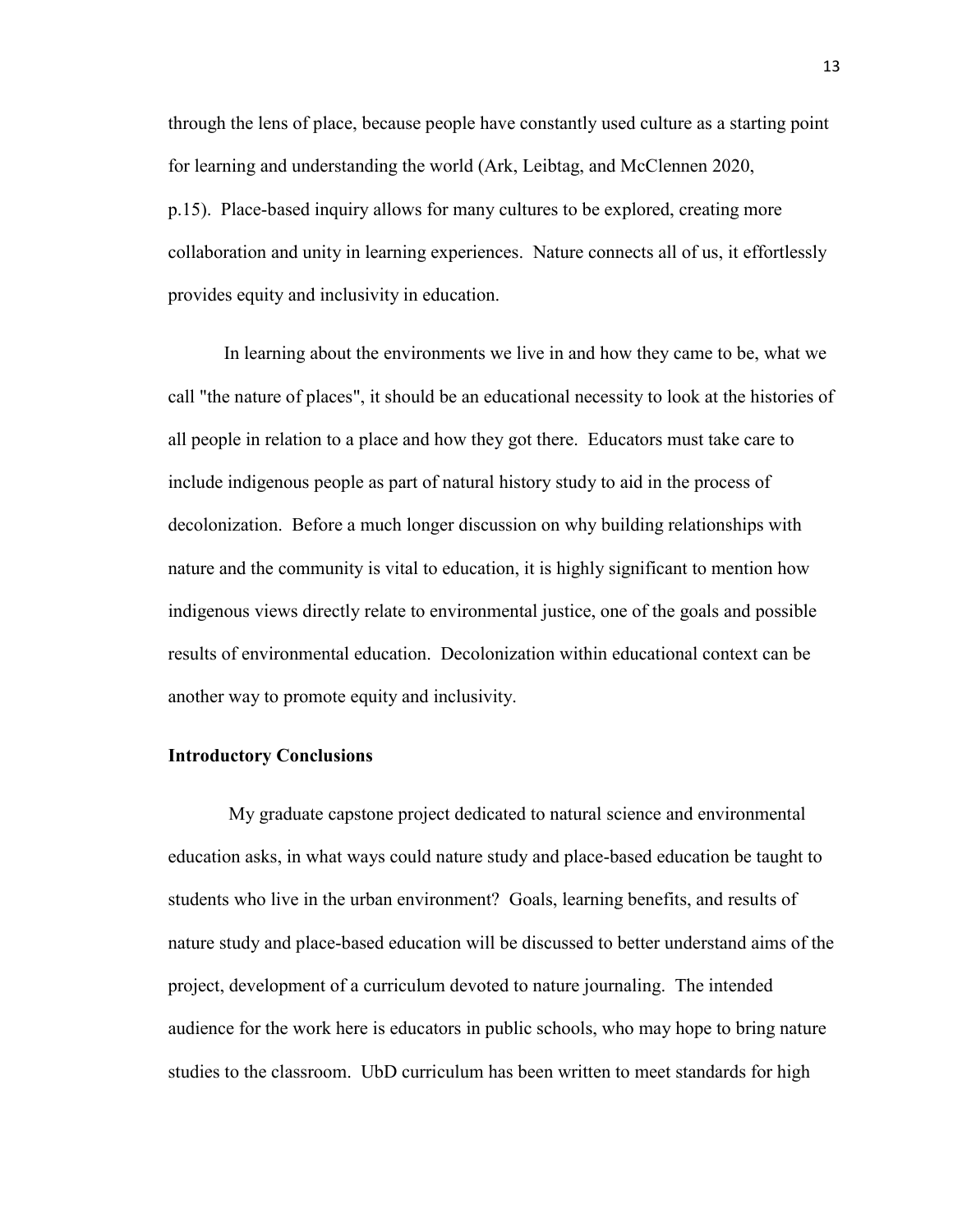through the lens of place, because people have constantly used culture as a starting point for learning and understanding the world (Ark, Leibtag, and McClennen 2020, p.15). Place-based inquiry allows for many cultures to be explored, creating more collaboration and unity in learning experiences. Nature connects all of us, it effortlessly provides equity and inclusivity in education.

In learning about the environments we live in and how they came to be, what we call "the nature of places", it should be an educational necessity to look at the histories of all people in relation to a place and how they got there. Educators must take care to include indigenous people as part of natural history study to aid in the process of decolonization. Before a much longer discussion on why building relationships with nature and the community is vital to education, it is highly significant to mention how indigenous views directly relate to environmental justice, one of the goals and possible results of environmental education. Decolonization within educational context can be another way to promote equity and inclusivity.

#### **Introductory Conclusions**

My graduate capstone project dedicated to natural science and environmental education asks, in what ways could nature study and place-based education be taught to students who live in the urban environment? Goals, learning benefits, and results of nature study and place-based education will be discussed to better understand aims of the project, development of a curriculum devoted to nature journaling. The intended audience for the work here is educators in public schools, who may hope to bring nature studies to the classroom. UbD curriculum has been written to meet standards for high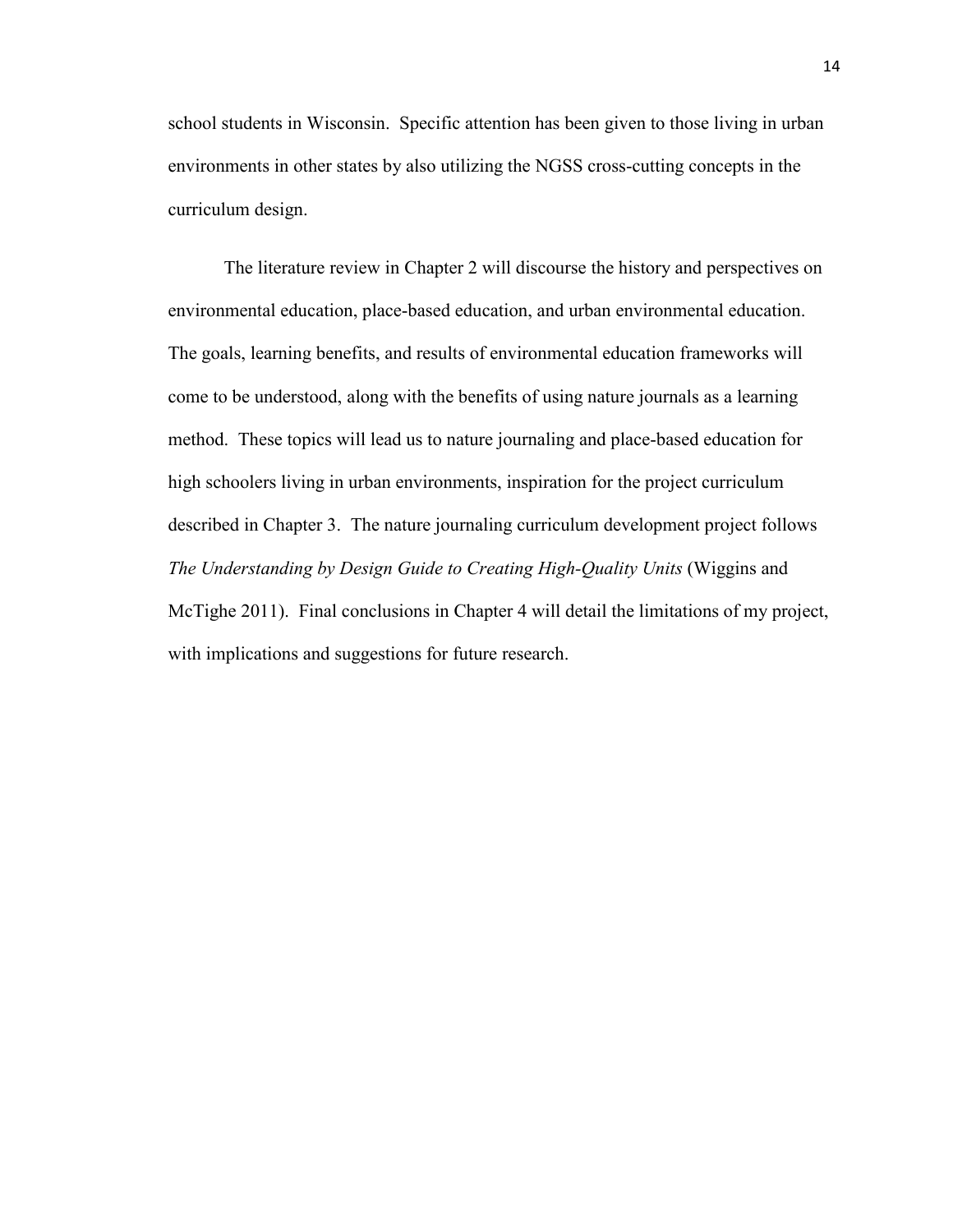school students in Wisconsin. Specific attention has been given to those living in urban environments in other states by also utilizing the NGSS cross-cutting concepts in the curriculum design.

The literature review in Chapter 2 will discourse the history and perspectives on environmental education, place-based education, and urban environmental education. The goals, learning benefits, and results of environmental education frameworks will come to be understood, along with the benefits of using nature journals as a learning method. These topics will lead us to nature journaling and place-based education for high schoolers living in urban environments, inspiration for the project curriculum described in Chapter 3. The nature journaling curriculum development project follows *The Understanding by Design Guide to Creating High-Quality Units* (Wiggins and McTighe 2011). Final conclusions in Chapter 4 will detail the limitations of my project, with implications and suggestions for future research.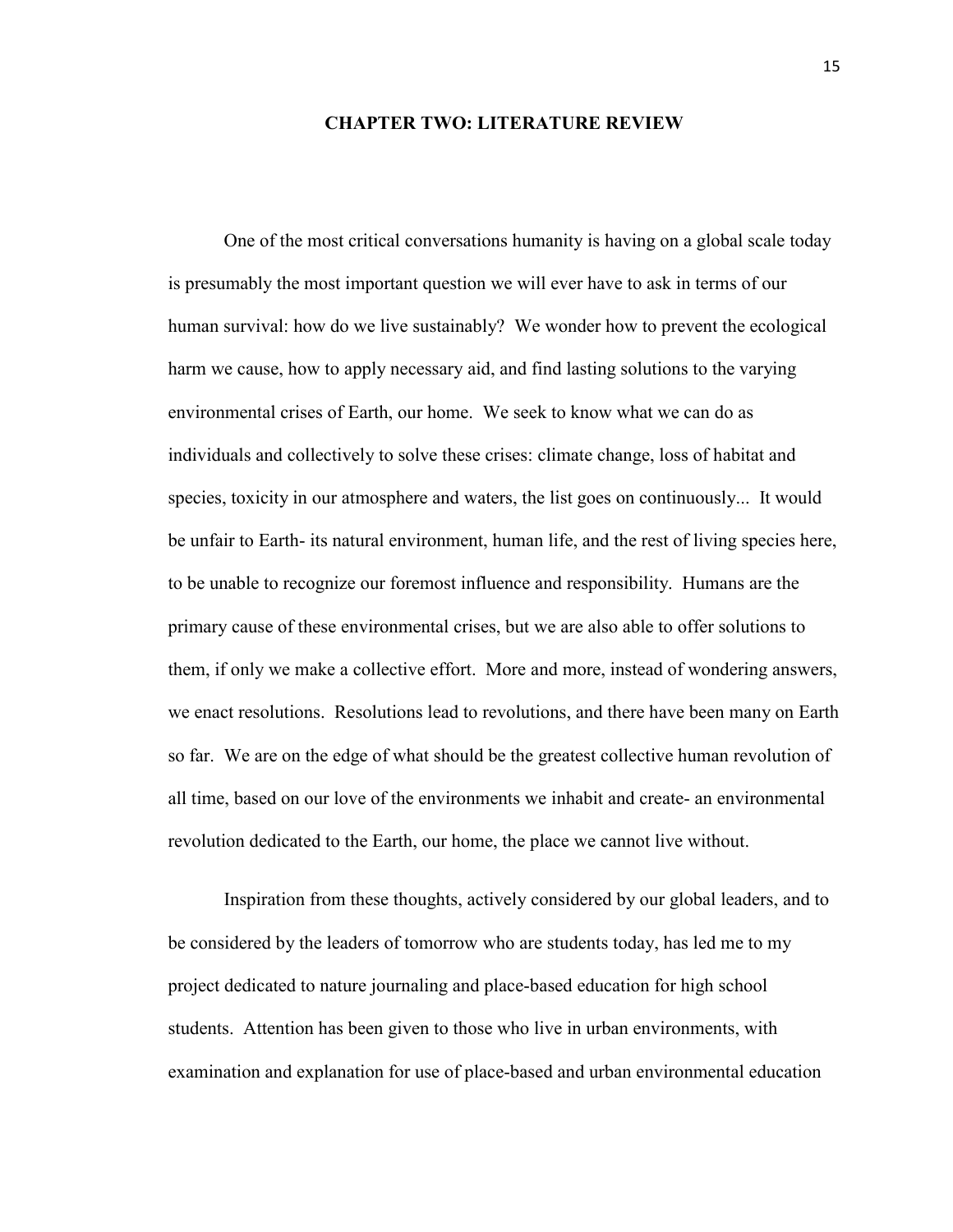#### **CHAPTER TWO: LITERATURE REVIEW**

One of the most critical conversations humanity is having on a global scale today is presumably the most important question we will ever have to ask in terms of our human survival: how do we live sustainably? We wonder how to prevent the ecological harm we cause, how to apply necessary aid, and find lasting solutions to the varying environmental crises of Earth, our home. We seek to know what we can do as individuals and collectively to solve these crises: climate change, loss of habitat and species, toxicity in our atmosphere and waters, the list goes on continuously... It would be unfair to Earth- its natural environment, human life, and the rest of living species here, to be unable to recognize our foremost influence and responsibility. Humans are the primary cause of these environmental crises, but we are also able to offer solutions to them, if only we make a collective effort. More and more, instead of wondering answers, we enact resolutions. Resolutions lead to revolutions, and there have been many on Earth so far. We are on the edge of what should be the greatest collective human revolution of all time, based on our love of the environments we inhabit and create- an environmental revolution dedicated to the Earth, our home, the place we cannot live without.

Inspiration from these thoughts, actively considered by our global leaders, and to be considered by the leaders of tomorrow who are students today, has led me to my project dedicated to nature journaling and place-based education for high school students. Attention has been given to those who live in urban environments, with examination and explanation for use of place-based and urban environmental education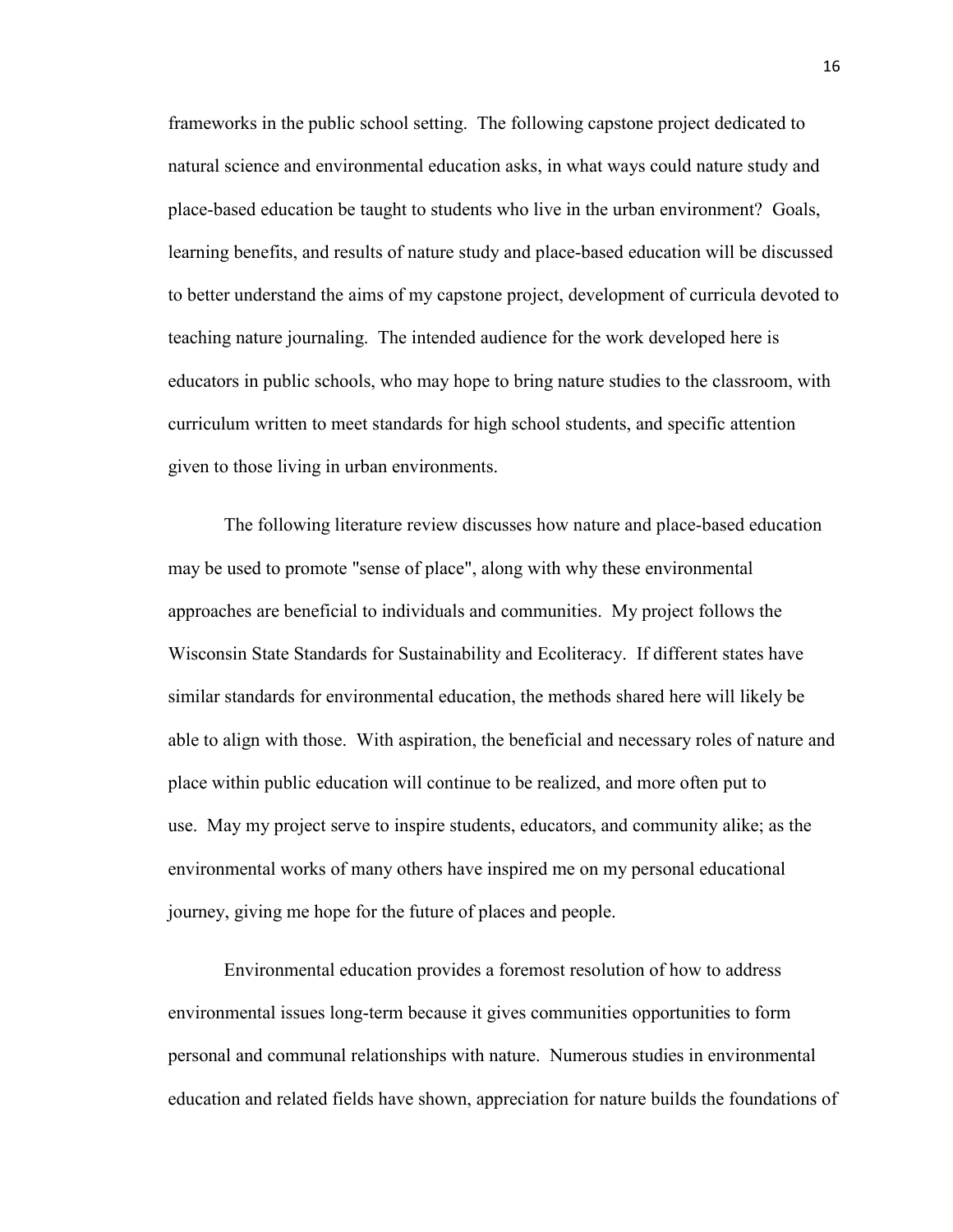frameworks in the public school setting. The following capstone project dedicated to natural science and environmental education asks, in what ways could nature study and place-based education be taught to students who live in the urban environment? Goals, learning benefits, and results of nature study and place-based education will be discussed to better understand the aims of my capstone project, development of curricula devoted to teaching nature journaling. The intended audience for the work developed here is educators in public schools, who may hope to bring nature studies to the classroom, with curriculum written to meet standards for high school students, and specific attention given to those living in urban environments.

The following literature review discusses how nature and place-based education may be used to promote "sense of place", along with why these environmental approaches are beneficial to individuals and communities. My project follows the Wisconsin State Standards for Sustainability and Ecoliteracy. If different states have similar standards for environmental education, the methods shared here will likely be able to align with those. With aspiration, the beneficial and necessary roles of nature and place within public education will continue to be realized, and more often put to use. May my project serve to inspire students, educators, and community alike; as the environmental works of many others have inspired me on my personal educational journey, giving me hope for the future of places and people.

Environmental education provides a foremost resolution of how to address environmental issues long-term because it gives communities opportunities to form personal and communal relationships with nature. Numerous studies in environmental education and related fields have shown, appreciation for nature builds the foundations of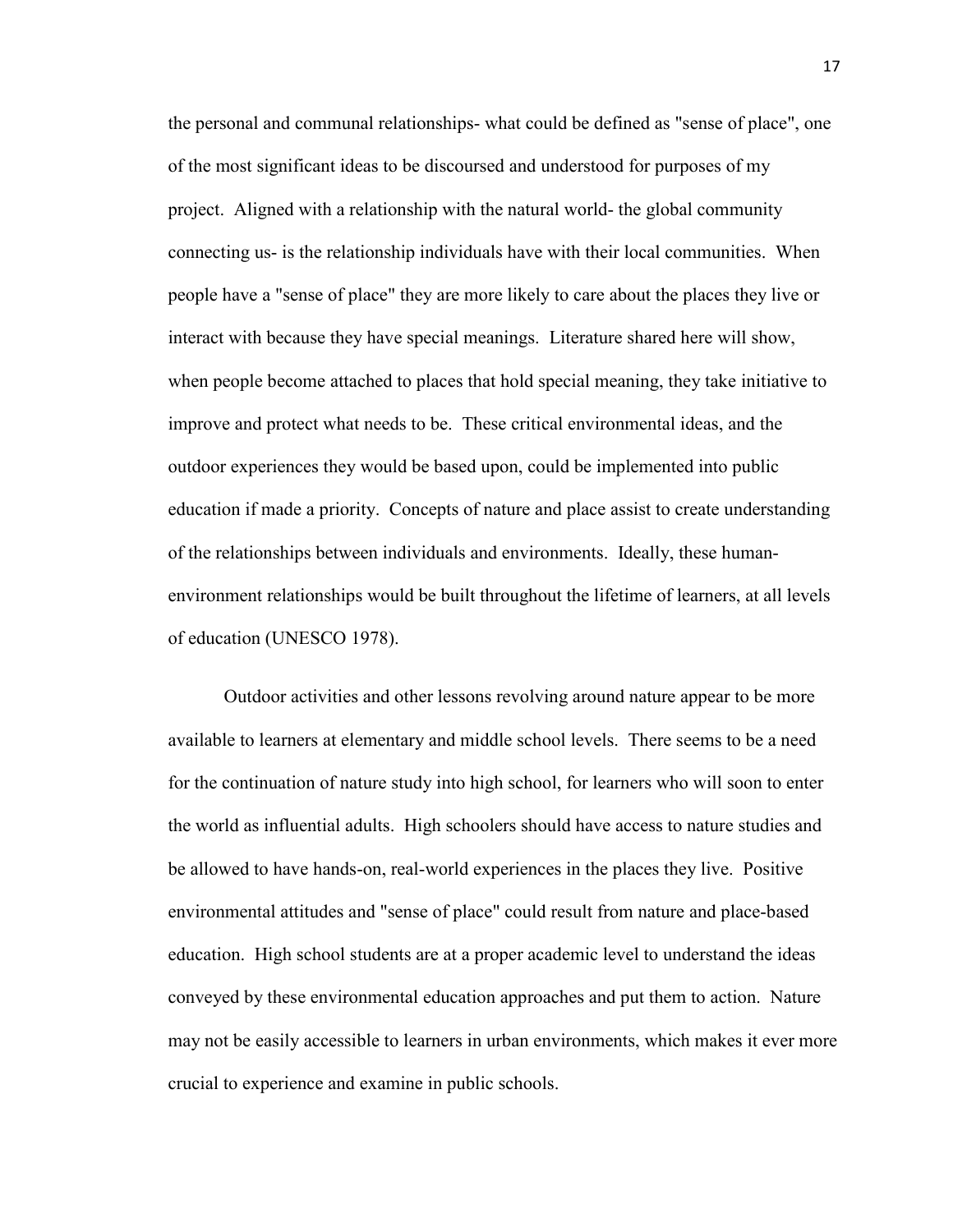the personal and communal relationships- what could be defined as "sense of place", one of the most significant ideas to be discoursed and understood for purposes of my project. Aligned with a relationship with the natural world- the global community connecting us- is the relationship individuals have with their local communities. When people have a "sense of place" they are more likely to care about the places they live or interact with because they have special meanings. Literature shared here will show, when people become attached to places that hold special meaning, they take initiative to improve and protect what needs to be. These critical environmental ideas, and the outdoor experiences they would be based upon, could be implemented into public education if made a priority. Concepts of nature and place assist to create understanding of the relationships between individuals and environments. Ideally, these humanenvironment relationships would be built throughout the lifetime of learners, at all levels of education (UNESCO 1978).

Outdoor activities and other lessons revolving around nature appear to be more available to learners at elementary and middle school levels. There seems to be a need for the continuation of nature study into high school, for learners who will soon to enter the world as influential adults. High schoolers should have access to nature studies and be allowed to have hands-on, real-world experiences in the places they live. Positive environmental attitudes and "sense of place" could result from nature and place-based education. High school students are at a proper academic level to understand the ideas conveyed by these environmental education approaches and put them to action. Nature may not be easily accessible to learners in urban environments, which makes it ever more crucial to experience and examine in public schools.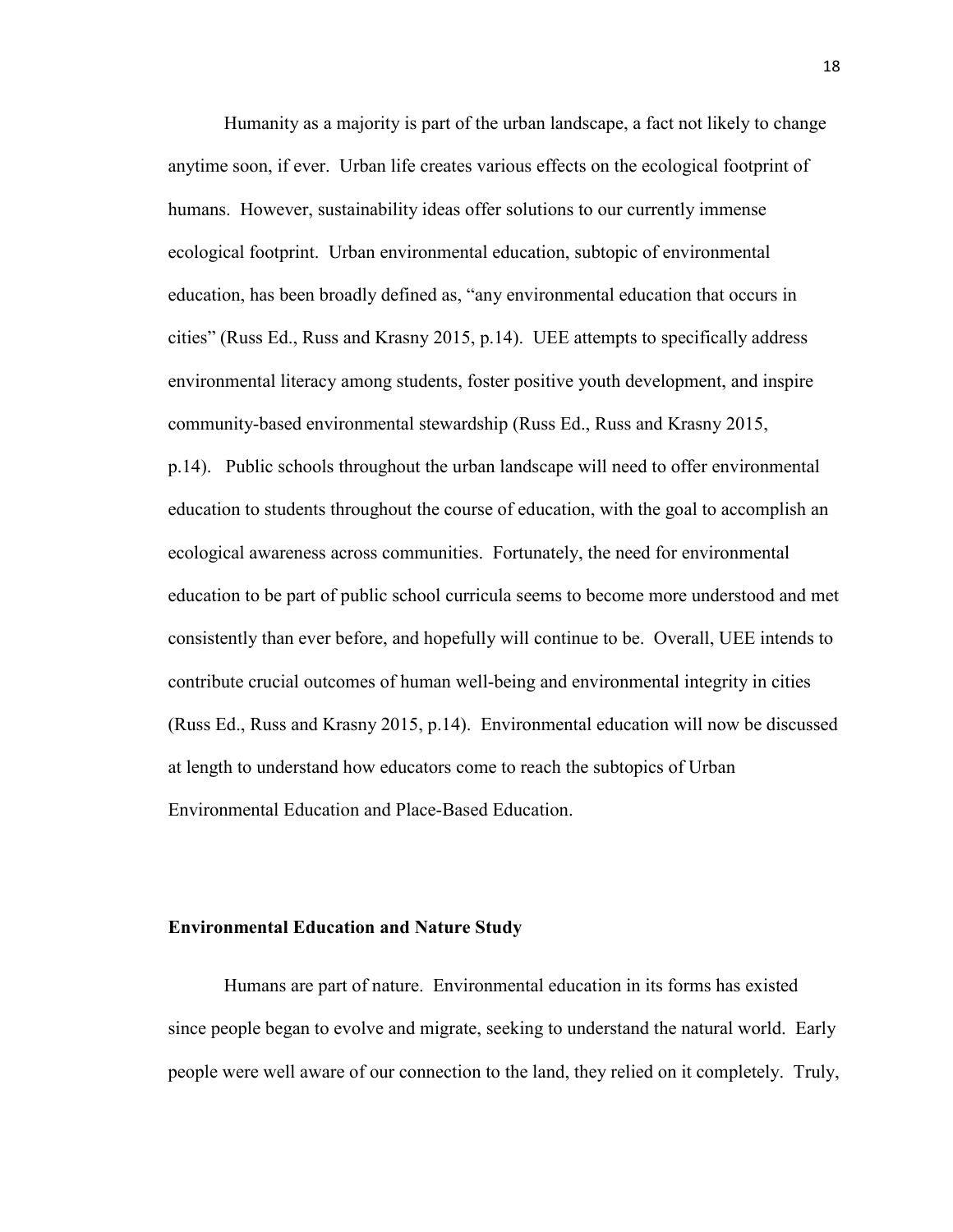Humanity as a majority is part of the urban landscape, a fact not likely to change anytime soon, if ever. Urban life creates various effects on the ecological footprint of humans. However, sustainability ideas offer solutions to our currently immense ecological footprint. Urban environmental education, subtopic of environmental education, has been broadly defined as, "any environmental education that occurs in cities" (Russ Ed., Russ and Krasny 2015, p.14). UEE attempts to specifically address environmental literacy among students, foster positive youth development, and inspire community-based environmental stewardship (Russ Ed., Russ and Krasny 2015, p.14). Public schools throughout the urban landscape will need to offer environmental education to students throughout the course of education, with the goal to accomplish an ecological awareness across communities. Fortunately, the need for environmental education to be part of public school curricula seems to become more understood and met consistently than ever before, and hopefully will continue to be. Overall, UEE intends to contribute crucial outcomes of human well-being and environmental integrity in cities (Russ Ed., Russ and Krasny 2015, p.14). Environmental education will now be discussed at length to understand how educators come to reach the subtopics of Urban Environmental Education and Place-Based Education.

#### **Environmental Education and Nature Study**

Humans are part of nature. Environmental education in its forms has existed since people began to evolve and migrate, seeking to understand the natural world. Early people were well aware of our connection to the land, they relied on it completely. Truly,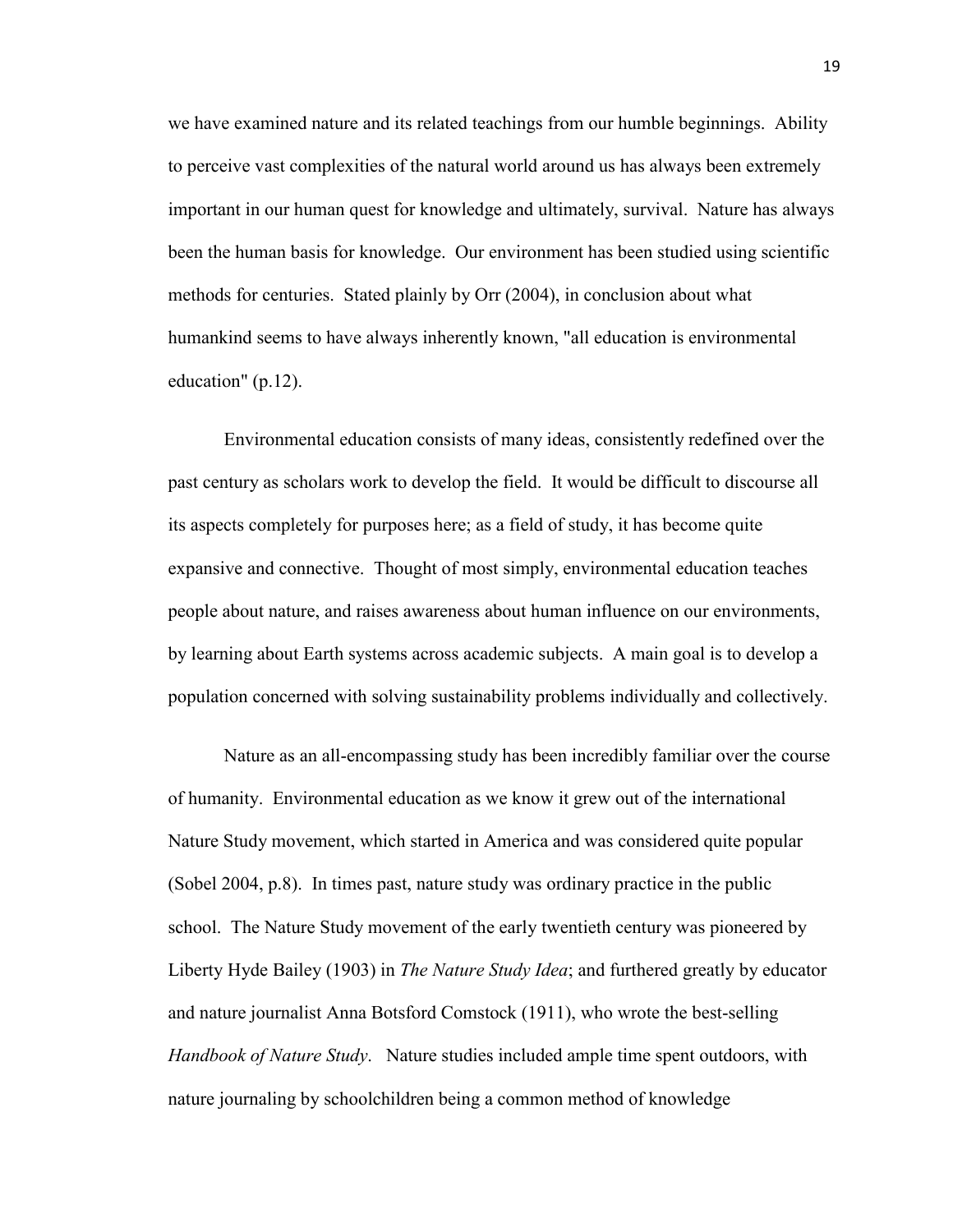we have examined nature and its related teachings from our humble beginnings. Ability to perceive vast complexities of the natural world around us has always been extremely important in our human quest for knowledge and ultimately, survival. Nature has always been the human basis for knowledge. Our environment has been studied using scientific methods for centuries. Stated plainly by Orr (2004), in conclusion about what humankind seems to have always inherently known, "all education is environmental education" (p.12).

Environmental education consists of many ideas, consistently redefined over the past century as scholars work to develop the field. It would be difficult to discourse all its aspects completely for purposes here; as a field of study, it has become quite expansive and connective. Thought of most simply, environmental education teaches people about nature, and raises awareness about human influence on our environments, by learning about Earth systems across academic subjects. A main goal is to develop a population concerned with solving sustainability problems individually and collectively.

Nature as an all-encompassing study has been incredibly familiar over the course of humanity. Environmental education as we know it grew out of the international Nature Study movement, which started in America and was considered quite popular (Sobel 2004, p.8). In times past, nature study was ordinary practice in the public school. The Nature Study movement of the early twentieth century was pioneered by Liberty Hyde Bailey (1903) in *The Nature Study Idea*; and furthered greatly by educator and nature journalist Anna Botsford Comstock (1911), who wrote the best-selling *Handbook of Nature Study*. Nature studies included ample time spent outdoors, with nature journaling by schoolchildren being a common method of knowledge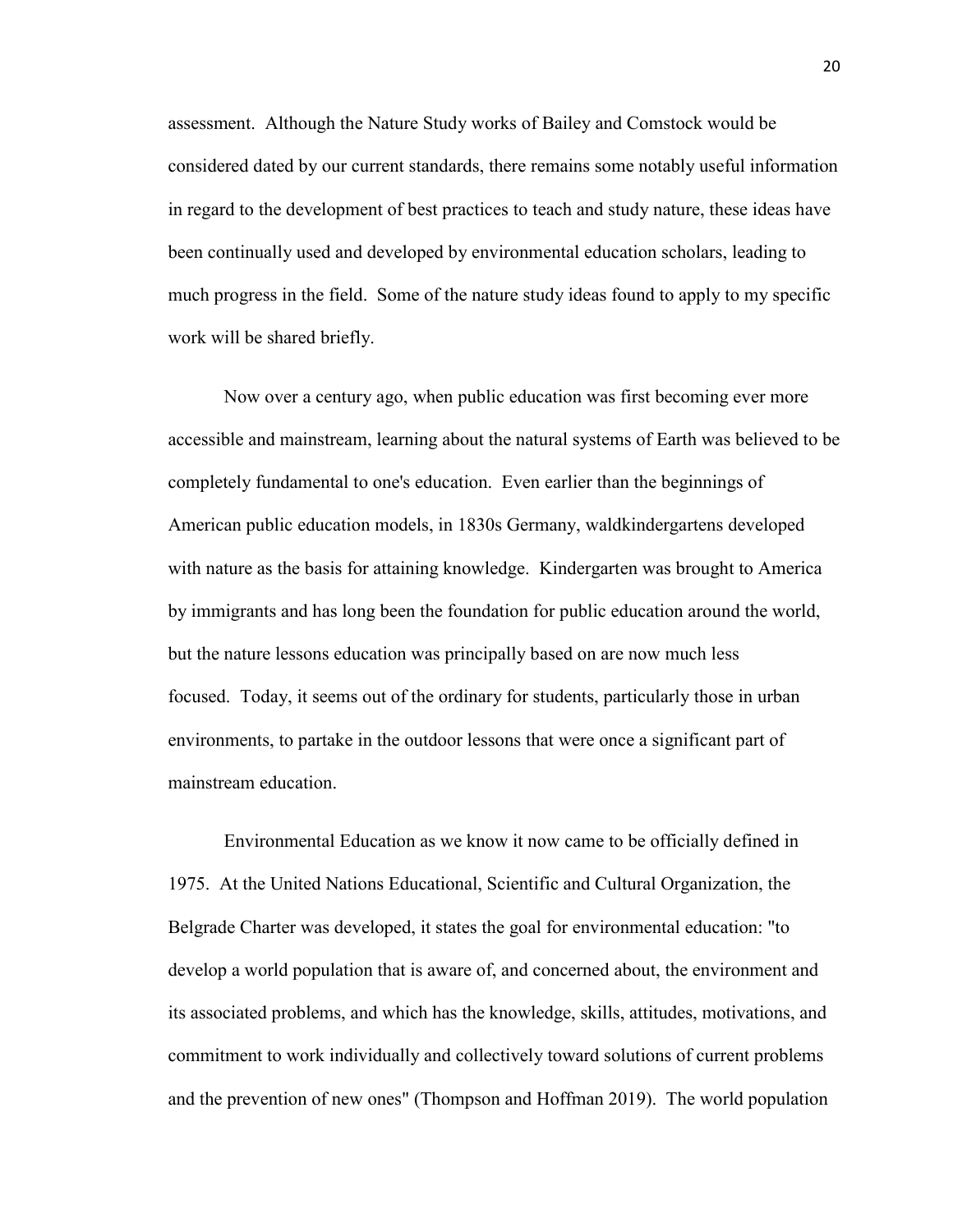assessment. Although the Nature Study works of Bailey and Comstock would be considered dated by our current standards, there remains some notably useful information in regard to the development of best practices to teach and study nature, these ideas have been continually used and developed by environmental education scholars, leading to much progress in the field. Some of the nature study ideas found to apply to my specific work will be shared briefly.

Now over a century ago, when public education was first becoming ever more accessible and mainstream, learning about the natural systems of Earth was believed to be completely fundamental to one's education. Even earlier than the beginnings of American public education models, in 1830s Germany, waldkindergartens developed with nature as the basis for attaining knowledge. Kindergarten was brought to America by immigrants and has long been the foundation for public education around the world, but the nature lessons education was principally based on are now much less focused. Today, it seems out of the ordinary for students, particularly those in urban environments, to partake in the outdoor lessons that were once a significant part of mainstream education.

Environmental Education as we know it now came to be officially defined in 1975. At the United Nations Educational, Scientific and Cultural Organization, the Belgrade Charter was developed, it states the goal for environmental education: "to develop a world population that is aware of, and concerned about, the environment and its associated problems, and which has the knowledge, skills, attitudes, motivations, and commitment to work individually and collectively toward solutions of current problems and the prevention of new ones" (Thompson and Hoffman 2019). The world population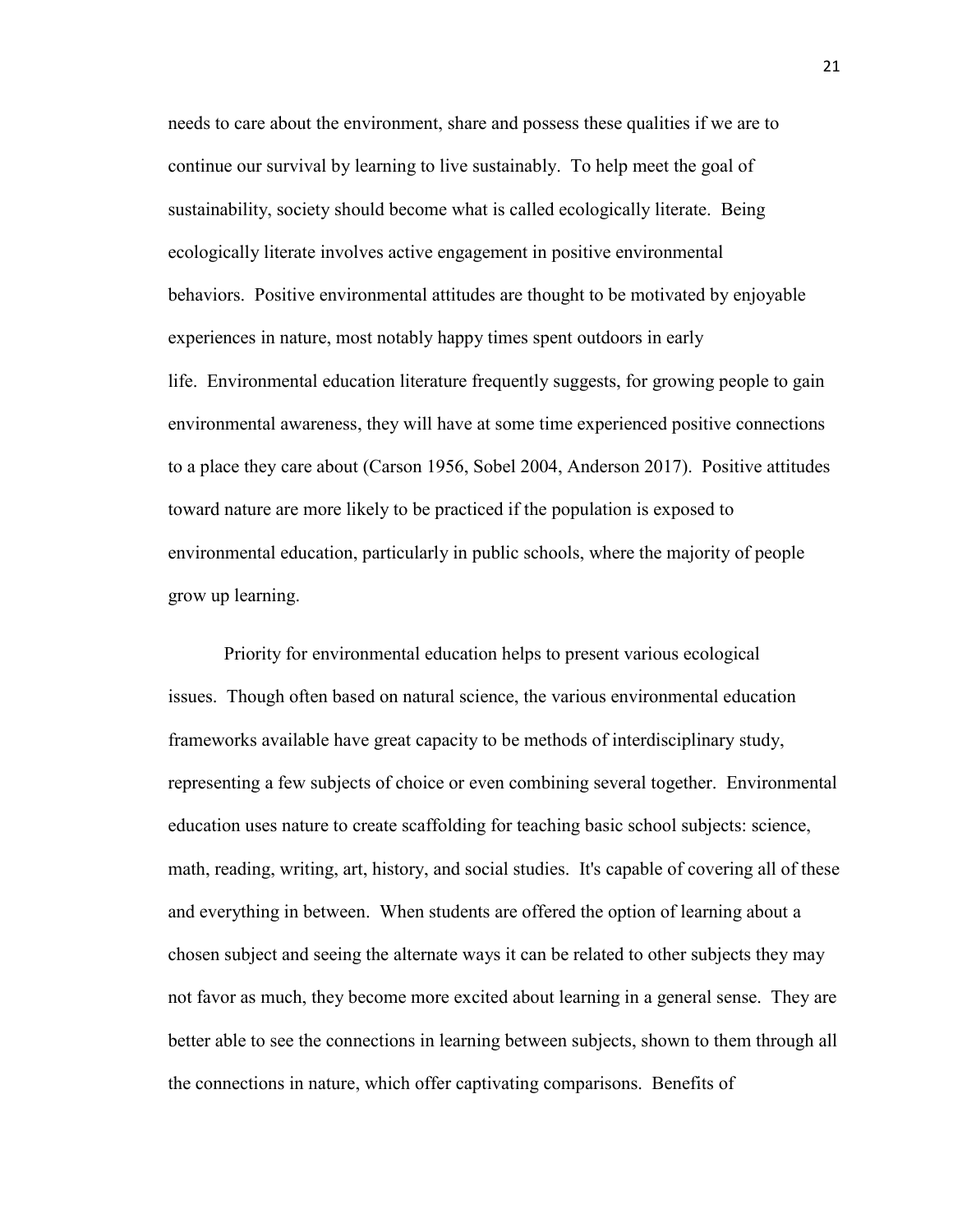needs to care about the environment, share and possess these qualities if we are to continue our survival by learning to live sustainably. To help meet the goal of sustainability, society should become what is called ecologically literate. Being ecologically literate involves active engagement in positive environmental behaviors. Positive environmental attitudes are thought to be motivated by enjoyable experiences in nature, most notably happy times spent outdoors in early life. Environmental education literature frequently suggests, for growing people to gain environmental awareness, they will have at some time experienced positive connections to a place they care about (Carson 1956, Sobel 2004, Anderson 2017). Positive attitudes toward nature are more likely to be practiced if the population is exposed to environmental education, particularly in public schools, where the majority of people grow up learning.

Priority for environmental education helps to present various ecological issues. Though often based on natural science, the various environmental education frameworks available have great capacity to be methods of interdisciplinary study, representing a few subjects of choice or even combining several together. Environmental education uses nature to create scaffolding for teaching basic school subjects: science, math, reading, writing, art, history, and social studies. It's capable of covering all of these and everything in between. When students are offered the option of learning about a chosen subject and seeing the alternate ways it can be related to other subjects they may not favor as much, they become more excited about learning in a general sense. They are better able to see the connections in learning between subjects, shown to them through all the connections in nature, which offer captivating comparisons. Benefits of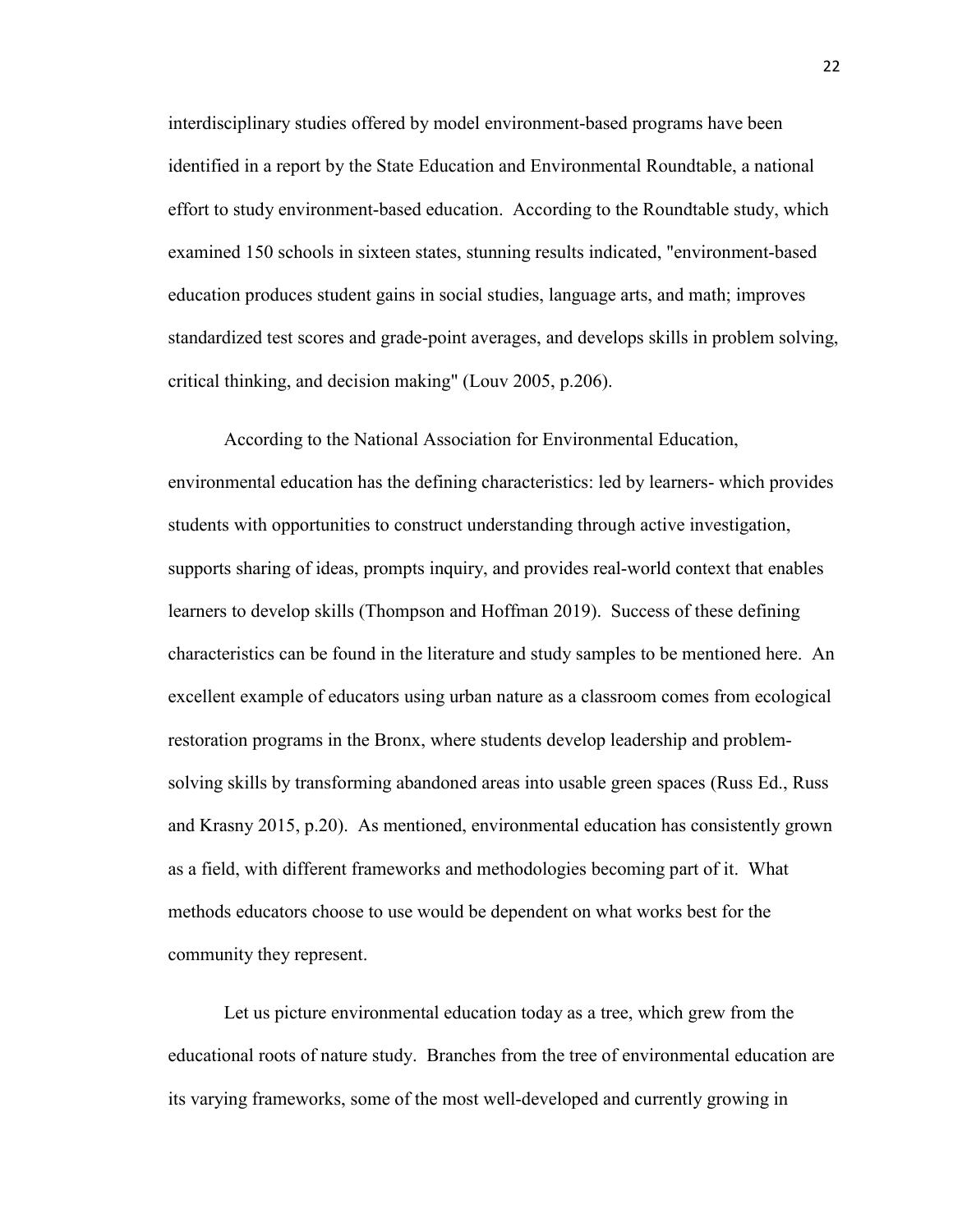interdisciplinary studies offered by model environment-based programs have been identified in a report by the State Education and Environmental Roundtable, a national effort to study environment-based education. According to the Roundtable study, which examined 150 schools in sixteen states, stunning results indicated, "environment-based education produces student gains in social studies, language arts, and math; improves standardized test scores and grade-point averages, and develops skills in problem solving, critical thinking, and decision making" (Louv 2005, p.206).

According to the National Association for Environmental Education, environmental education has the defining characteristics: led by learners- which provides students with opportunities to construct understanding through active investigation, supports sharing of ideas, prompts inquiry, and provides real-world context that enables learners to develop skills (Thompson and Hoffman 2019). Success of these defining characteristics can be found in the literature and study samples to be mentioned here. An excellent example of educators using urban nature as a classroom comes from ecological restoration programs in the Bronx, where students develop leadership and problemsolving skills by transforming abandoned areas into usable green spaces (Russ Ed., Russ and Krasny 2015, p.20). As mentioned, environmental education has consistently grown as a field, with different frameworks and methodologies becoming part of it. What methods educators choose to use would be dependent on what works best for the community they represent.

Let us picture environmental education today as a tree, which grew from the educational roots of nature study. Branches from the tree of environmental education are its varying frameworks, some of the most well-developed and currently growing in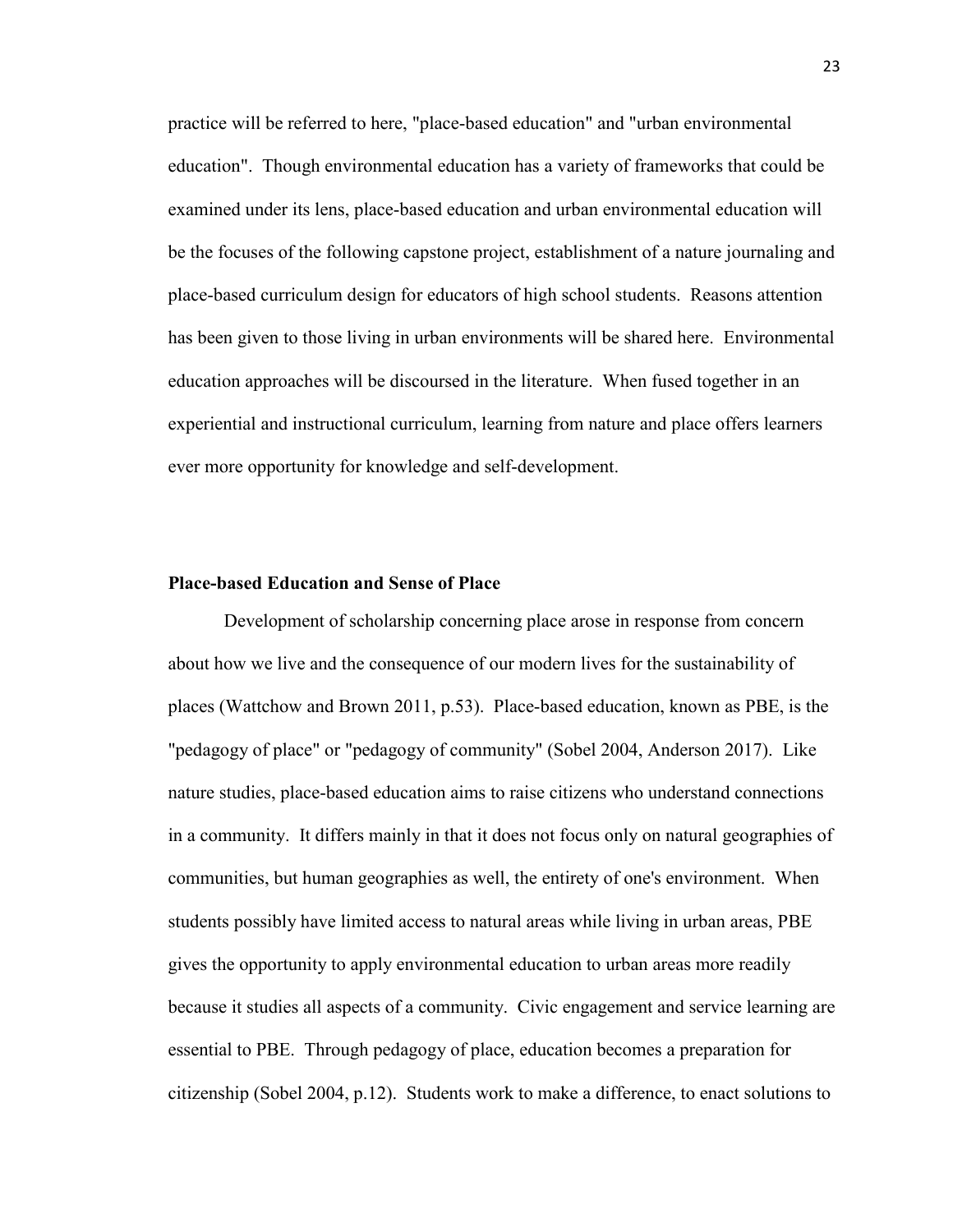practice will be referred to here, "place-based education" and "urban environmental education". Though environmental education has a variety of frameworks that could be examined under its lens, place-based education and urban environmental education will be the focuses of the following capstone project, establishment of a nature journaling and place-based curriculum design for educators of high school students. Reasons attention has been given to those living in urban environments will be shared here. Environmental education approaches will be discoursed in the literature. When fused together in an experiential and instructional curriculum, learning from nature and place offers learners ever more opportunity for knowledge and self-development.

#### **Place-based Education and Sense of Place**

Development of scholarship concerning place arose in response from concern about how we live and the consequence of our modern lives for the sustainability of places (Wattchow and Brown 2011, p.53). Place-based education, known as PBE, is the "pedagogy of place" or "pedagogy of community" (Sobel 2004, Anderson 2017). Like nature studies, place-based education aims to raise citizens who understand connections in a community. It differs mainly in that it does not focus only on natural geographies of communities, but human geographies as well, the entirety of one's environment. When students possibly have limited access to natural areas while living in urban areas, PBE gives the opportunity to apply environmental education to urban areas more readily because it studies all aspects of a community. Civic engagement and service learning are essential to PBE. Through pedagogy of place, education becomes a preparation for citizenship (Sobel 2004, p.12). Students work to make a difference, to enact solutions to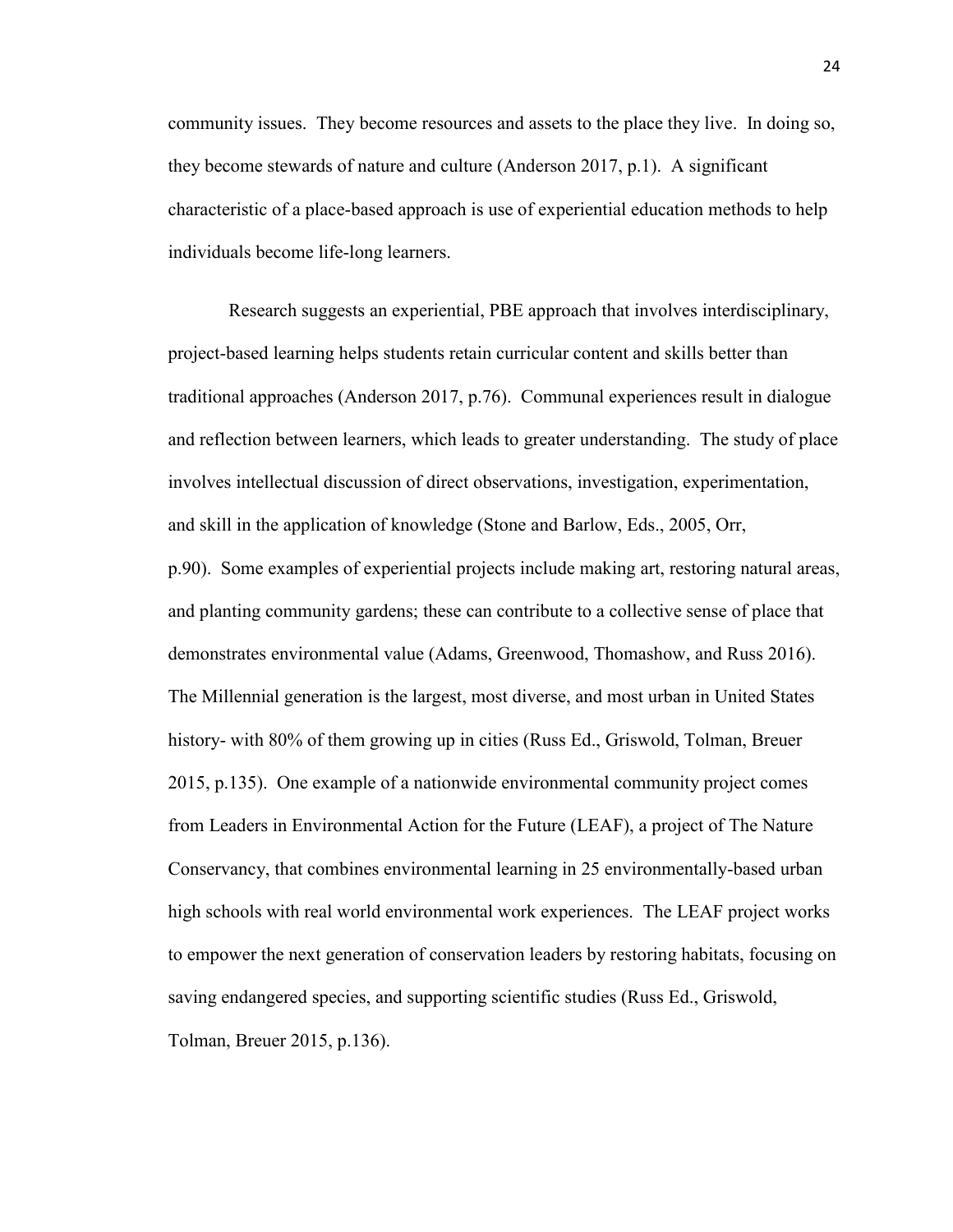community issues. They become resources and assets to the place they live. In doing so, they become stewards of nature and culture (Anderson 2017, p.1). A significant characteristic of a place-based approach is use of experiential education methods to help individuals become life-long learners.

Research suggests an experiential, PBE approach that involves interdisciplinary, project-based learning helps students retain curricular content and skills better than traditional approaches (Anderson 2017, p.76). Communal experiences result in dialogue and reflection between learners, which leads to greater understanding. The study of place involves intellectual discussion of direct observations, investigation, experimentation, and skill in the application of knowledge (Stone and Barlow, Eds., 2005, Orr, p.90). Some examples of experiential projects include making art, restoring natural areas, and planting community gardens; these can contribute to a collective sense of place that demonstrates environmental value (Adams, Greenwood, Thomashow, and Russ 2016). The Millennial generation is the largest, most diverse, and most urban in United States history- with 80% of them growing up in cities (Russ Ed., Griswold, Tolman, Breuer 2015, p.135). One example of a nationwide environmental community project comes from Leaders in Environmental Action for the Future (LEAF), a project of The Nature Conservancy, that combines environmental learning in 25 environmentally-based urban high schools with real world environmental work experiences. The LEAF project works to empower the next generation of conservation leaders by restoring habitats, focusing on saving endangered species, and supporting scientific studies (Russ Ed., Griswold, Tolman, Breuer 2015, p.136).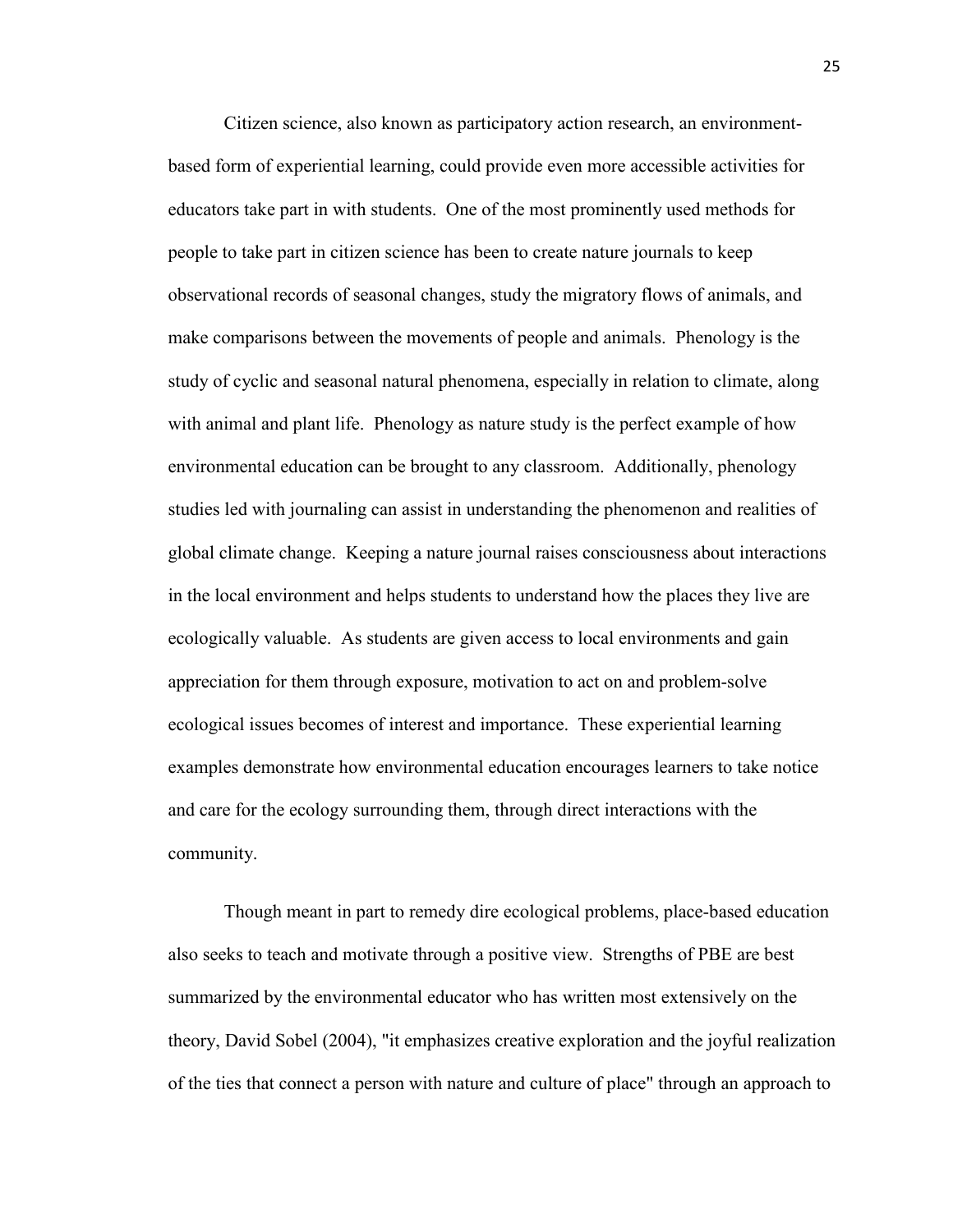Citizen science, also known as participatory action research, an environmentbased form of experiential learning, could provide even more accessible activities for educators take part in with students. One of the most prominently used methods for people to take part in citizen science has been to create nature journals to keep observational records of seasonal changes, study the migratory flows of animals, and make comparisons between the movements of people and animals. Phenology is the study of cyclic and seasonal natural phenomena, especially in relation to climate, along with animal and plant life. Phenology as nature study is the perfect example of how environmental education can be brought to any classroom. Additionally, phenology studies led with journaling can assist in understanding the phenomenon and realities of global climate change. Keeping a nature journal raises consciousness about interactions in the local environment and helps students to understand how the places they live are ecologically valuable. As students are given access to local environments and gain appreciation for them through exposure, motivation to act on and problem-solve ecological issues becomes of interest and importance. These experiential learning examples demonstrate how environmental education encourages learners to take notice and care for the ecology surrounding them, through direct interactions with the community.

Though meant in part to remedy dire ecological problems, place-based education also seeks to teach and motivate through a positive view. Strengths of PBE are best summarized by the environmental educator who has written most extensively on the theory, David Sobel (2004), "it emphasizes creative exploration and the joyful realization of the ties that connect a person with nature and culture of place" through an approach to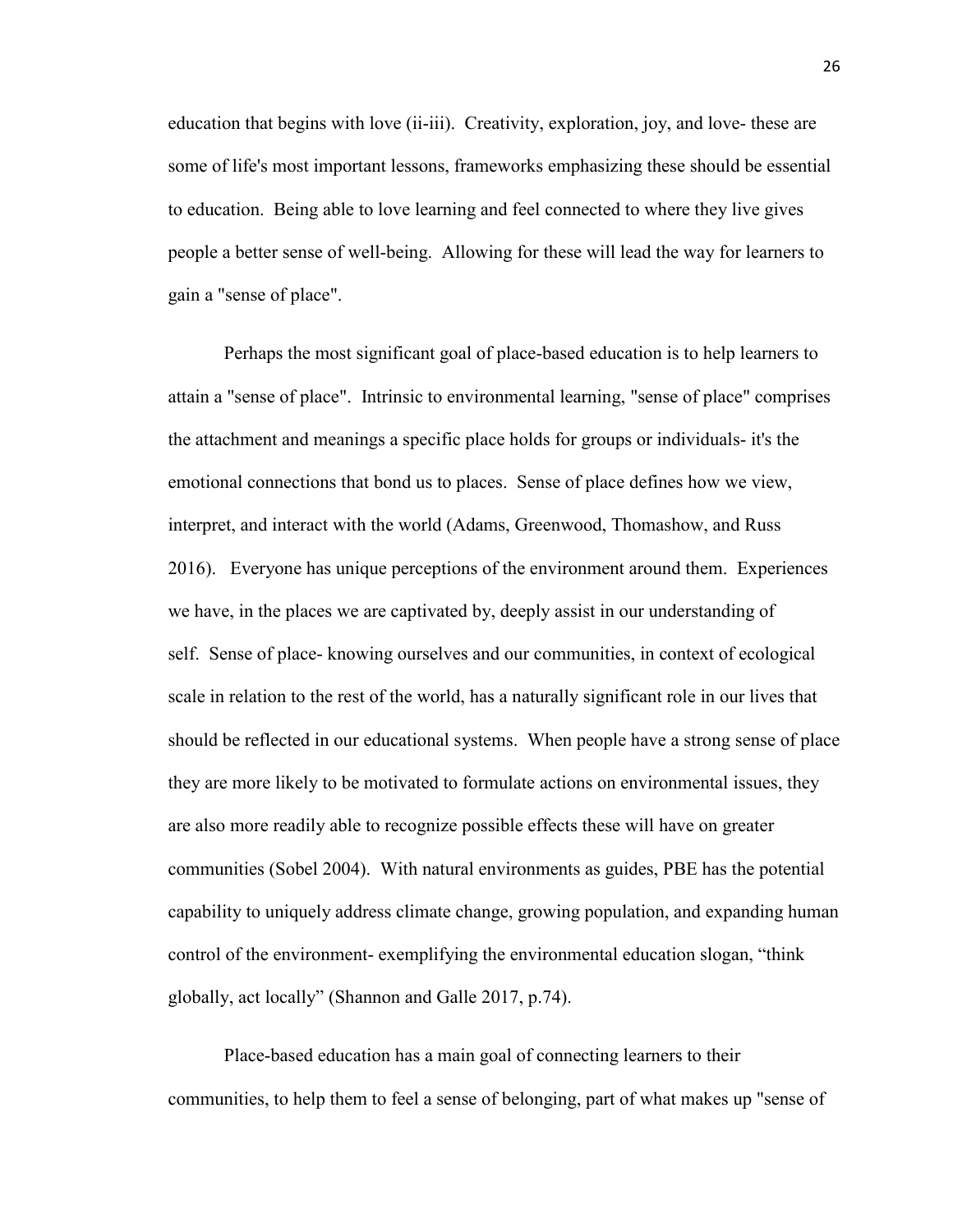education that begins with love (ii-iii). Creativity, exploration, joy, and love- these are some of life's most important lessons, frameworks emphasizing these should be essential to education. Being able to love learning and feel connected to where they live gives people a better sense of well-being. Allowing for these will lead the way for learners to gain a "sense of place".

Perhaps the most significant goal of place-based education is to help learners to attain a "sense of place". Intrinsic to environmental learning, "sense of place" comprises the attachment and meanings a specific place holds for groups or individuals- it's the emotional connections that bond us to places. Sense of place defines how we view, interpret, and interact with the world (Adams, Greenwood, Thomashow, and Russ 2016). Everyone has unique perceptions of the environment around them. Experiences we have, in the places we are captivated by, deeply assist in our understanding of self. Sense of place- knowing ourselves and our communities, in context of ecological scale in relation to the rest of the world, has a naturally significant role in our lives that should be reflected in our educational systems. When people have a strong sense of place they are more likely to be motivated to formulate actions on environmental issues, they are also more readily able to recognize possible effects these will have on greater communities (Sobel 2004). With natural environments as guides, PBE has the potential capability to uniquely address climate change, growing population, and expanding human control of the environment- exemplifying the environmental education slogan, "think globally, act locally" (Shannon and Galle 2017, p.74).

Place-based education has a main goal of connecting learners to their communities, to help them to feel a sense of belonging, part of what makes up "sense of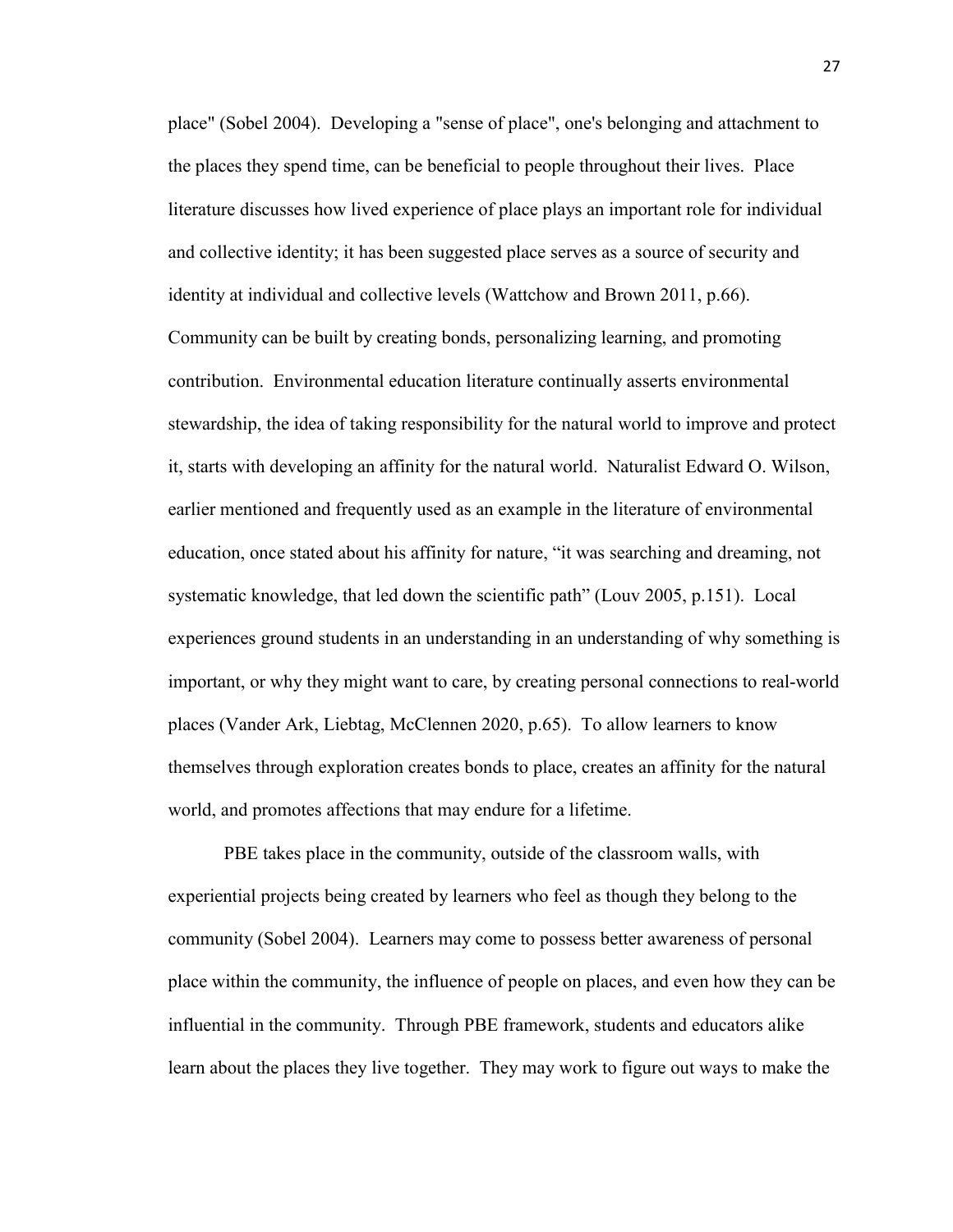place" (Sobel 2004). Developing a "sense of place", one's belonging and attachment to the places they spend time, can be beneficial to people throughout their lives. Place literature discusses how lived experience of place plays an important role for individual and collective identity; it has been suggested place serves as a source of security and identity at individual and collective levels (Wattchow and Brown 2011, p.66). Community can be built by creating bonds, personalizing learning, and promoting contribution. Environmental education literature continually asserts environmental stewardship, the idea of taking responsibility for the natural world to improve and protect it, starts with developing an affinity for the natural world. Naturalist Edward O. Wilson, earlier mentioned and frequently used as an example in the literature of environmental education, once stated about his affinity for nature, "it was searching and dreaming, not systematic knowledge, that led down the scientific path" (Louv 2005, p.151). Local experiences ground students in an understanding in an understanding of why something is important, or why they might want to care, by creating personal connections to real-world places (Vander Ark, Liebtag, McClennen 2020, p.65). To allow learners to know themselves through exploration creates bonds to place, creates an affinity for the natural world, and promotes affections that may endure for a lifetime.

PBE takes place in the community, outside of the classroom walls, with experiential projects being created by learners who feel as though they belong to the community (Sobel 2004). Learners may come to possess better awareness of personal place within the community, the influence of people on places, and even how they can be influential in the community. Through PBE framework, students and educators alike learn about the places they live together. They may work to figure out ways to make the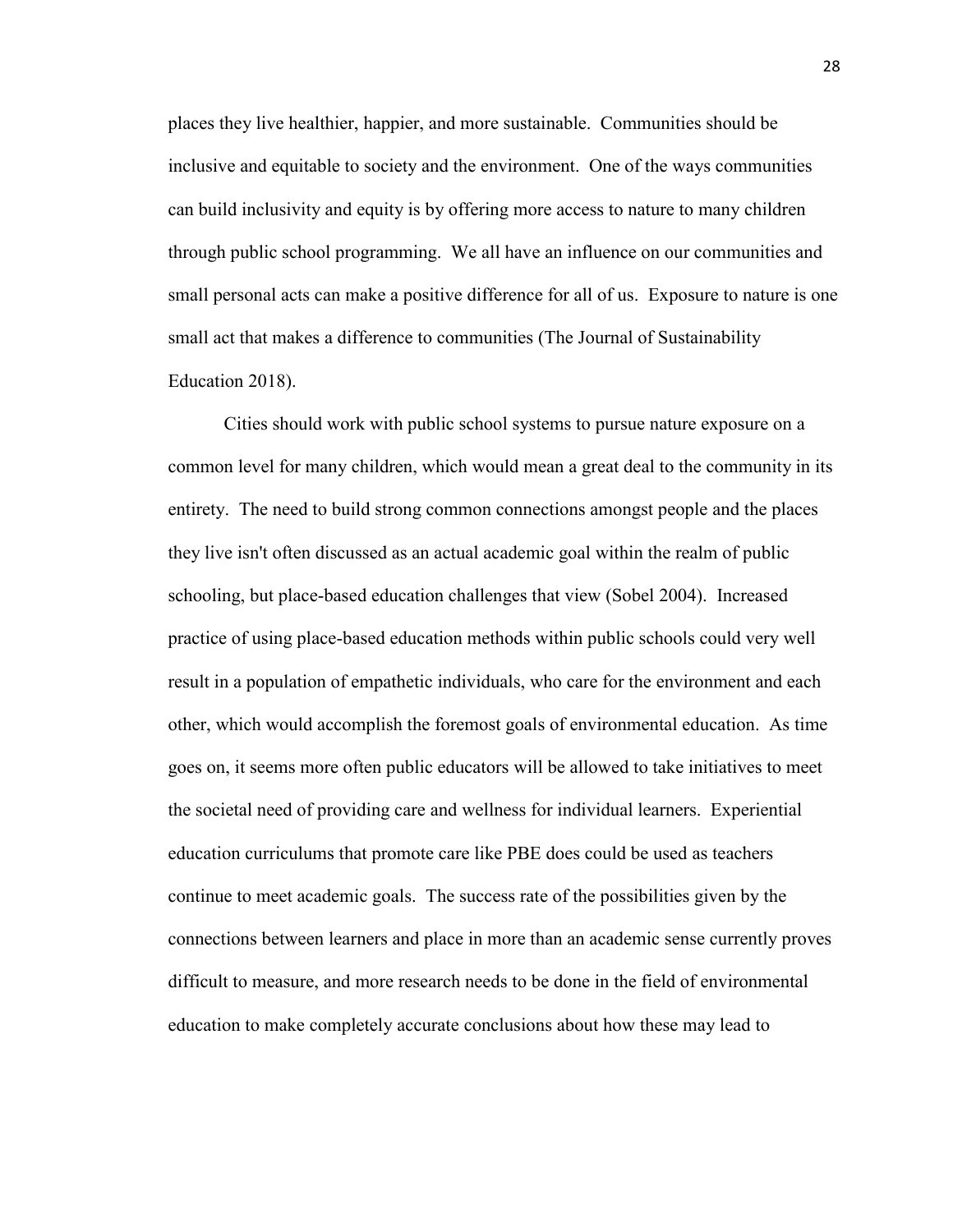places they live healthier, happier, and more sustainable. Communities should be inclusive and equitable to society and the environment. One of the ways communities can build inclusivity and equity is by offering more access to nature to many children through public school programming. We all have an influence on our communities and small personal acts can make a positive difference for all of us. Exposure to nature is one small act that makes a difference to communities (The Journal of Sustainability Education 2018).

Cities should work with public school systems to pursue nature exposure on a common level for many children, which would mean a great deal to the community in its entirety. The need to build strong common connections amongst people and the places they live isn't often discussed as an actual academic goal within the realm of public schooling, but place-based education challenges that view (Sobel 2004). Increased practice of using place-based education methods within public schools could very well result in a population of empathetic individuals, who care for the environment and each other, which would accomplish the foremost goals of environmental education. As time goes on, it seems more often public educators will be allowed to take initiatives to meet the societal need of providing care and wellness for individual learners. Experiential education curriculums that promote care like PBE does could be used as teachers continue to meet academic goals. The success rate of the possibilities given by the connections between learners and place in more than an academic sense currently proves difficult to measure, and more research needs to be done in the field of environmental education to make completely accurate conclusions about how these may lead to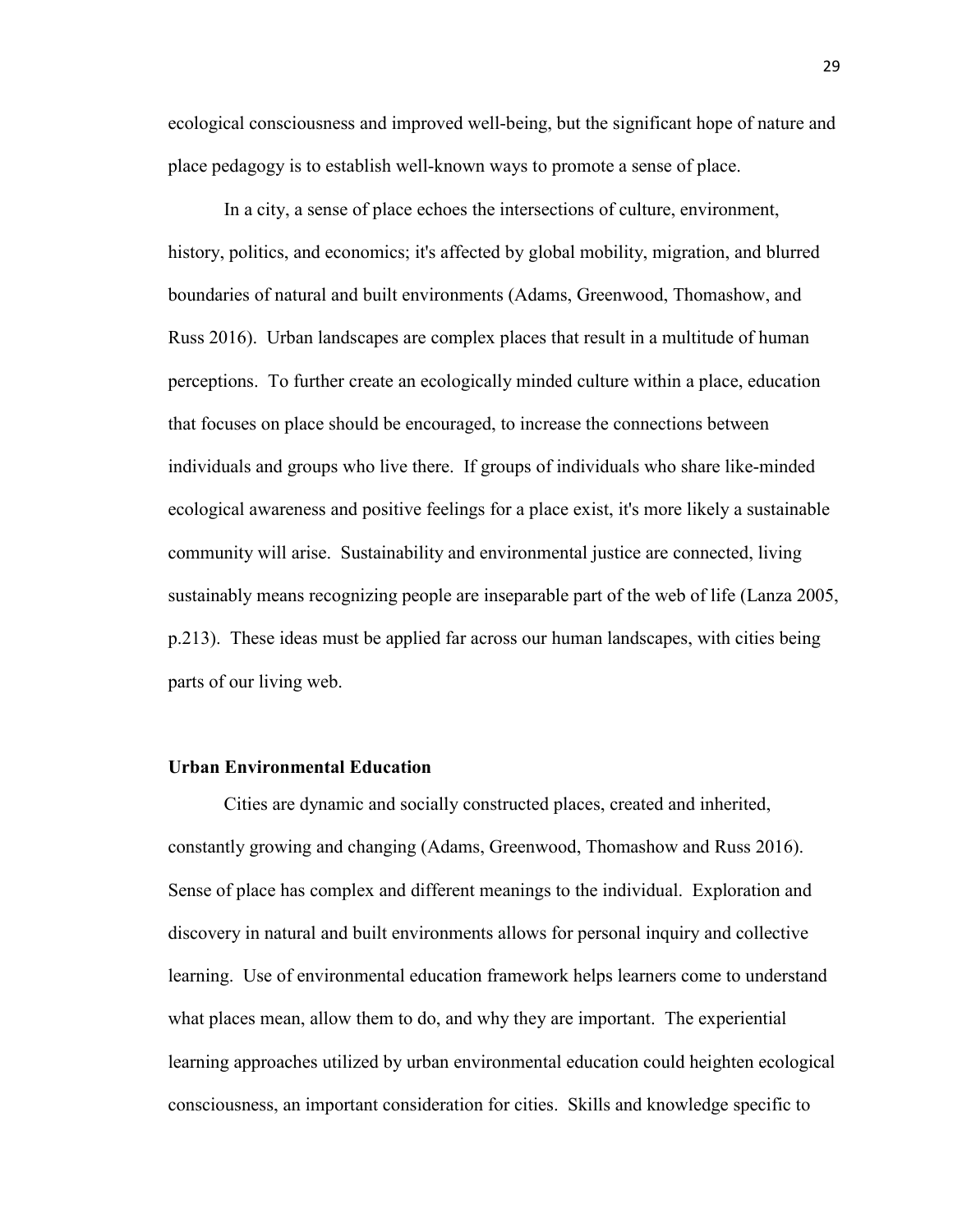ecological consciousness and improved well-being, but the significant hope of nature and place pedagogy is to establish well-known ways to promote a sense of place.

In a city, a sense of place echoes the intersections of culture, environment, history, politics, and economics; it's affected by global mobility, migration, and blurred boundaries of natural and built environments (Adams, Greenwood, Thomashow, and Russ 2016). Urban landscapes are complex places that result in a multitude of human perceptions. To further create an ecologically minded culture within a place, education that focuses on place should be encouraged, to increase the connections between individuals and groups who live there. If groups of individuals who share like-minded ecological awareness and positive feelings for a place exist, it's more likely a sustainable community will arise. Sustainability and environmental justice are connected, living sustainably means recognizing people are inseparable part of the web of life (Lanza 2005, p.213). These ideas must be applied far across our human landscapes, with cities being parts of our living web.

#### **Urban Environmental Education**

Cities are dynamic and socially constructed places, created and inherited, constantly growing and changing (Adams, Greenwood, Thomashow and Russ 2016). Sense of place has complex and different meanings to the individual. Exploration and discovery in natural and built environments allows for personal inquiry and collective learning. Use of environmental education framework helps learners come to understand what places mean, allow them to do, and why they are important. The experiential learning approaches utilized by urban environmental education could heighten ecological consciousness, an important consideration for cities. Skills and knowledge specific to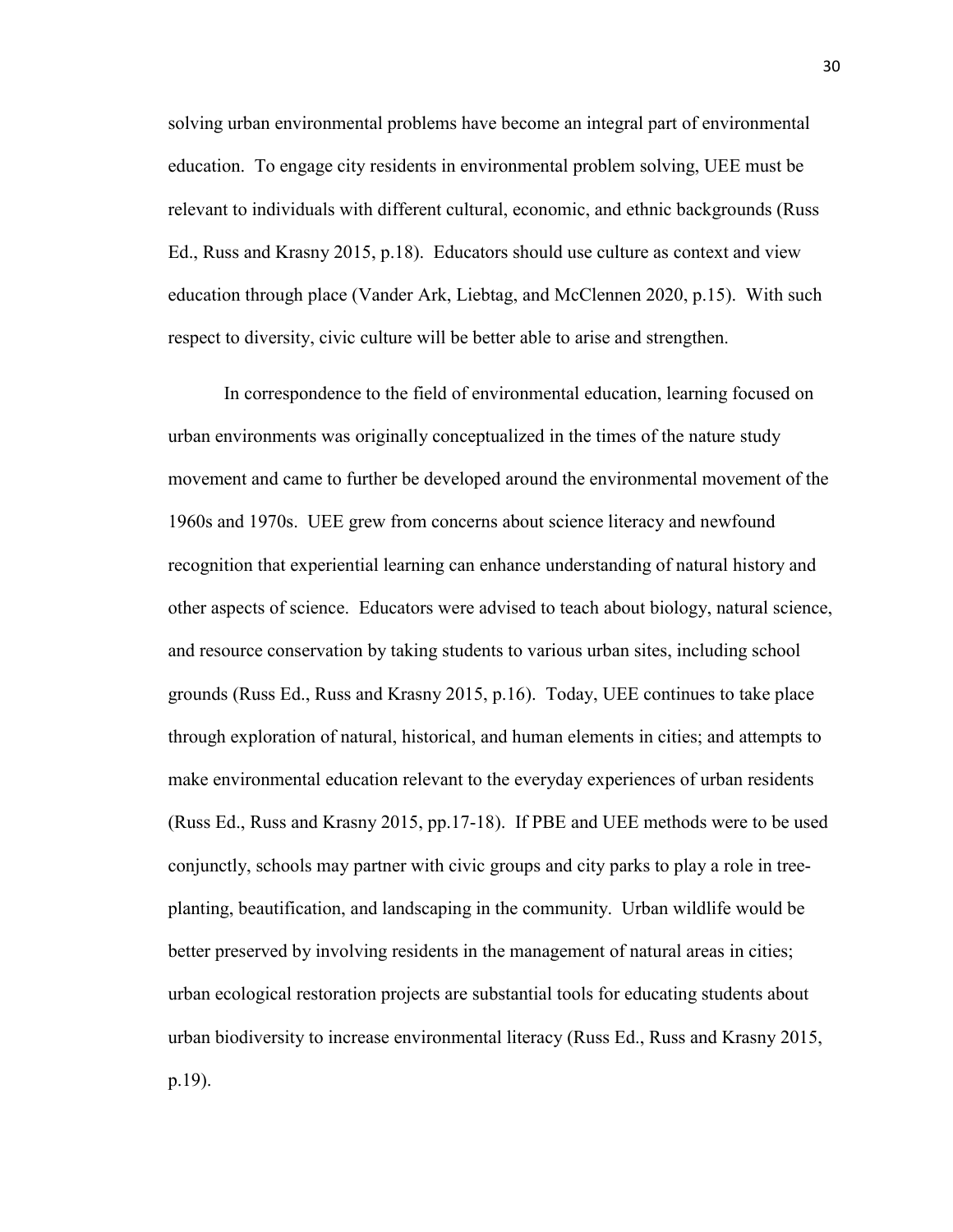solving urban environmental problems have become an integral part of environmental education. To engage city residents in environmental problem solving, UEE must be relevant to individuals with different cultural, economic, and ethnic backgrounds (Russ Ed., Russ and Krasny 2015, p.18). Educators should use culture as context and view education through place (Vander Ark, Liebtag, and McClennen 2020, p.15). With such respect to diversity, civic culture will be better able to arise and strengthen.

In correspondence to the field of environmental education, learning focused on urban environments was originally conceptualized in the times of the nature study movement and came to further be developed around the environmental movement of the 1960s and 1970s. UEE grew from concerns about science literacy and newfound recognition that experiential learning can enhance understanding of natural history and other aspects of science. Educators were advised to teach about biology, natural science, and resource conservation by taking students to various urban sites, including school grounds (Russ Ed., Russ and Krasny 2015, p.16). Today, UEE continues to take place through exploration of natural, historical, and human elements in cities; and attempts to make environmental education relevant to the everyday experiences of urban residents (Russ Ed., Russ and Krasny 2015, pp.17-18). If PBE and UEE methods were to be used conjunctly, schools may partner with civic groups and city parks to play a role in treeplanting, beautification, and landscaping in the community. Urban wildlife would be better preserved by involving residents in the management of natural areas in cities; urban ecological restoration projects are substantial tools for educating students about urban biodiversity to increase environmental literacy (Russ Ed., Russ and Krasny 2015, p.19).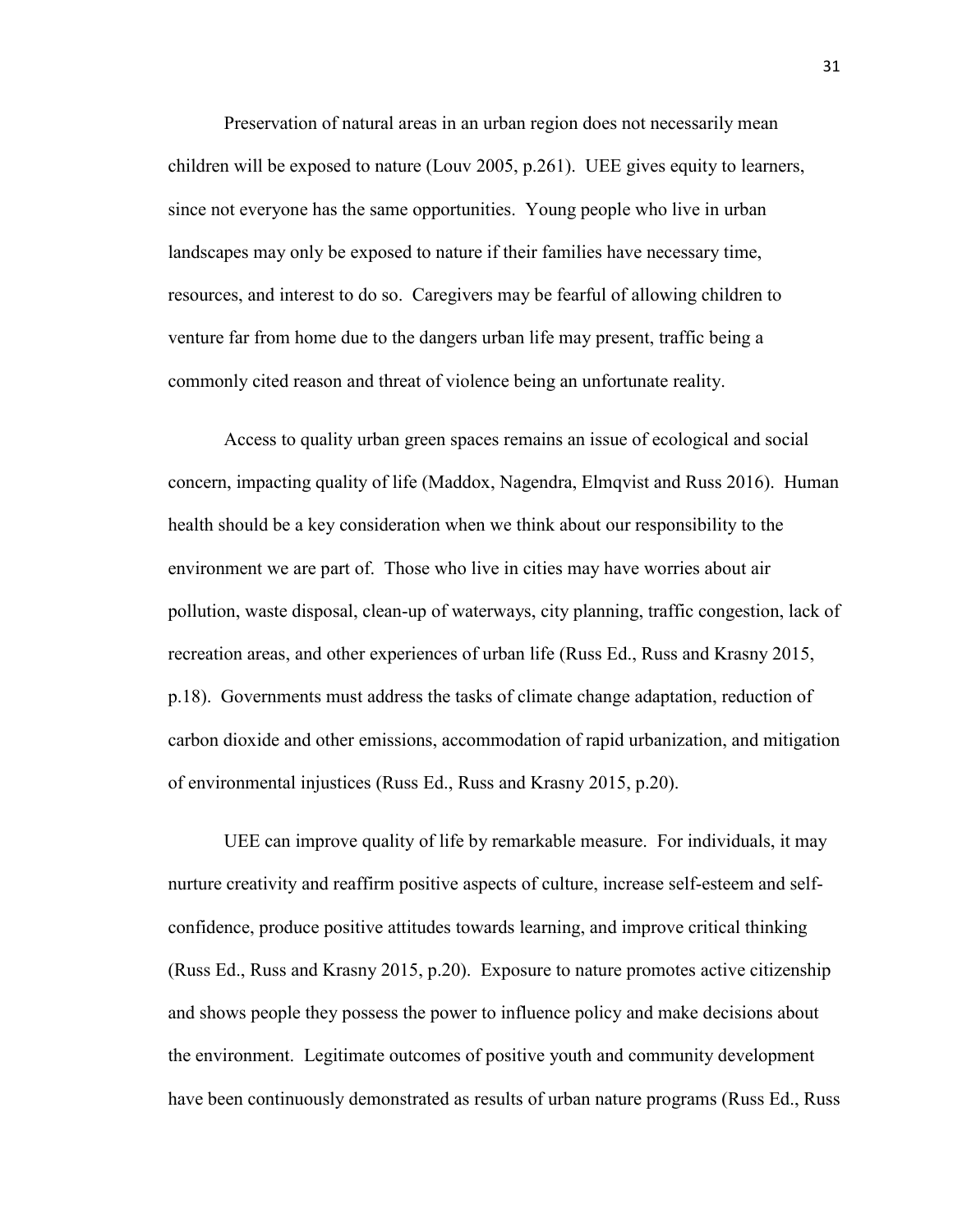Preservation of natural areas in an urban region does not necessarily mean children will be exposed to nature (Louv 2005, p.261). UEE gives equity to learners, since not everyone has the same opportunities. Young people who live in urban landscapes may only be exposed to nature if their families have necessary time, resources, and interest to do so. Caregivers may be fearful of allowing children to venture far from home due to the dangers urban life may present, traffic being a commonly cited reason and threat of violence being an unfortunate reality.

Access to quality urban green spaces remains an issue of ecological and social concern, impacting quality of life (Maddox, Nagendra, Elmqvist and Russ 2016). Human health should be a key consideration when we think about our responsibility to the environment we are part of. Those who live in cities may have worries about air pollution, waste disposal, clean-up of waterways, city planning, traffic congestion, lack of recreation areas, and other experiences of urban life (Russ Ed., Russ and Krasny 2015, p.18). Governments must address the tasks of climate change adaptation, reduction of carbon dioxide and other emissions, accommodation of rapid urbanization, and mitigation of environmental injustices (Russ Ed., Russ and Krasny 2015, p.20).

UEE can improve quality of life by remarkable measure. For individuals, it may nurture creativity and reaffirm positive aspects of culture, increase self-esteem and selfconfidence, produce positive attitudes towards learning, and improve critical thinking (Russ Ed., Russ and Krasny 2015, p.20). Exposure to nature promotes active citizenship and shows people they possess the power to influence policy and make decisions about the environment. Legitimate outcomes of positive youth and community development have been continuously demonstrated as results of urban nature programs (Russ Ed., Russ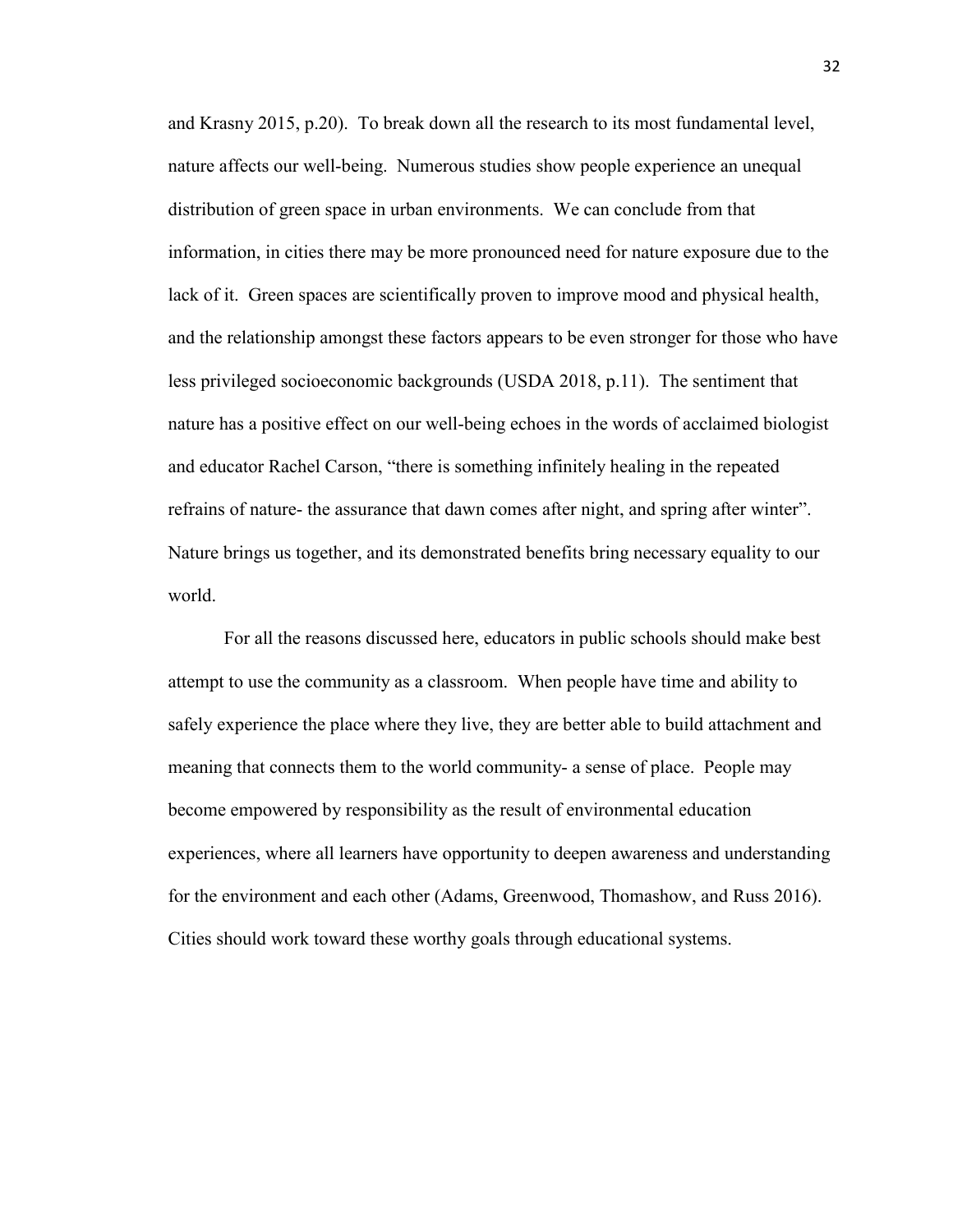and Krasny 2015, p.20). To break down all the research to its most fundamental level, nature affects our well-being. Numerous studies show people experience an unequal distribution of green space in urban environments. We can conclude from that information, in cities there may be more pronounced need for nature exposure due to the lack of it. Green spaces are scientifically proven to improve mood and physical health, and the relationship amongst these factors appears to be even stronger for those who have less privileged socioeconomic backgrounds (USDA 2018, p.11). The sentiment that nature has a positive effect on our well-being echoes in the words of acclaimed biologist and educator Rachel Carson, "there is something infinitely healing in the repeated refrains of nature- the assurance that dawn comes after night, and spring after winter". Nature brings us together, and its demonstrated benefits bring necessary equality to our world.

For all the reasons discussed here, educators in public schools should make best attempt to use the community as a classroom. When people have time and ability to safely experience the place where they live, they are better able to build attachment and meaning that connects them to the world community- a sense of place. People may become empowered by responsibility as the result of environmental education experiences, where all learners have opportunity to deepen awareness and understanding for the environment and each other (Adams, Greenwood, Thomashow, and Russ 2016). Cities should work toward these worthy goals through educational systems.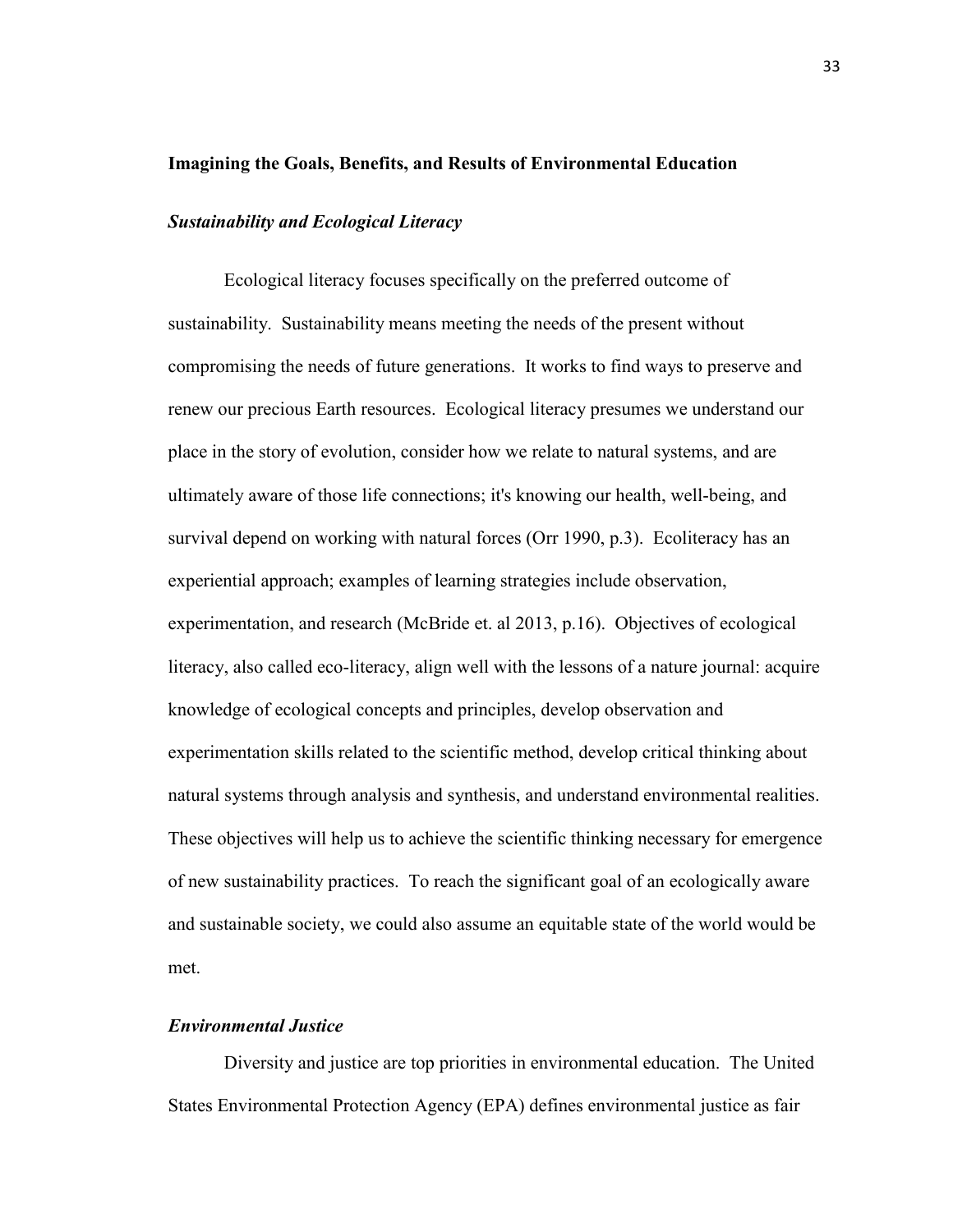#### **Imagining the Goals, Benefits, and Results of Environmental Education**

#### *Sustainability and Ecological Literacy*

Ecological literacy focuses specifically on the preferred outcome of sustainability. Sustainability means meeting the needs of the present without compromising the needs of future generations. It works to find ways to preserve and renew our precious Earth resources. Ecological literacy presumes we understand our place in the story of evolution, consider how we relate to natural systems, and are ultimately aware of those life connections; it's knowing our health, well-being, and survival depend on working with natural forces (Orr 1990, p.3). Ecoliteracy has an experiential approach; examples of learning strategies include observation, experimentation, and research (McBride et. al 2013, p.16). Objectives of ecological literacy, also called eco-literacy, align well with the lessons of a nature journal: acquire knowledge of ecological concepts and principles, develop observation and experimentation skills related to the scientific method, develop critical thinking about natural systems through analysis and synthesis, and understand environmental realities. These objectives will help us to achieve the scientific thinking necessary for emergence of new sustainability practices. To reach the significant goal of an ecologically aware and sustainable society, we could also assume an equitable state of the world would be met.

#### *Environmental Justice*

Diversity and justice are top priorities in environmental education. The United States Environmental Protection Agency (EPA) defines environmental justice as fair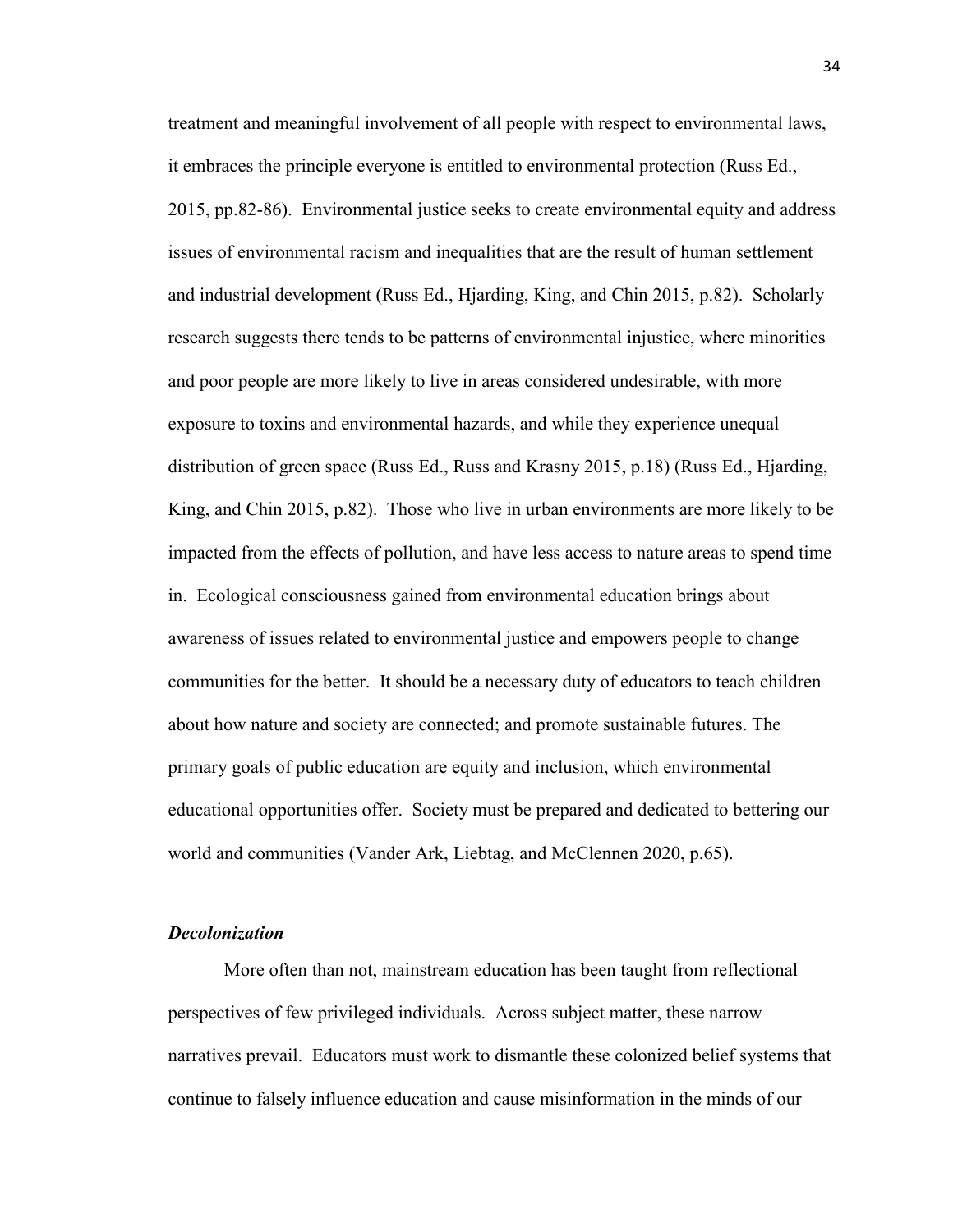treatment and meaningful involvement of all people with respect to environmental laws, it embraces the principle everyone is entitled to environmental protection (Russ Ed., 2015, pp.82-86). Environmental justice seeks to create environmental equity and address issues of environmental racism and inequalities that are the result of human settlement and industrial development (Russ Ed., Hjarding, King, and Chin 2015, p.82). Scholarly research suggests there tends to be patterns of environmental injustice, where minorities and poor people are more likely to live in areas considered undesirable, with more exposure to toxins and environmental hazards, and while they experience unequal distribution of green space (Russ Ed., Russ and Krasny 2015, p.18) (Russ Ed., Hjarding, King, and Chin 2015, p.82). Those who live in urban environments are more likely to be impacted from the effects of pollution, and have less access to nature areas to spend time in. Ecological consciousness gained from environmental education brings about awareness of issues related to environmental justice and empowers people to change communities for the better. It should be a necessary duty of educators to teach children about how nature and society are connected; and promote sustainable futures. The primary goals of public education are equity and inclusion, which environmental educational opportunities offer. Society must be prepared and dedicated to bettering our world and communities (Vander Ark, Liebtag, and McClennen 2020, p.65).

#### *Decolonization*

More often than not, mainstream education has been taught from reflectional perspectives of few privileged individuals. Across subject matter, these narrow narratives prevail. Educators must work to dismantle these colonized belief systems that continue to falsely influence education and cause misinformation in the minds of our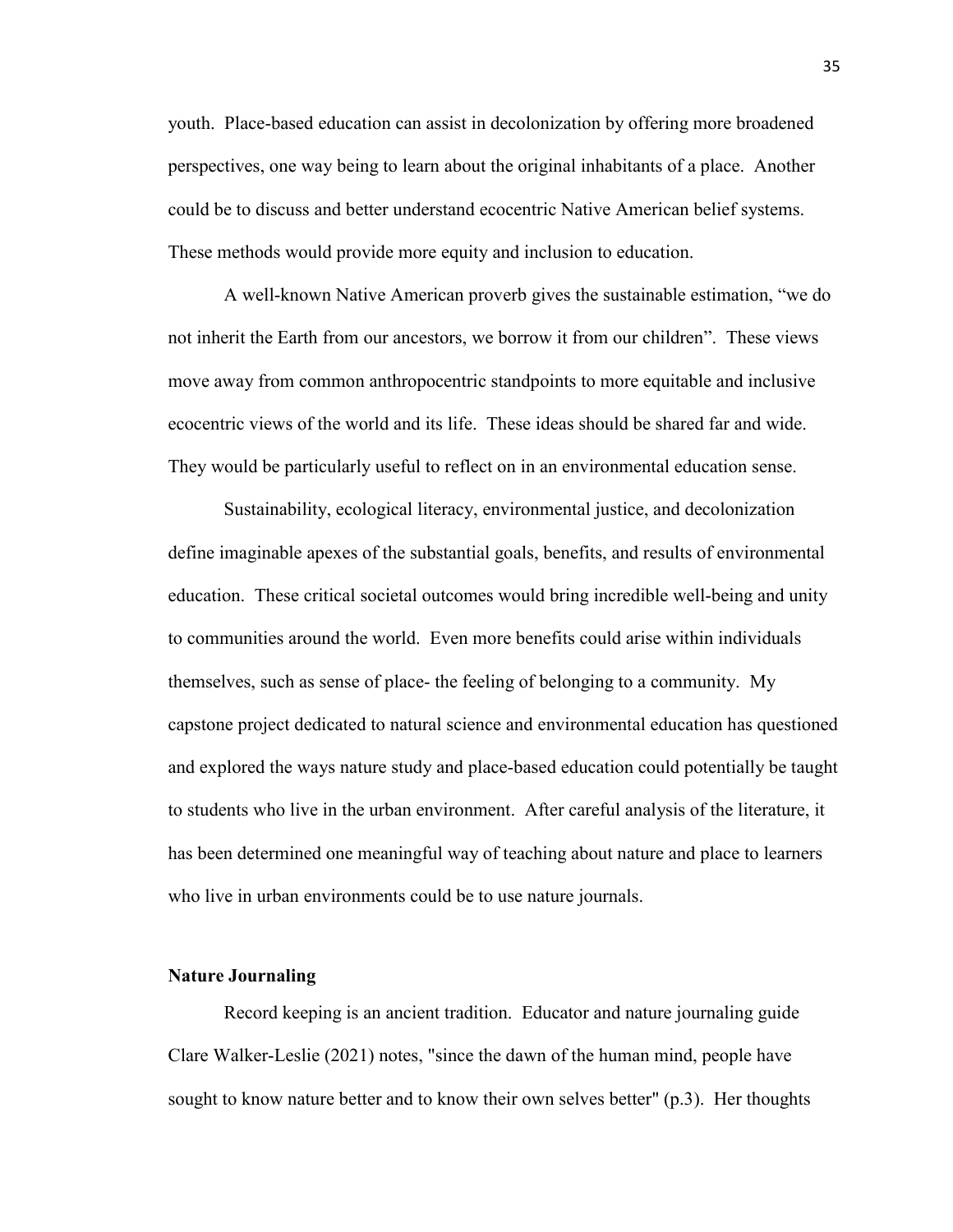youth. Place-based education can assist in decolonization by offering more broadened perspectives, one way being to learn about the original inhabitants of a place. Another could be to discuss and better understand ecocentric Native American belief systems. These methods would provide more equity and inclusion to education.

A well-known Native American proverb gives the sustainable estimation, "we do not inherit the Earth from our ancestors, we borrow it from our children". These views move away from common anthropocentric standpoints to more equitable and inclusive ecocentric views of the world and its life. These ideas should be shared far and wide. They would be particularly useful to reflect on in an environmental education sense.

Sustainability, ecological literacy, environmental justice, and decolonization define imaginable apexes of the substantial goals, benefits, and results of environmental education. These critical societal outcomes would bring incredible well-being and unity to communities around the world. Even more benefits could arise within individuals themselves, such as sense of place- the feeling of belonging to a community. My capstone project dedicated to natural science and environmental education has questioned and explored the ways nature study and place-based education could potentially be taught to students who live in the urban environment. After careful analysis of the literature, it has been determined one meaningful way of teaching about nature and place to learners who live in urban environments could be to use nature journals.

#### **Nature Journaling**

Record keeping is an ancient tradition. Educator and nature journaling guide Clare Walker-Leslie (2021) notes, "since the dawn of the human mind, people have sought to know nature better and to know their own selves better" (p.3). Her thoughts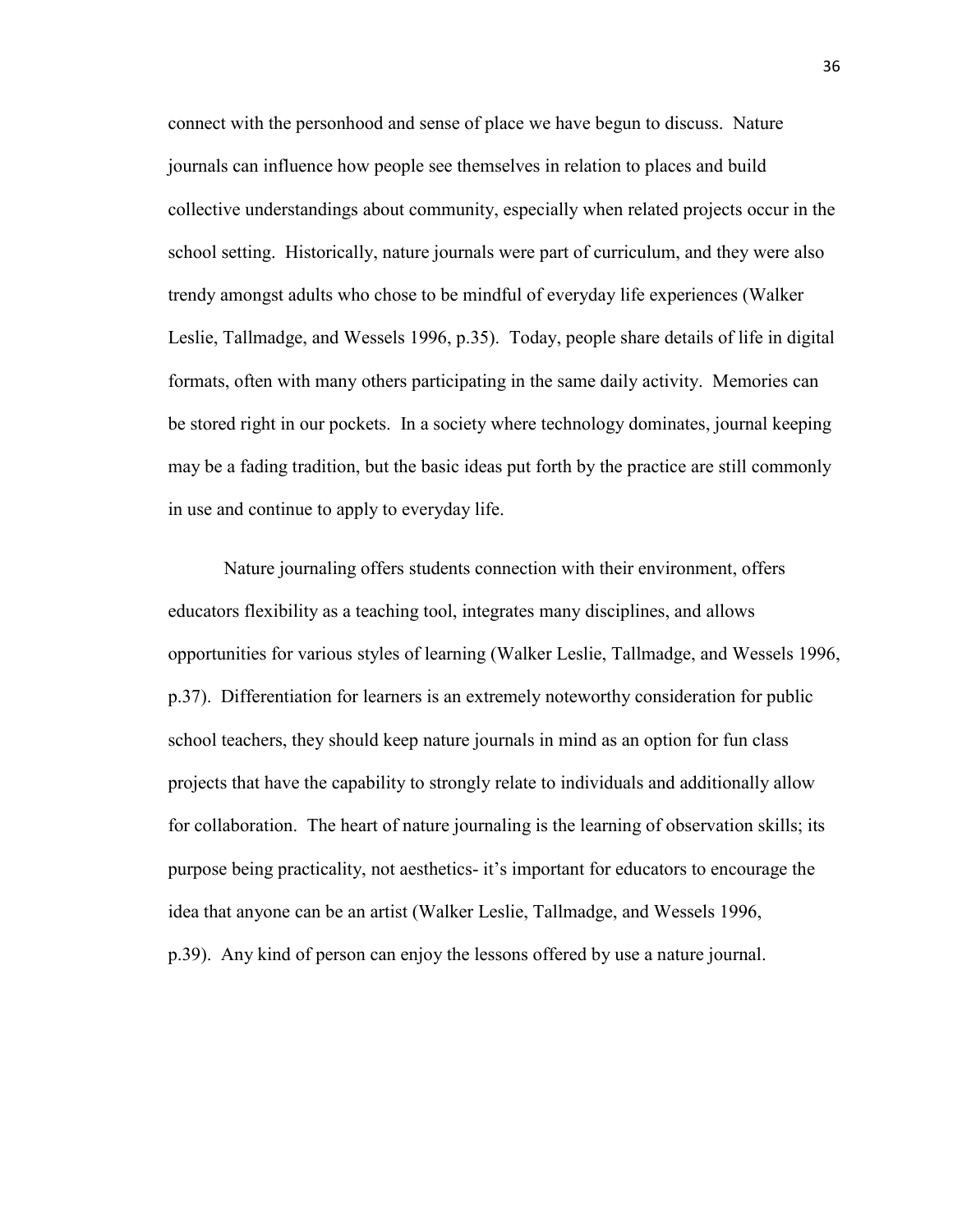connect with the personhood and sense of place we have begun to discuss. Nature journals can influence how people see themselves in relation to places and build collective understandings about community, especially when related projects occur in the school setting. Historically, nature journals were part of curriculum, and they were also trendy amongst adults who chose to be mindful of everyday life experiences (Walker Leslie, Tallmadge, and Wessels 1996, p.35). Today, people share details of life in digital formats, often with many others participating in the same daily activity. Memories can be stored right in our pockets. In a society where technology dominates, journal keeping may be a fading tradition, but the basic ideas put forth by the practice are still commonly in use and continue to apply to everyday life.

Nature journaling offers students connection with their environment, offers educators flexibility as a teaching tool, integrates many disciplines, and allows opportunities for various styles of learning (Walker Leslie, Tallmadge, and Wessels 1996, p.37). Differentiation for learners is an extremely noteworthy consideration for public school teachers, they should keep nature journals in mind as an option for fun class projects that have the capability to strongly relate to individuals and additionally allow for collaboration. The heart of nature journaling is the learning of observation skills; its purpose being practicality, not aesthetics- it's important for educators to encourage the idea that anyone can be an artist (Walker Leslie, Tallmadge, and Wessels 1996, p.39). Any kind of person can enjoy the lessons offered by use a nature journal.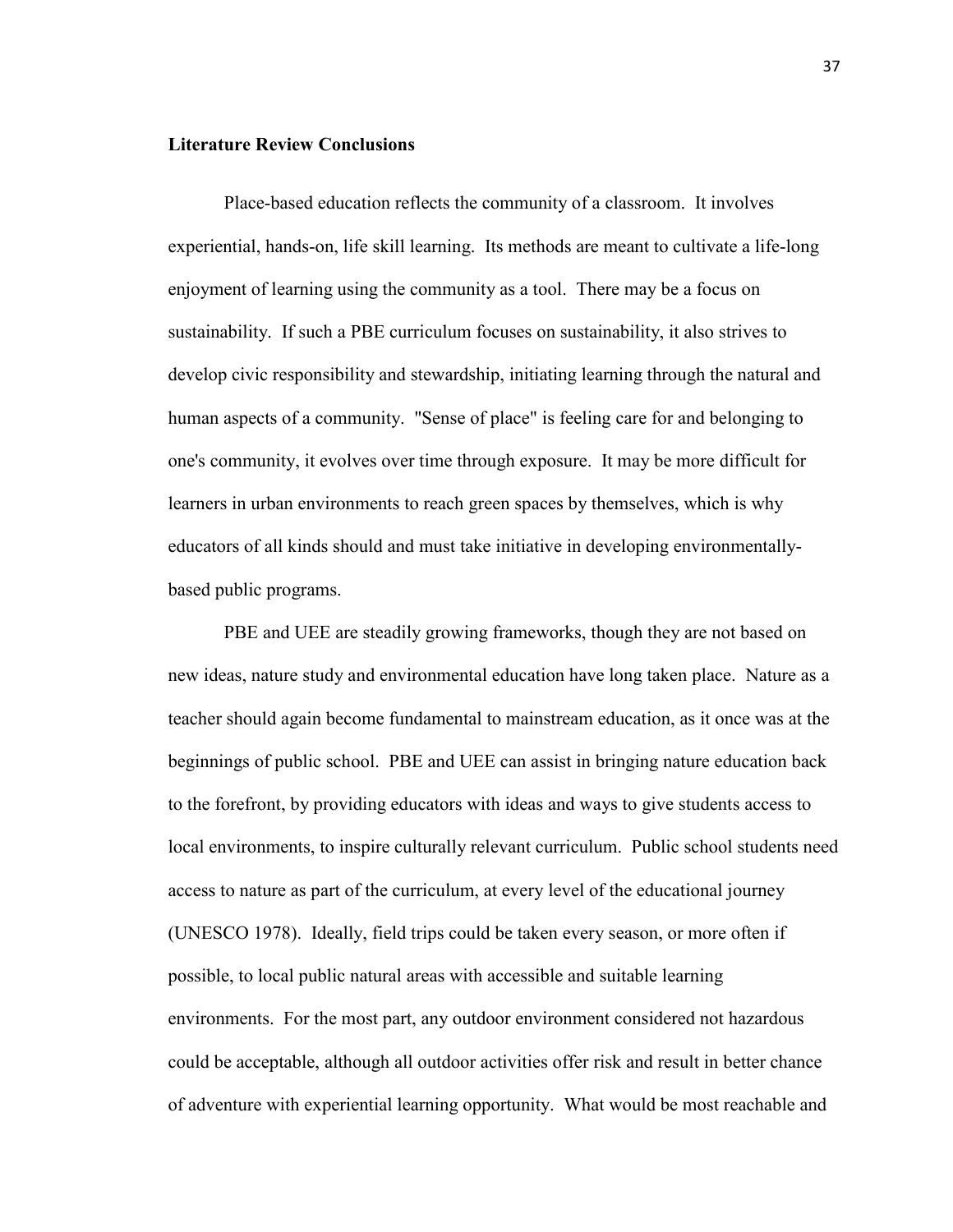#### **Literature Review Conclusions**

Place-based education reflects the community of a classroom. It involves experiential, hands-on, life skill learning. Its methods are meant to cultivate a life-long enjoyment of learning using the community as a tool. There may be a focus on sustainability. If such a PBE curriculum focuses on sustainability, it also strives to develop civic responsibility and stewardship, initiating learning through the natural and human aspects of a community. "Sense of place" is feeling care for and belonging to one's community, it evolves over time through exposure. It may be more difficult for learners in urban environments to reach green spaces by themselves, which is why educators of all kinds should and must take initiative in developing environmentallybased public programs.

PBE and UEE are steadily growing frameworks, though they are not based on new ideas, nature study and environmental education have long taken place. Nature as a teacher should again become fundamental to mainstream education, as it once was at the beginnings of public school. PBE and UEE can assist in bringing nature education back to the forefront, by providing educators with ideas and ways to give students access to local environments, to inspire culturally relevant curriculum. Public school students need access to nature as part of the curriculum, at every level of the educational journey (UNESCO 1978). Ideally, field trips could be taken every season, or more often if possible, to local public natural areas with accessible and suitable learning environments. For the most part, any outdoor environment considered not hazardous could be acceptable, although all outdoor activities offer risk and result in better chance of adventure with experiential learning opportunity. What would be most reachable and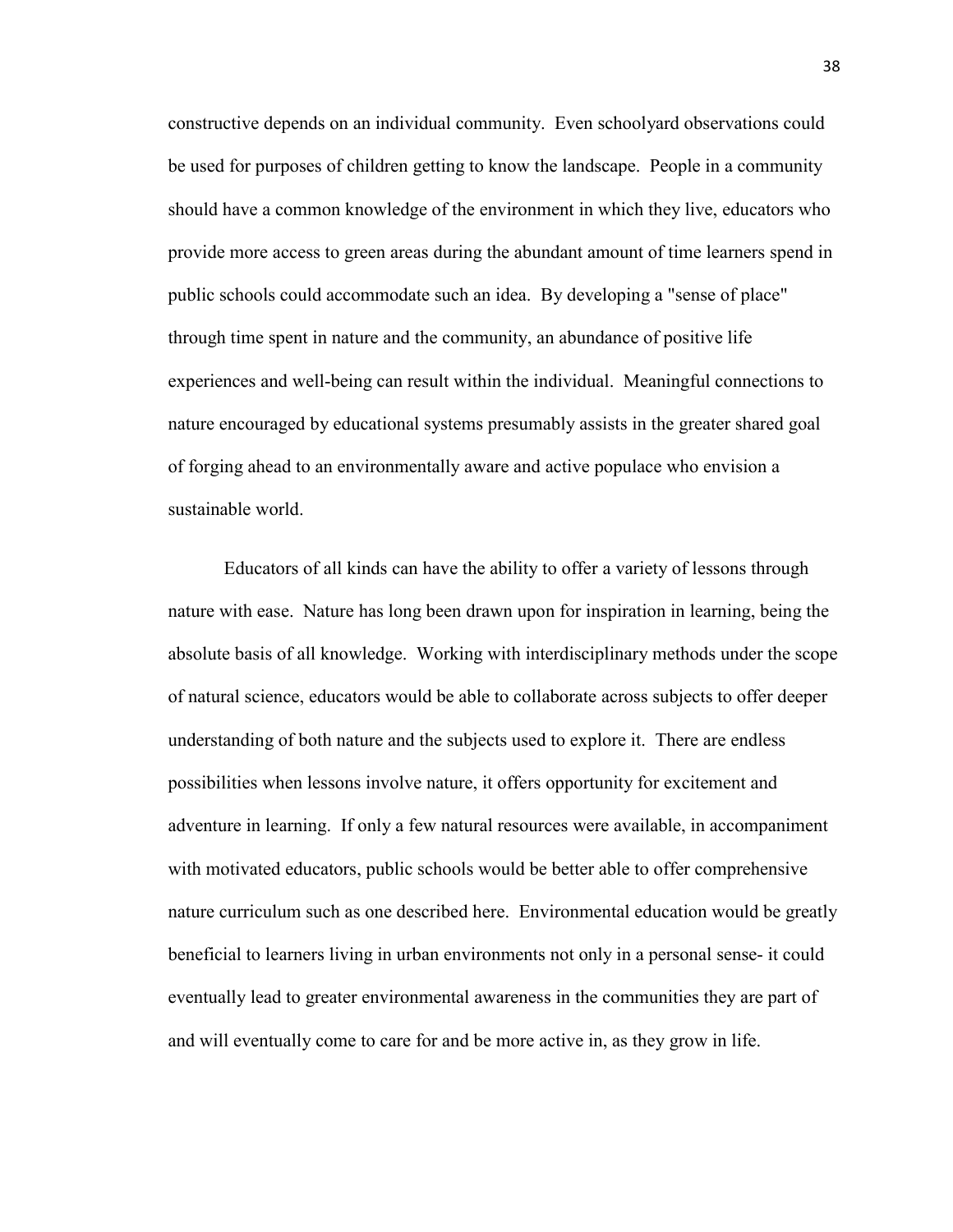constructive depends on an individual community. Even schoolyard observations could be used for purposes of children getting to know the landscape. People in a community should have a common knowledge of the environment in which they live, educators who provide more access to green areas during the abundant amount of time learners spend in public schools could accommodate such an idea. By developing a "sense of place" through time spent in nature and the community, an abundance of positive life experiences and well-being can result within the individual. Meaningful connections to nature encouraged by educational systems presumably assists in the greater shared goal of forging ahead to an environmentally aware and active populace who envision a sustainable world.

Educators of all kinds can have the ability to offer a variety of lessons through nature with ease. Nature has long been drawn upon for inspiration in learning, being the absolute basis of all knowledge. Working with interdisciplinary methods under the scope of natural science, educators would be able to collaborate across subjects to offer deeper understanding of both nature and the subjects used to explore it. There are endless possibilities when lessons involve nature, it offers opportunity for excitement and adventure in learning. If only a few natural resources were available, in accompaniment with motivated educators, public schools would be better able to offer comprehensive nature curriculum such as one described here. Environmental education would be greatly beneficial to learners living in urban environments not only in a personal sense- it could eventually lead to greater environmental awareness in the communities they are part of and will eventually come to care for and be more active in, as they grow in life.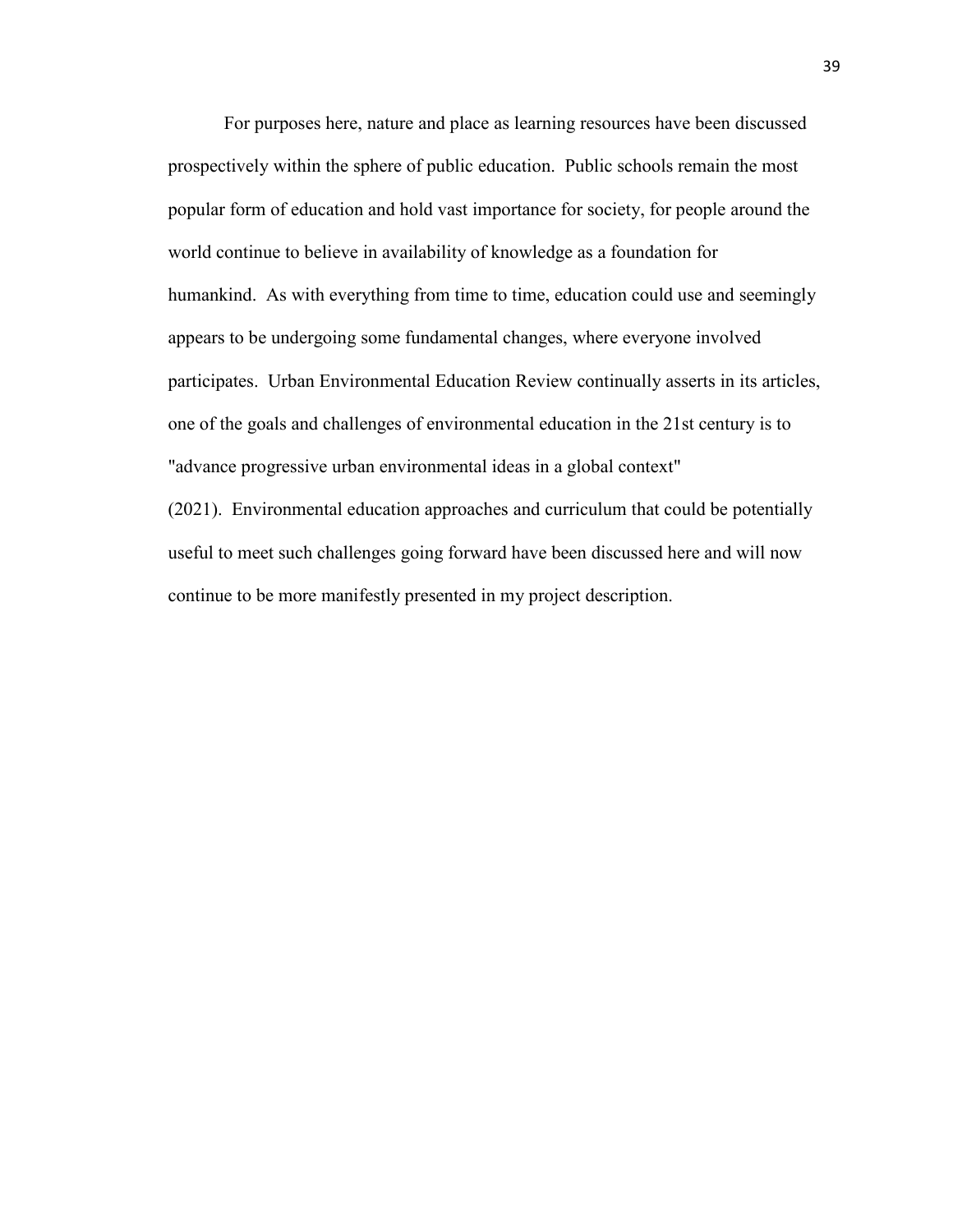For purposes here, nature and place as learning resources have been discussed prospectively within the sphere of public education. Public schools remain the most popular form of education and hold vast importance for society, for people around the world continue to believe in availability of knowledge as a foundation for humankind. As with everything from time to time, education could use and seemingly appears to be undergoing some fundamental changes, where everyone involved participates. Urban Environmental Education Review continually asserts in its articles, one of the goals and challenges of environmental education in the 21st century is to "advance progressive urban environmental ideas in a global context"

(2021). Environmental education approaches and curriculum that could be potentially useful to meet such challenges going forward have been discussed here and will now continue to be more manifestly presented in my project description.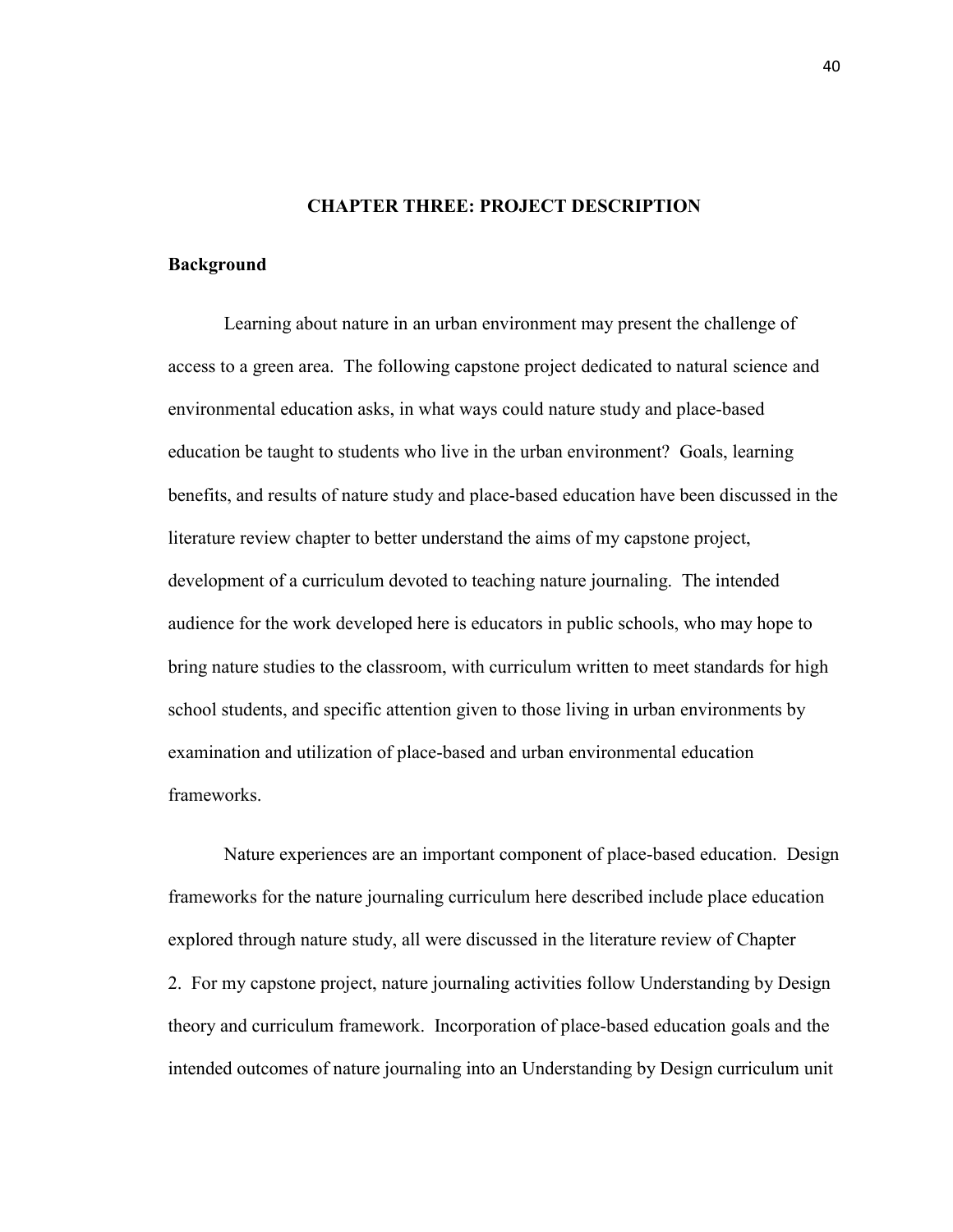#### **CHAPTER THREE: PROJECT DESCRIPTION**

#### **Background**

Learning about nature in an urban environment may present the challenge of access to a green area. The following capstone project dedicated to natural science and environmental education asks, in what ways could nature study and place-based education be taught to students who live in the urban environment? Goals, learning benefits, and results of nature study and place-based education have been discussed in the literature review chapter to better understand the aims of my capstone project, development of a curriculum devoted to teaching nature journaling. The intended audience for the work developed here is educators in public schools, who may hope to bring nature studies to the classroom, with curriculum written to meet standards for high school students, and specific attention given to those living in urban environments by examination and utilization of place-based and urban environmental education frameworks.

Nature experiences are an important component of place-based education. Design frameworks for the nature journaling curriculum here described include place education explored through nature study, all were discussed in the literature review of Chapter 2. For my capstone project, nature journaling activities follow Understanding by Design theory and curriculum framework. Incorporation of place-based education goals and the intended outcomes of nature journaling into an Understanding by Design curriculum unit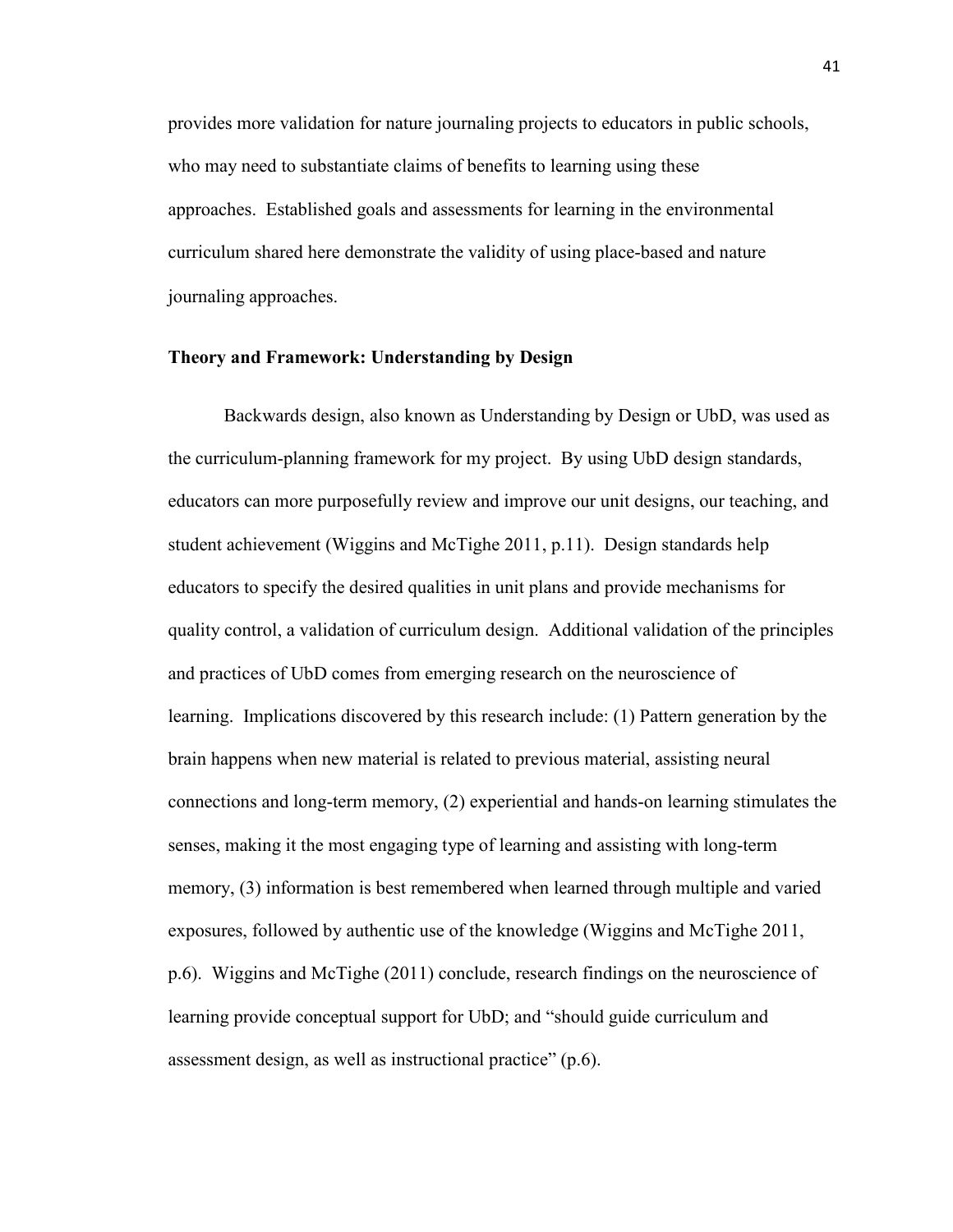provides more validation for nature journaling projects to educators in public schools, who may need to substantiate claims of benefits to learning using these approaches. Established goals and assessments for learning in the environmental curriculum shared here demonstrate the validity of using place-based and nature journaling approaches.

#### **Theory and Framework: Understanding by Design**

Backwards design, also known as Understanding by Design or UbD, was used as the curriculum-planning framework for my project. By using UbD design standards, educators can more purposefully review and improve our unit designs, our teaching, and student achievement (Wiggins and McTighe 2011, p.11). Design standards help educators to specify the desired qualities in unit plans and provide mechanisms for quality control, a validation of curriculum design. Additional validation of the principles and practices of UbD comes from emerging research on the neuroscience of learning. Implications discovered by this research include: (1) Pattern generation by the brain happens when new material is related to previous material, assisting neural connections and long-term memory, (2) experiential and hands-on learning stimulates the senses, making it the most engaging type of learning and assisting with long-term memory, (3) information is best remembered when learned through multiple and varied exposures, followed by authentic use of the knowledge (Wiggins and McTighe 2011, p.6). Wiggins and McTighe (2011) conclude, research findings on the neuroscience of learning provide conceptual support for UbD; and "should guide curriculum and assessment design, as well as instructional practice" (p.6).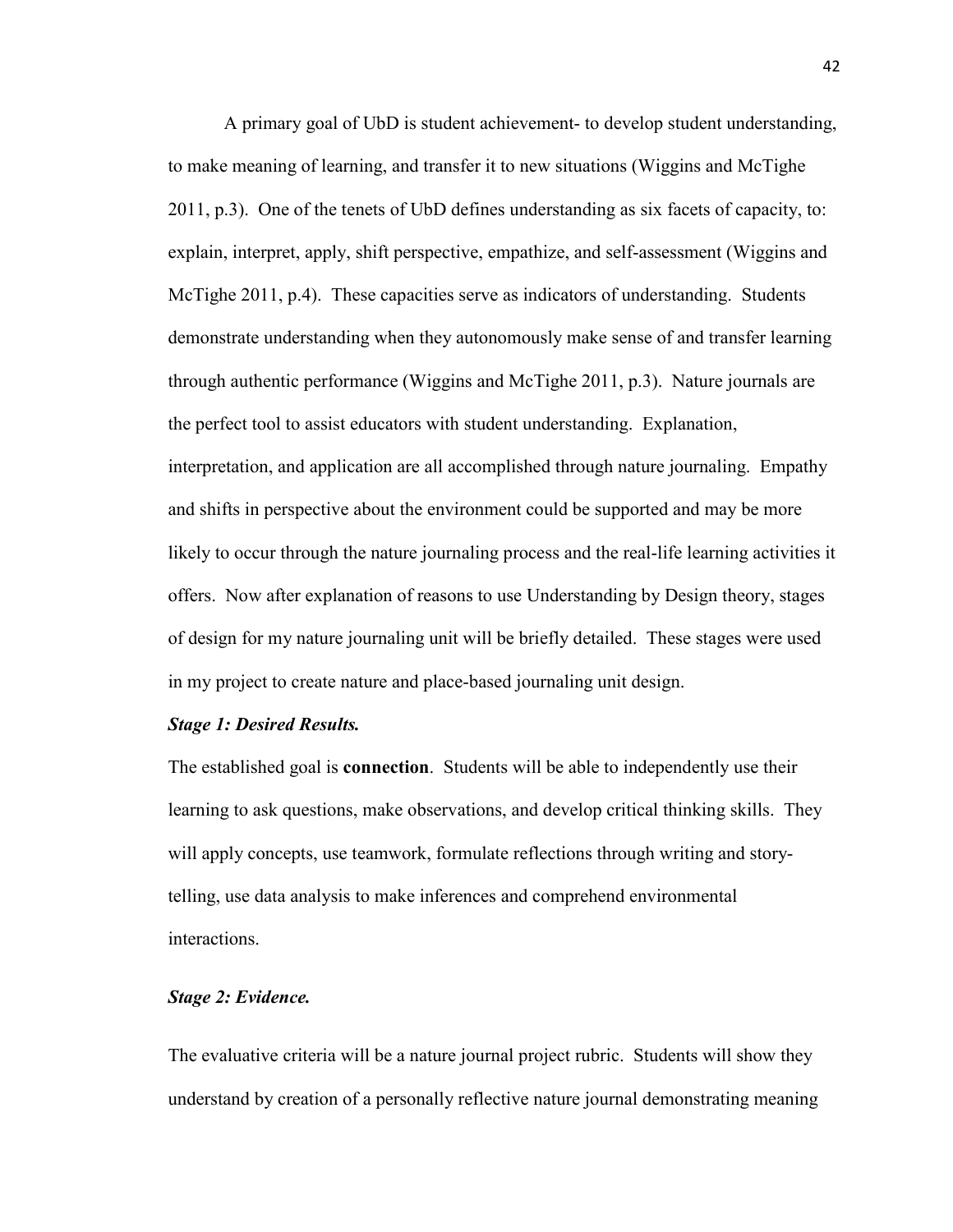A primary goal of UbD is student achievement- to develop student understanding, to make meaning of learning, and transfer it to new situations (Wiggins and McTighe 2011, p.3). One of the tenets of UbD defines understanding as six facets of capacity, to: explain, interpret, apply, shift perspective, empathize, and self-assessment (Wiggins and McTighe 2011, p.4). These capacities serve as indicators of understanding. Students demonstrate understanding when they autonomously make sense of and transfer learning through authentic performance (Wiggins and McTighe 2011, p.3). Nature journals are the perfect tool to assist educators with student understanding. Explanation, interpretation, and application are all accomplished through nature journaling. Empathy and shifts in perspective about the environment could be supported and may be more likely to occur through the nature journaling process and the real-life learning activities it offers. Now after explanation of reasons to use Understanding by Design theory, stages of design for my nature journaling unit will be briefly detailed. These stages were used in my project to create nature and place-based journaling unit design.

#### *Stage 1: Desired Results.*

The established goal is **connection**. Students will be able to independently use their learning to ask questions, make observations, and develop critical thinking skills. They will apply concepts, use teamwork, formulate reflections through writing and storytelling, use data analysis to make inferences and comprehend environmental interactions.

#### *Stage 2: Evidence.*

The evaluative criteria will be a nature journal project rubric. Students will show they understand by creation of a personally reflective nature journal demonstrating meaning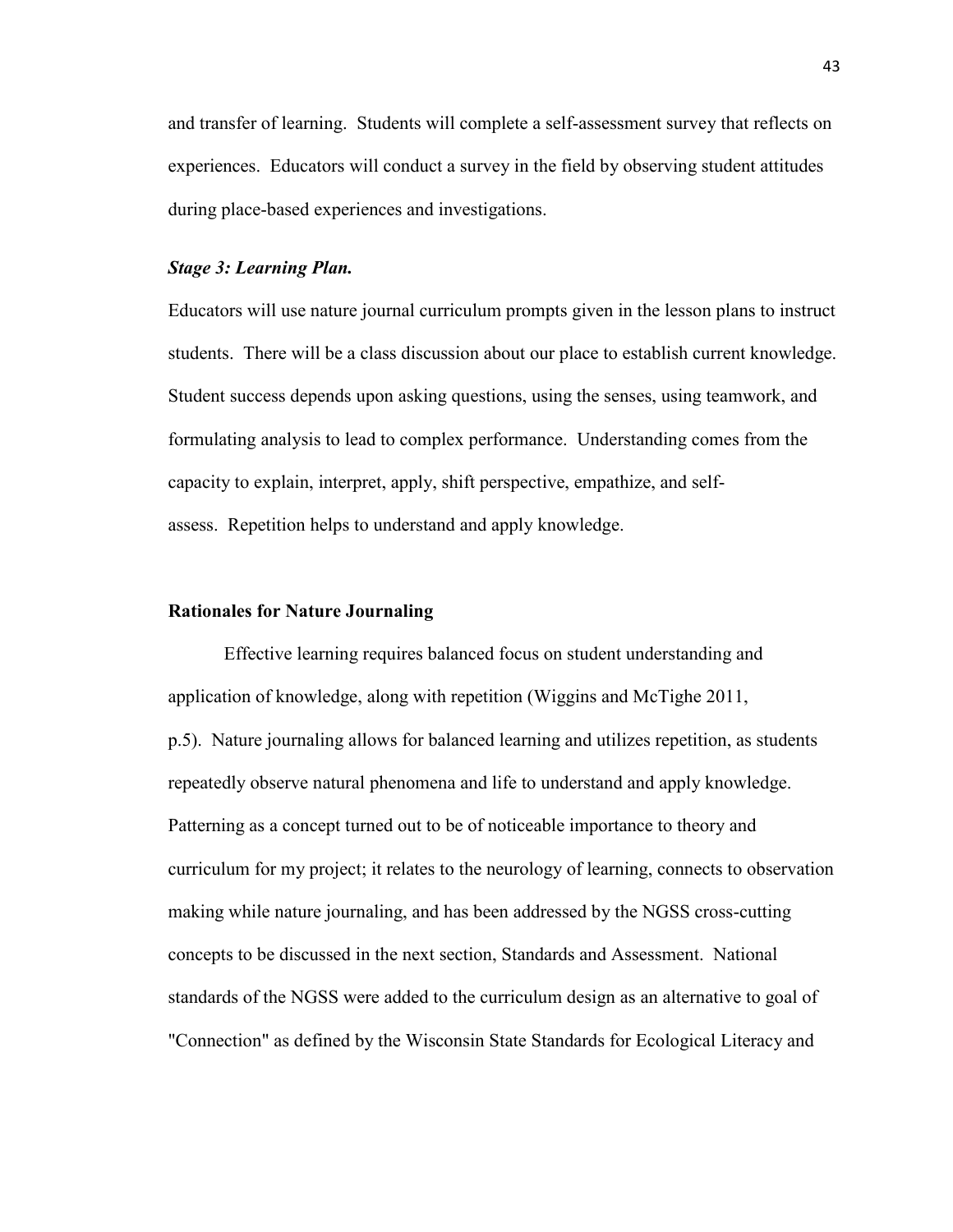and transfer of learning. Students will complete a self-assessment survey that reflects on experiences. Educators will conduct a survey in the field by observing student attitudes during place-based experiences and investigations.

#### *Stage 3: Learning Plan.*

Educators will use nature journal curriculum prompts given in the lesson plans to instruct students. There will be a class discussion about our place to establish current knowledge. Student success depends upon asking questions, using the senses, using teamwork, and formulating analysis to lead to complex performance. Understanding comes from the capacity to explain, interpret, apply, shift perspective, empathize, and selfassess. Repetition helps to understand and apply knowledge.

#### **Rationales for Nature Journaling**

Effective learning requires balanced focus on student understanding and application of knowledge, along with repetition (Wiggins and McTighe 2011, p.5). Nature journaling allows for balanced learning and utilizes repetition, as students repeatedly observe natural phenomena and life to understand and apply knowledge. Patterning as a concept turned out to be of noticeable importance to theory and curriculum for my project; it relates to the neurology of learning, connects to observation making while nature journaling, and has been addressed by the NGSS cross-cutting concepts to be discussed in the next section, Standards and Assessment. National standards of the NGSS were added to the curriculum design as an alternative to goal of "Connection" as defined by the Wisconsin State Standards for Ecological Literacy and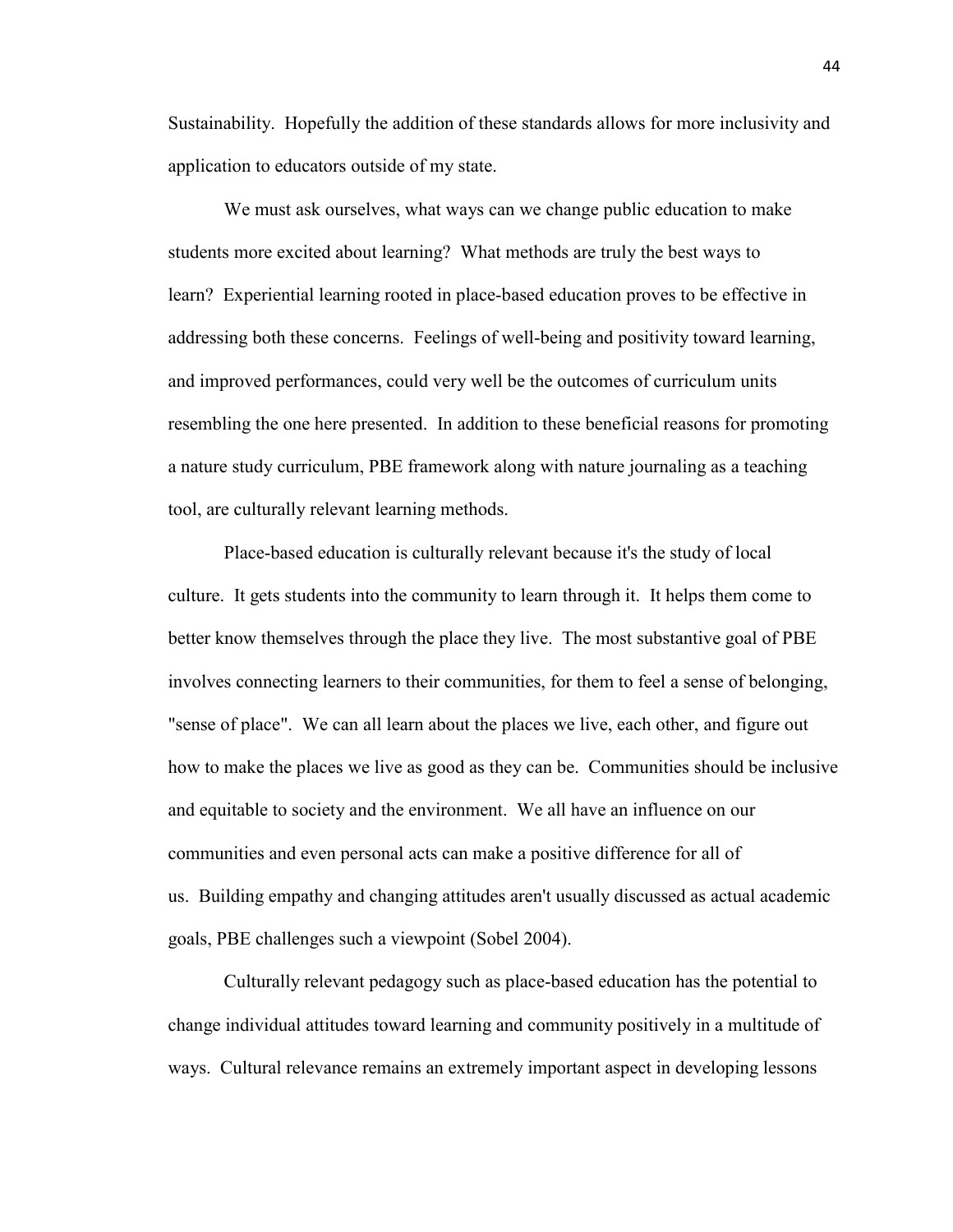Sustainability. Hopefully the addition of these standards allows for more inclusivity and application to educators outside of my state.

We must ask ourselves, what ways can we change public education to make students more excited about learning? What methods are truly the best ways to learn? Experiential learning rooted in place-based education proves to be effective in addressing both these concerns. Feelings of well-being and positivity toward learning, and improved performances, could very well be the outcomes of curriculum units resembling the one here presented. In addition to these beneficial reasons for promoting a nature study curriculum, PBE framework along with nature journaling as a teaching tool, are culturally relevant learning methods.

Place-based education is culturally relevant because it's the study of local culture. It gets students into the community to learn through it. It helps them come to better know themselves through the place they live. The most substantive goal of PBE involves connecting learners to their communities, for them to feel a sense of belonging, "sense of place". We can all learn about the places we live, each other, and figure out how to make the places we live as good as they can be. Communities should be inclusive and equitable to society and the environment. We all have an influence on our communities and even personal acts can make a positive difference for all of us. Building empathy and changing attitudes aren't usually discussed as actual academic goals, PBE challenges such a viewpoint (Sobel 2004).

Culturally relevant pedagogy such as place-based education has the potential to change individual attitudes toward learning and community positively in a multitude of ways. Cultural relevance remains an extremely important aspect in developing lessons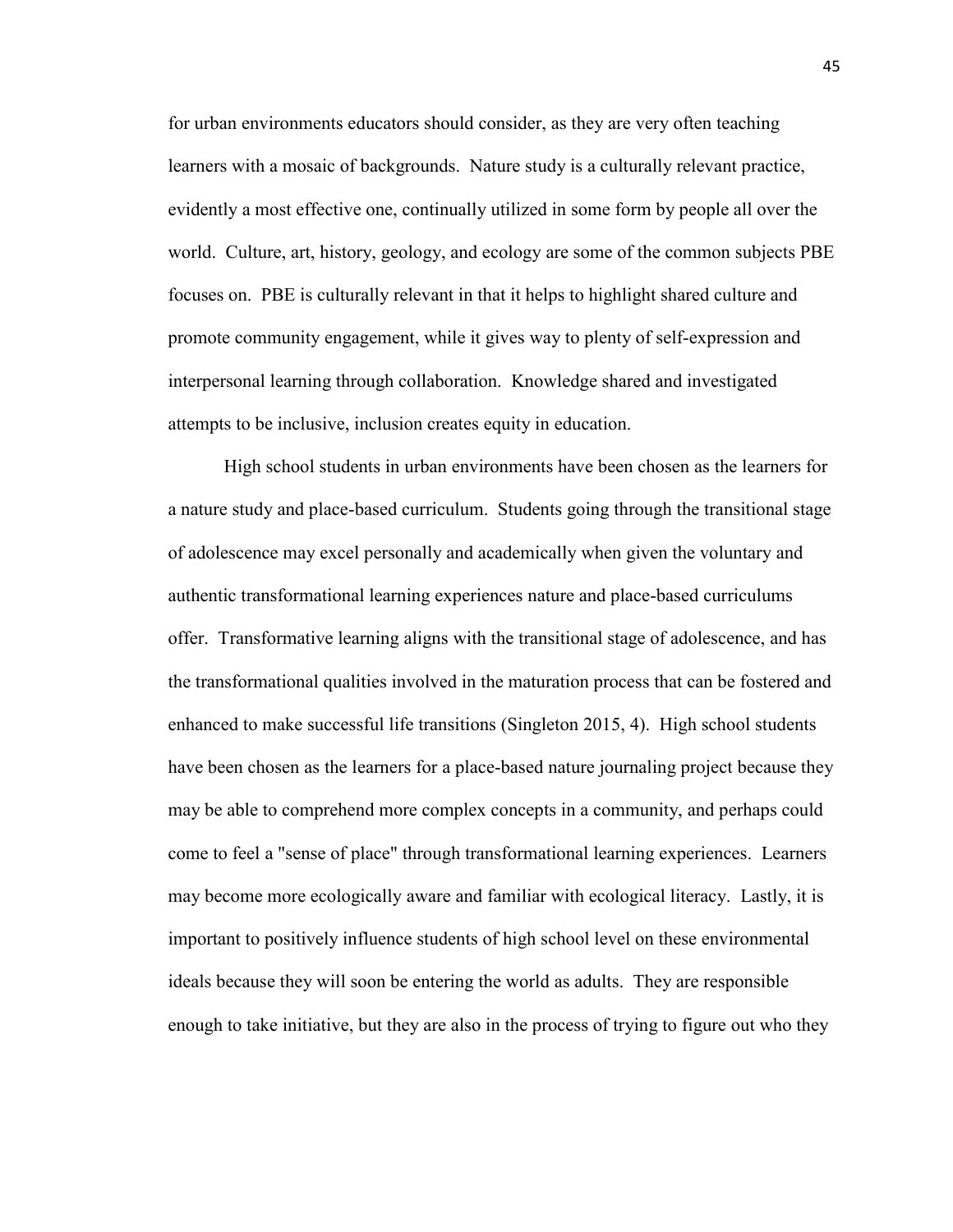for urban environments educators should consider, as they are very often teaching learners with a mosaic of backgrounds. Nature study is a culturally relevant practice, evidently a most effective one, continually utilized in some form by people all over the world. Culture, art, history, geology, and ecology are some of the common subjects PBE focuses on. PBE is culturally relevant in that it helps to highlight shared culture and promote community engagement, while it gives way to plenty of self-expression and interpersonal learning through collaboration. Knowledge shared and investigated attempts to be inclusive, inclusion creates equity in education.

High school students in urban environments have been chosen as the learners for a nature study and place-based curriculum. Students going through the transitional stage of adolescence may excel personally and academically when given the voluntary and authentic transformational learning experiences nature and place-based curriculums offer. Transformative learning aligns with the transitional stage of adolescence, and has the transformational qualities involved in the maturation process that can be fostered and enhanced to make successful life transitions (Singleton 2015, 4). High school students have been chosen as the learners for a place-based nature journaling project because they may be able to comprehend more complex concepts in a community, and perhaps could come to feel a "sense of place" through transformational learning experiences. Learners may become more ecologically aware and familiar with ecological literacy. Lastly, it is important to positively influence students of high school level on these environmental ideals because they will soon be entering the world as adults. They are responsible enough to take initiative, but they are also in the process of trying to figure out who they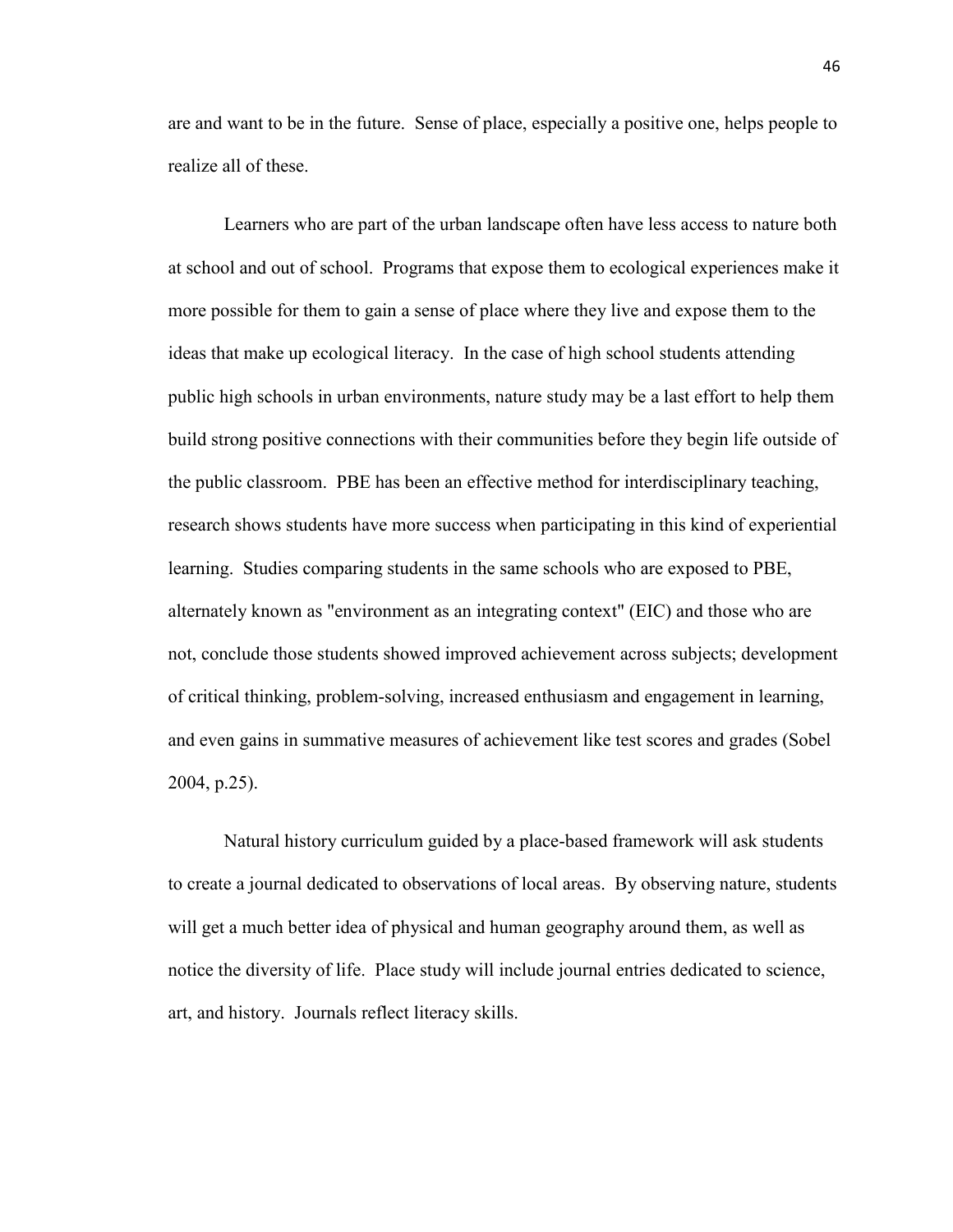are and want to be in the future. Sense of place, especially a positive one, helps people to realize all of these.

Learners who are part of the urban landscape often have less access to nature both at school and out of school. Programs that expose them to ecological experiences make it more possible for them to gain a sense of place where they live and expose them to the ideas that make up ecological literacy. In the case of high school students attending public high schools in urban environments, nature study may be a last effort to help them build strong positive connections with their communities before they begin life outside of the public classroom. PBE has been an effective method for interdisciplinary teaching, research shows students have more success when participating in this kind of experiential learning. Studies comparing students in the same schools who are exposed to PBE, alternately known as "environment as an integrating context" (EIC) and those who are not, conclude those students showed improved achievement across subjects; development of critical thinking, problem-solving, increased enthusiasm and engagement in learning, and even gains in summative measures of achievement like test scores and grades (Sobel 2004, p.25).

Natural history curriculum guided by a place-based framework will ask students to create a journal dedicated to observations of local areas. By observing nature, students will get a much better idea of physical and human geography around them, as well as notice the diversity of life. Place study will include journal entries dedicated to science, art, and history. Journals reflect literacy skills.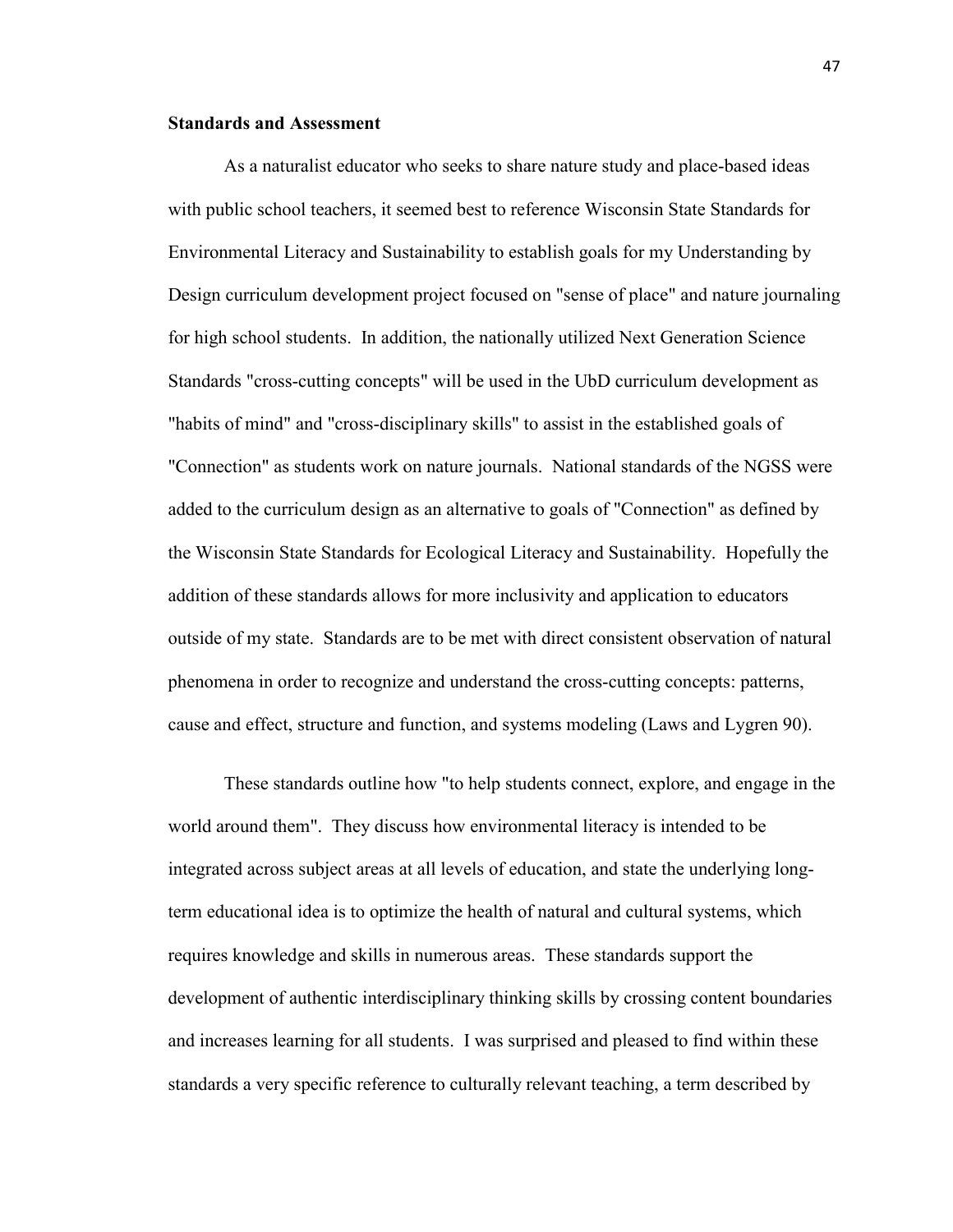#### **Standards and Assessment**

As a naturalist educator who seeks to share nature study and place-based ideas with public school teachers, it seemed best to reference Wisconsin State Standards for Environmental Literacy and Sustainability to establish goals for my Understanding by Design curriculum development project focused on "sense of place" and nature journaling for high school students. In addition, the nationally utilized Next Generation Science Standards "cross-cutting concepts" will be used in the UbD curriculum development as "habits of mind" and "cross-disciplinary skills" to assist in the established goals of "Connection" as students work on nature journals. National standards of the NGSS were added to the curriculum design as an alternative to goals of "Connection" as defined by the Wisconsin State Standards for Ecological Literacy and Sustainability. Hopefully the addition of these standards allows for more inclusivity and application to educators outside of my state. Standards are to be met with direct consistent observation of natural phenomena in order to recognize and understand the cross-cutting concepts: patterns, cause and effect, structure and function, and systems modeling (Laws and Lygren 90).

These standards outline how "to help students connect, explore, and engage in the world around them". They discuss how environmental literacy is intended to be integrated across subject areas at all levels of education, and state the underlying longterm educational idea is to optimize the health of natural and cultural systems, which requires knowledge and skills in numerous areas. These standards support the development of authentic interdisciplinary thinking skills by crossing content boundaries and increases learning for all students. I was surprised and pleased to find within these standards a very specific reference to culturally relevant teaching, a term described by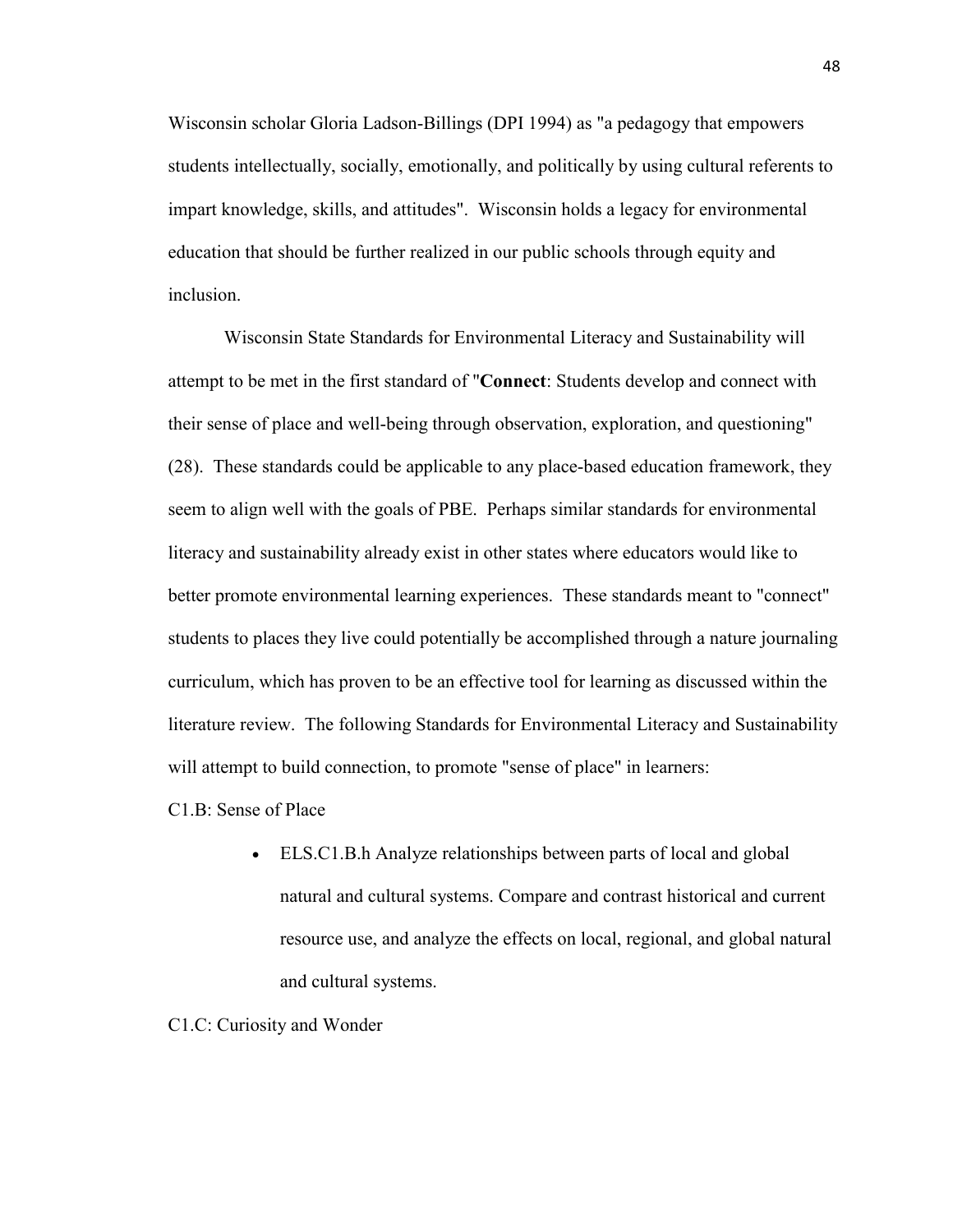Wisconsin scholar Gloria Ladson-Billings (DPI 1994) as "a pedagogy that empowers students intellectually, socially, emotionally, and politically by using cultural referents to impart knowledge, skills, and attitudes". Wisconsin holds a legacy for environmental education that should be further realized in our public schools through equity and inclusion.

Wisconsin State Standards for Environmental Literacy and Sustainability will attempt to be met in the first standard of "**Connect**: Students develop and connect with their sense of place and well-being through observation, exploration, and questioning" (28). These standards could be applicable to any place-based education framework, they seem to align well with the goals of PBE. Perhaps similar standards for environmental literacy and sustainability already exist in other states where educators would like to better promote environmental learning experiences. These standards meant to "connect" students to places they live could potentially be accomplished through a nature journaling curriculum, which has proven to be an effective tool for learning as discussed within the literature review. The following Standards for Environmental Literacy and Sustainability will attempt to build connection, to promote "sense of place" in learners:

C1.B: Sense of Place

- ELS.C1.B.h Analyze relationships between parts of local and global natural and cultural systems. Compare and contrast historical and current resource use, and analyze the effects on local, regional, and global natural and cultural systems.
- C1.C: Curiosity and Wonder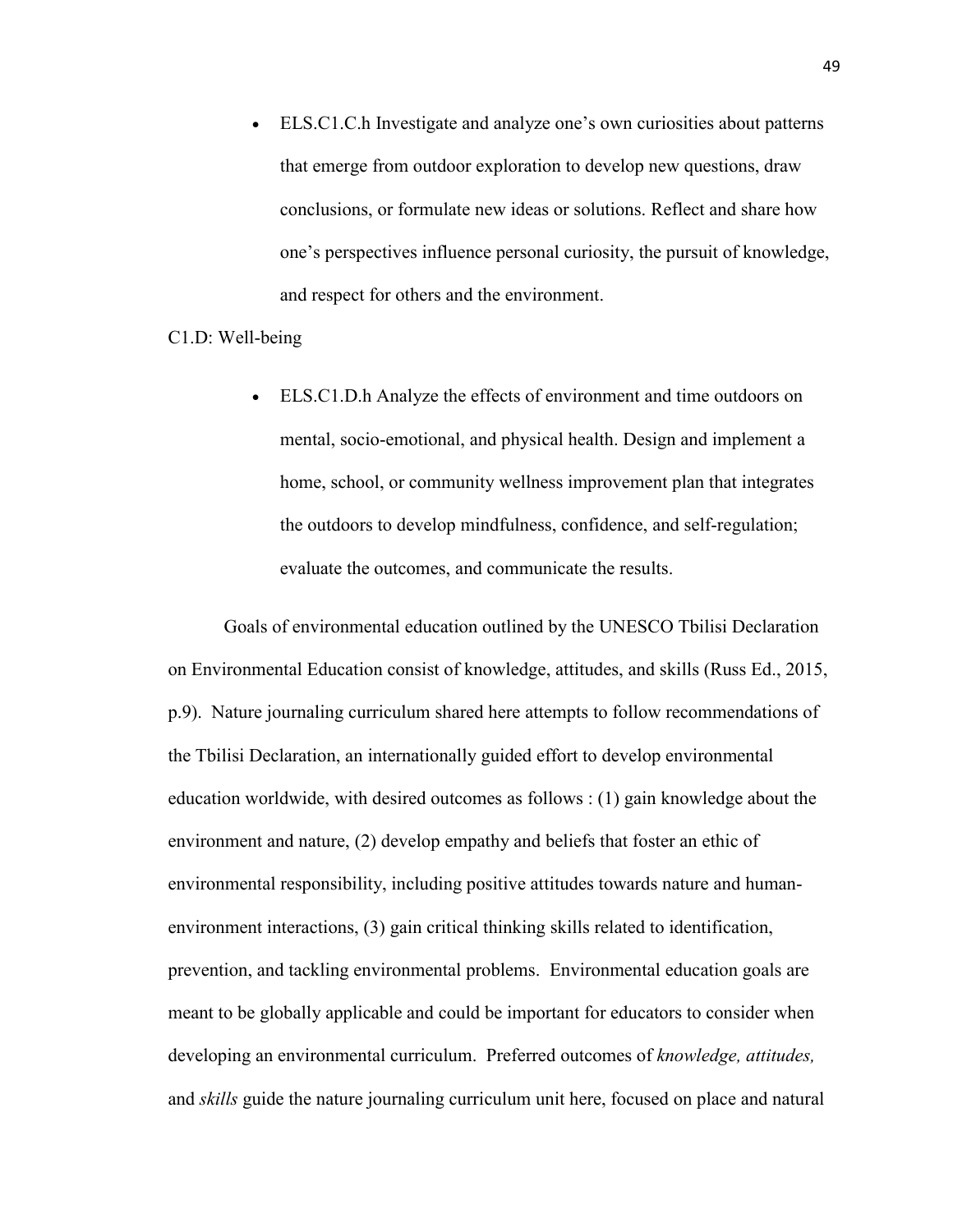• ELS.C1.C.h Investigate and analyze one's own curiosities about patterns that emerge from outdoor exploration to develop new questions, draw conclusions, or formulate new ideas or solutions. Reflect and share how one's perspectives influence personal curiosity, the pursuit of knowledge, and respect for others and the environment.

#### C1.D: Well-being

• ELS.C1.D.h Analyze the effects of environment and time outdoors on mental, socio-emotional, and physical health. Design and implement a home, school, or community wellness improvement plan that integrates the outdoors to develop mindfulness, confidence, and self-regulation; evaluate the outcomes, and communicate the results.

Goals of environmental education outlined by the UNESCO Tbilisi Declaration on Environmental Education consist of knowledge, attitudes, and skills (Russ Ed., 2015, p.9). Nature journaling curriculum shared here attempts to follow recommendations of the Tbilisi Declaration, an internationally guided effort to develop environmental education worldwide, with desired outcomes as follows : (1) gain knowledge about the environment and nature, (2) develop empathy and beliefs that foster an ethic of environmental responsibility, including positive attitudes towards nature and humanenvironment interactions, (3) gain critical thinking skills related to identification, prevention, and tackling environmental problems. Environmental education goals are meant to be globally applicable and could be important for educators to consider when developing an environmental curriculum. Preferred outcomes of *knowledge, attitudes,*  and *skills* guide the nature journaling curriculum unit here, focused on place and natural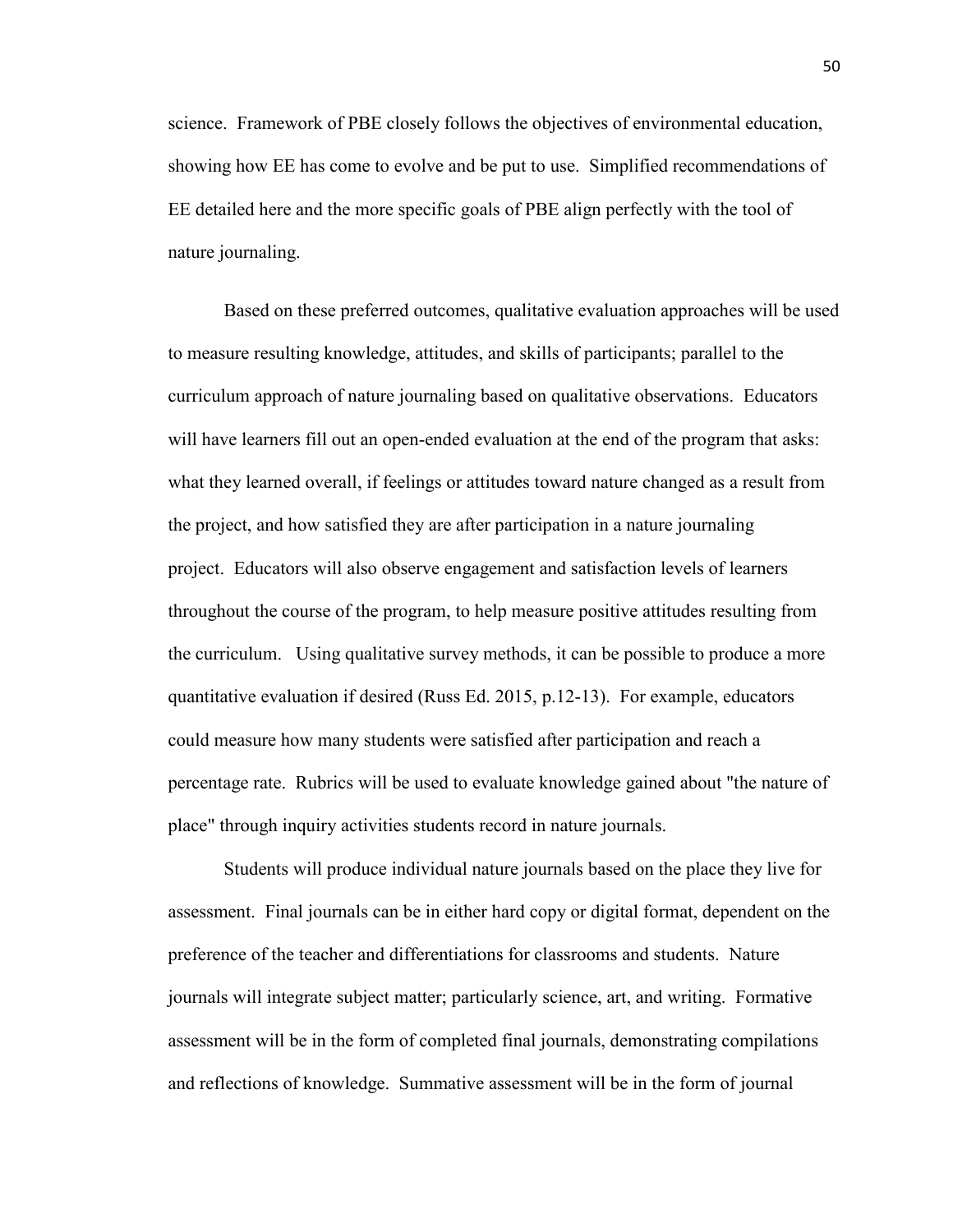science. Framework of PBE closely follows the objectives of environmental education, showing how EE has come to evolve and be put to use. Simplified recommendations of EE detailed here and the more specific goals of PBE align perfectly with the tool of nature journaling.

Based on these preferred outcomes, qualitative evaluation approaches will be used to measure resulting knowledge, attitudes, and skills of participants; parallel to the curriculum approach of nature journaling based on qualitative observations. Educators will have learners fill out an open-ended evaluation at the end of the program that asks: what they learned overall, if feelings or attitudes toward nature changed as a result from the project, and how satisfied they are after participation in a nature journaling project. Educators will also observe engagement and satisfaction levels of learners throughout the course of the program, to help measure positive attitudes resulting from the curriculum. Using qualitative survey methods, it can be possible to produce a more quantitative evaluation if desired (Russ Ed. 2015, p.12-13). For example, educators could measure how many students were satisfied after participation and reach a percentage rate. Rubrics will be used to evaluate knowledge gained about "the nature of place" through inquiry activities students record in nature journals.

Students will produce individual nature journals based on the place they live for assessment. Final journals can be in either hard copy or digital format, dependent on the preference of the teacher and differentiations for classrooms and students. Nature journals will integrate subject matter; particularly science, art, and writing. Formative assessment will be in the form of completed final journals, demonstrating compilations and reflections of knowledge. Summative assessment will be in the form of journal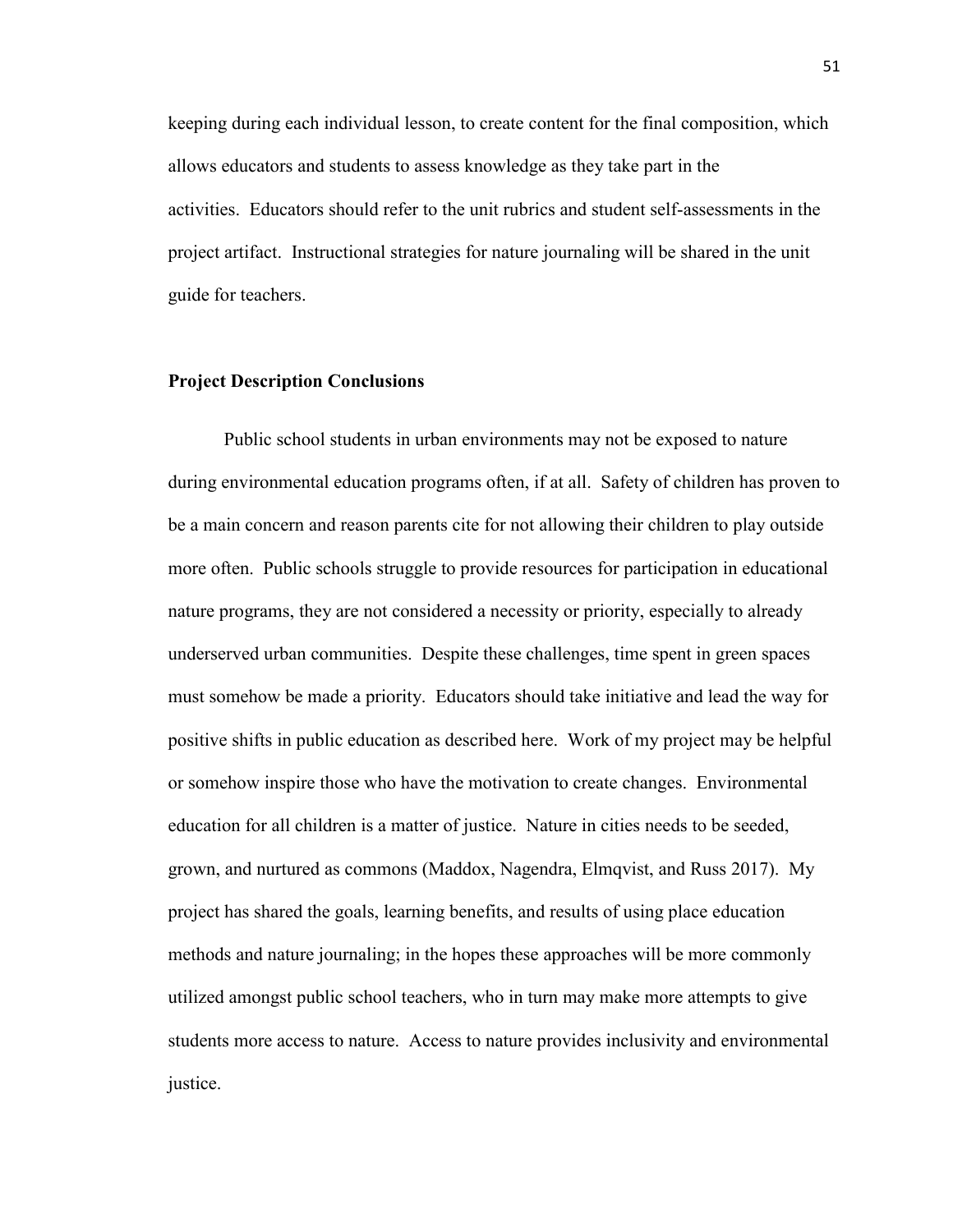keeping during each individual lesson, to create content for the final composition, which allows educators and students to assess knowledge as they take part in the activities. Educators should refer to the unit rubrics and student self-assessments in the project artifact. Instructional strategies for nature journaling will be shared in the unit guide for teachers.

#### **Project Description Conclusions**

Public school students in urban environments may not be exposed to nature during environmental education programs often, if at all. Safety of children has proven to be a main concern and reason parents cite for not allowing their children to play outside more often. Public schools struggle to provide resources for participation in educational nature programs, they are not considered a necessity or priority, especially to already underserved urban communities. Despite these challenges, time spent in green spaces must somehow be made a priority. Educators should take initiative and lead the way for positive shifts in public education as described here. Work of my project may be helpful or somehow inspire those who have the motivation to create changes. Environmental education for all children is a matter of justice. Nature in cities needs to be seeded, grown, and nurtured as commons (Maddox, Nagendra, Elmqvist, and Russ 2017). My project has shared the goals, learning benefits, and results of using place education methods and nature journaling; in the hopes these approaches will be more commonly utilized amongst public school teachers, who in turn may make more attempts to give students more access to nature. Access to nature provides inclusivity and environmental justice.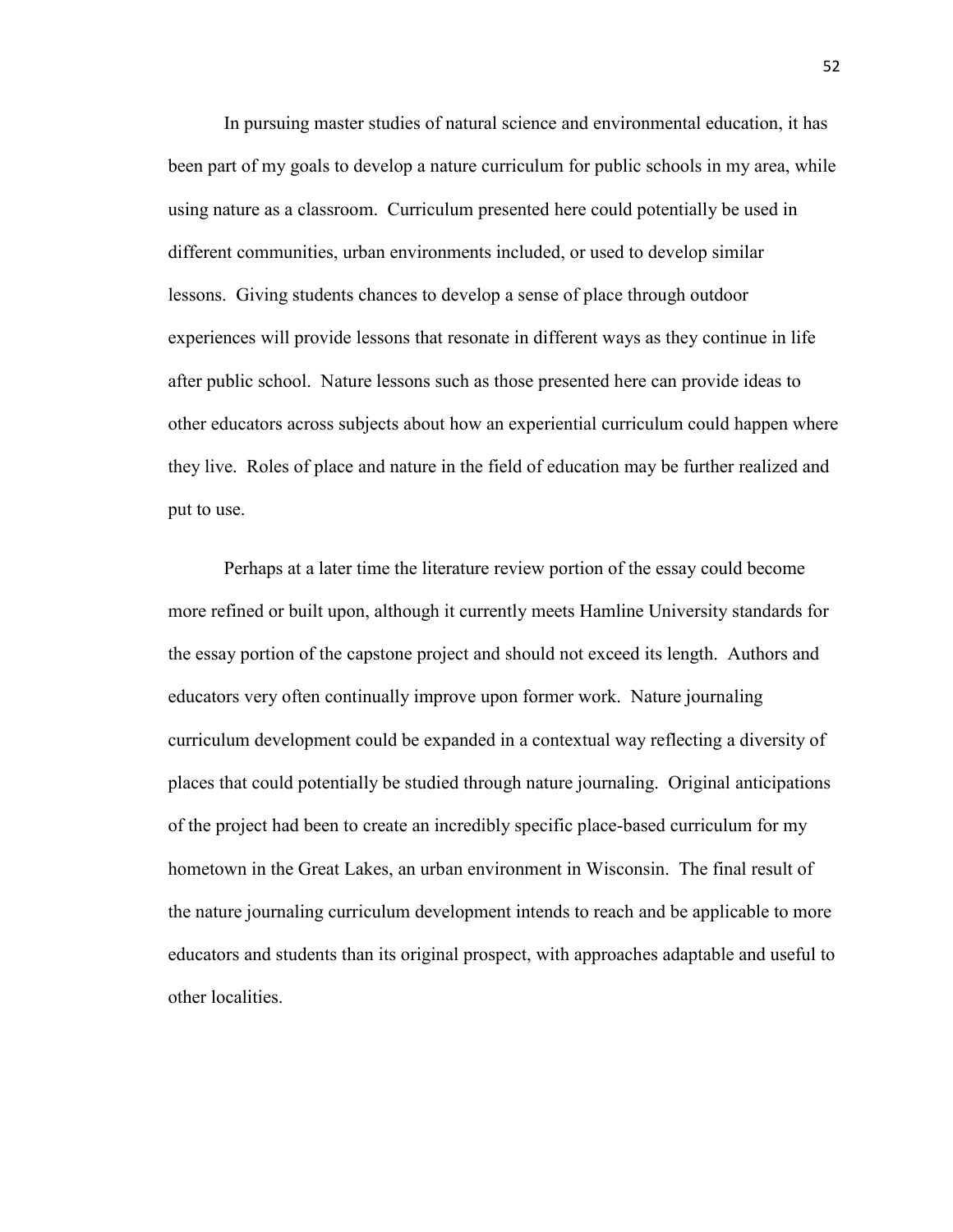In pursuing master studies of natural science and environmental education, it has been part of my goals to develop a nature curriculum for public schools in my area, while using nature as a classroom. Curriculum presented here could potentially be used in different communities, urban environments included, or used to develop similar lessons. Giving students chances to develop a sense of place through outdoor experiences will provide lessons that resonate in different ways as they continue in life after public school. Nature lessons such as those presented here can provide ideas to other educators across subjects about how an experiential curriculum could happen where they live. Roles of place and nature in the field of education may be further realized and put to use.

Perhaps at a later time the literature review portion of the essay could become more refined or built upon, although it currently meets Hamline University standards for the essay portion of the capstone project and should not exceed its length. Authors and educators very often continually improve upon former work. Nature journaling curriculum development could be expanded in a contextual way reflecting a diversity of places that could potentially be studied through nature journaling. Original anticipations of the project had been to create an incredibly specific place-based curriculum for my hometown in the Great Lakes, an urban environment in Wisconsin. The final result of the nature journaling curriculum development intends to reach and be applicable to more educators and students than its original prospect, with approaches adaptable and useful to other localities.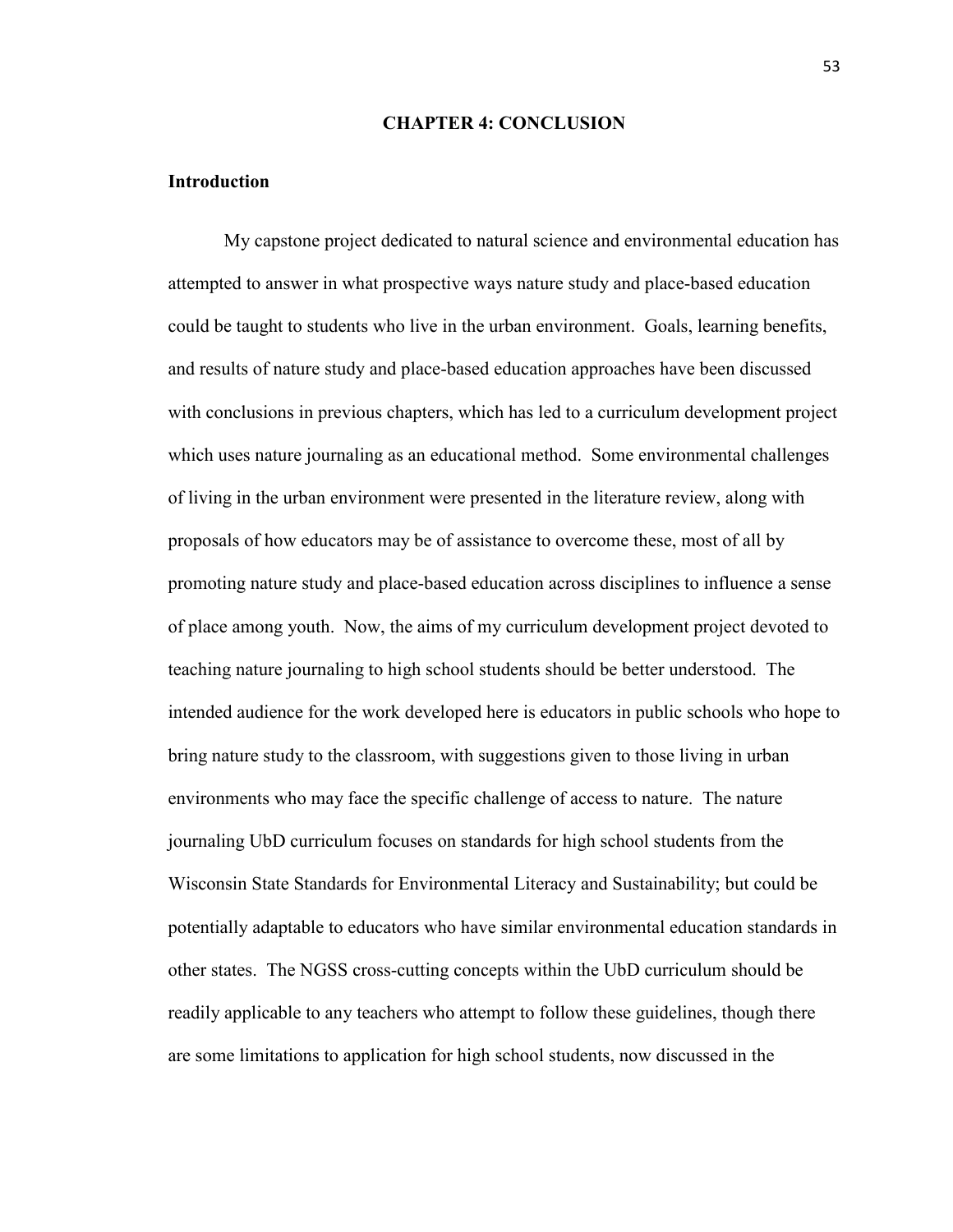#### **CHAPTER 4: CONCLUSION**

#### **Introduction**

My capstone project dedicated to natural science and environmental education has attempted to answer in what prospective ways nature study and place-based education could be taught to students who live in the urban environment. Goals, learning benefits, and results of nature study and place-based education approaches have been discussed with conclusions in previous chapters, which has led to a curriculum development project which uses nature journaling as an educational method. Some environmental challenges of living in the urban environment were presented in the literature review, along with proposals of how educators may be of assistance to overcome these, most of all by promoting nature study and place-based education across disciplines to influence a sense of place among youth. Now, the aims of my curriculum development project devoted to teaching nature journaling to high school students should be better understood. The intended audience for the work developed here is educators in public schools who hope to bring nature study to the classroom, with suggestions given to those living in urban environments who may face the specific challenge of access to nature. The nature journaling UbD curriculum focuses on standards for high school students from the Wisconsin State Standards for Environmental Literacy and Sustainability; but could be potentially adaptable to educators who have similar environmental education standards in other states. The NGSS cross-cutting concepts within the UbD curriculum should be readily applicable to any teachers who attempt to follow these guidelines, though there are some limitations to application for high school students, now discussed in the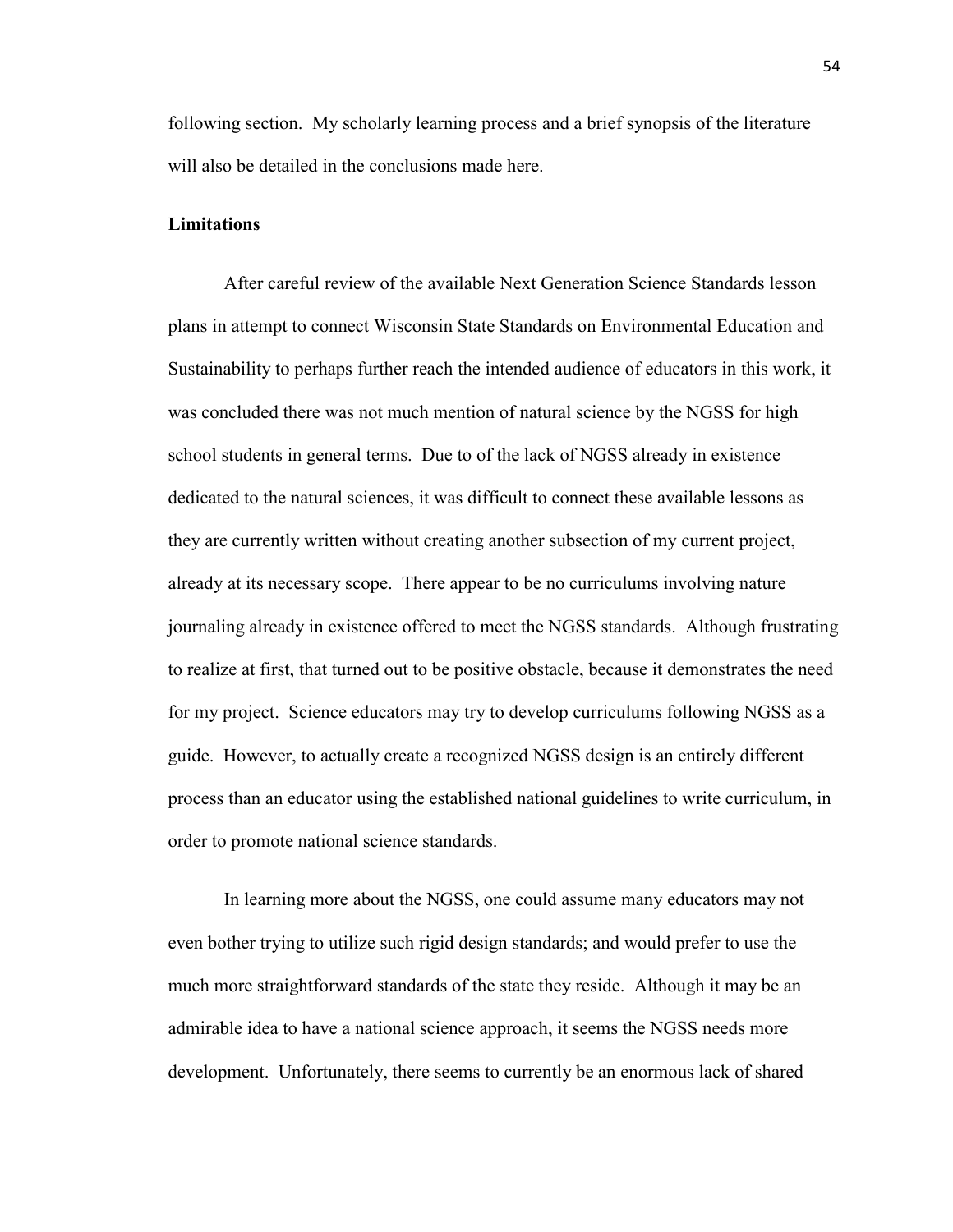following section. My scholarly learning process and a brief synopsis of the literature will also be detailed in the conclusions made here.

#### **Limitations**

After careful review of the available Next Generation Science Standards lesson plans in attempt to connect Wisconsin State Standards on Environmental Education and Sustainability to perhaps further reach the intended audience of educators in this work, it was concluded there was not much mention of natural science by the NGSS for high school students in general terms. Due to of the lack of NGSS already in existence dedicated to the natural sciences, it was difficult to connect these available lessons as they are currently written without creating another subsection of my current project, already at its necessary scope. There appear to be no curriculums involving nature journaling already in existence offered to meet the NGSS standards. Although frustrating to realize at first, that turned out to be positive obstacle, because it demonstrates the need for my project. Science educators may try to develop curriculums following NGSS as a guide. However, to actually create a recognized NGSS design is an entirely different process than an educator using the established national guidelines to write curriculum, in order to promote national science standards.

In learning more about the NGSS, one could assume many educators may not even bother trying to utilize such rigid design standards; and would prefer to use the much more straightforward standards of the state they reside. Although it may be an admirable idea to have a national science approach, it seems the NGSS needs more development. Unfortunately, there seems to currently be an enormous lack of shared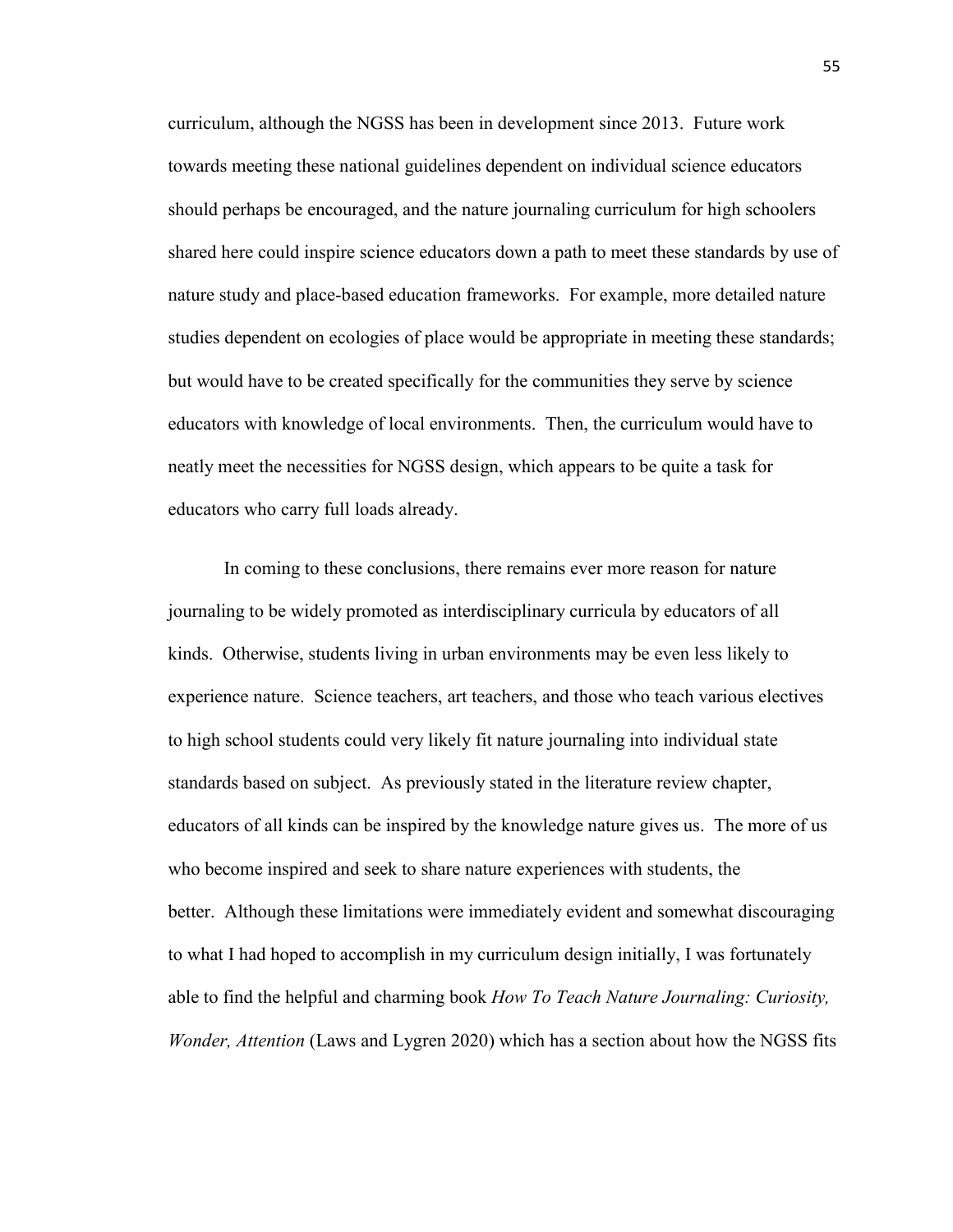curriculum, although the NGSS has been in development since 2013. Future work towards meeting these national guidelines dependent on individual science educators should perhaps be encouraged, and the nature journaling curriculum for high schoolers shared here could inspire science educators down a path to meet these standards by use of nature study and place-based education frameworks. For example, more detailed nature studies dependent on ecologies of place would be appropriate in meeting these standards; but would have to be created specifically for the communities they serve by science educators with knowledge of local environments. Then, the curriculum would have to neatly meet the necessities for NGSS design, which appears to be quite a task for educators who carry full loads already.

In coming to these conclusions, there remains ever more reason for nature journaling to be widely promoted as interdisciplinary curricula by educators of all kinds. Otherwise, students living in urban environments may be even less likely to experience nature. Science teachers, art teachers, and those who teach various electives to high school students could very likely fit nature journaling into individual state standards based on subject. As previously stated in the literature review chapter, educators of all kinds can be inspired by the knowledge nature gives us. The more of us who become inspired and seek to share nature experiences with students, the better. Although these limitations were immediately evident and somewhat discouraging to what I had hoped to accomplish in my curriculum design initially, I was fortunately able to find the helpful and charming book *How To Teach Nature Journaling: Curiosity, Wonder, Attention* (Laws and Lygren 2020) which has a section about how the NGSS fits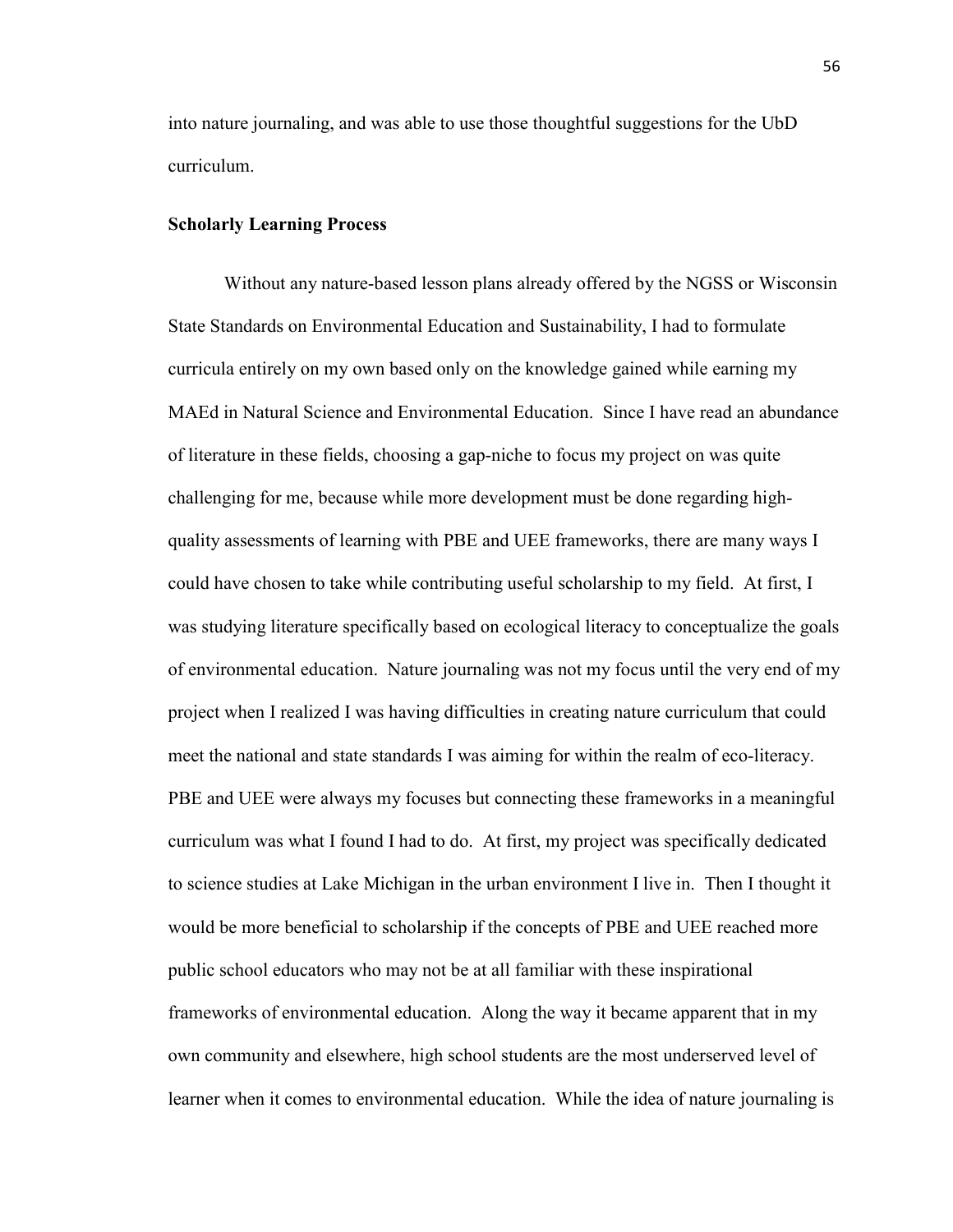into nature journaling, and was able to use those thoughtful suggestions for the UbD curriculum.

#### **Scholarly Learning Process**

Without any nature-based lesson plans already offered by the NGSS or Wisconsin State Standards on Environmental Education and Sustainability, I had to formulate curricula entirely on my own based only on the knowledge gained while earning my MAEd in Natural Science and Environmental Education. Since I have read an abundance of literature in these fields, choosing a gap-niche to focus my project on was quite challenging for me, because while more development must be done regarding highquality assessments of learning with PBE and UEE frameworks, there are many ways I could have chosen to take while contributing useful scholarship to my field. At first, I was studying literature specifically based on ecological literacy to conceptualize the goals of environmental education. Nature journaling was not my focus until the very end of my project when I realized I was having difficulties in creating nature curriculum that could meet the national and state standards I was aiming for within the realm of eco-literacy. PBE and UEE were always my focuses but connecting these frameworks in a meaningful curriculum was what I found I had to do. At first, my project was specifically dedicated to science studies at Lake Michigan in the urban environment I live in. Then I thought it would be more beneficial to scholarship if the concepts of PBE and UEE reached more public school educators who may not be at all familiar with these inspirational frameworks of environmental education. Along the way it became apparent that in my own community and elsewhere, high school students are the most underserved level of learner when it comes to environmental education. While the idea of nature journaling is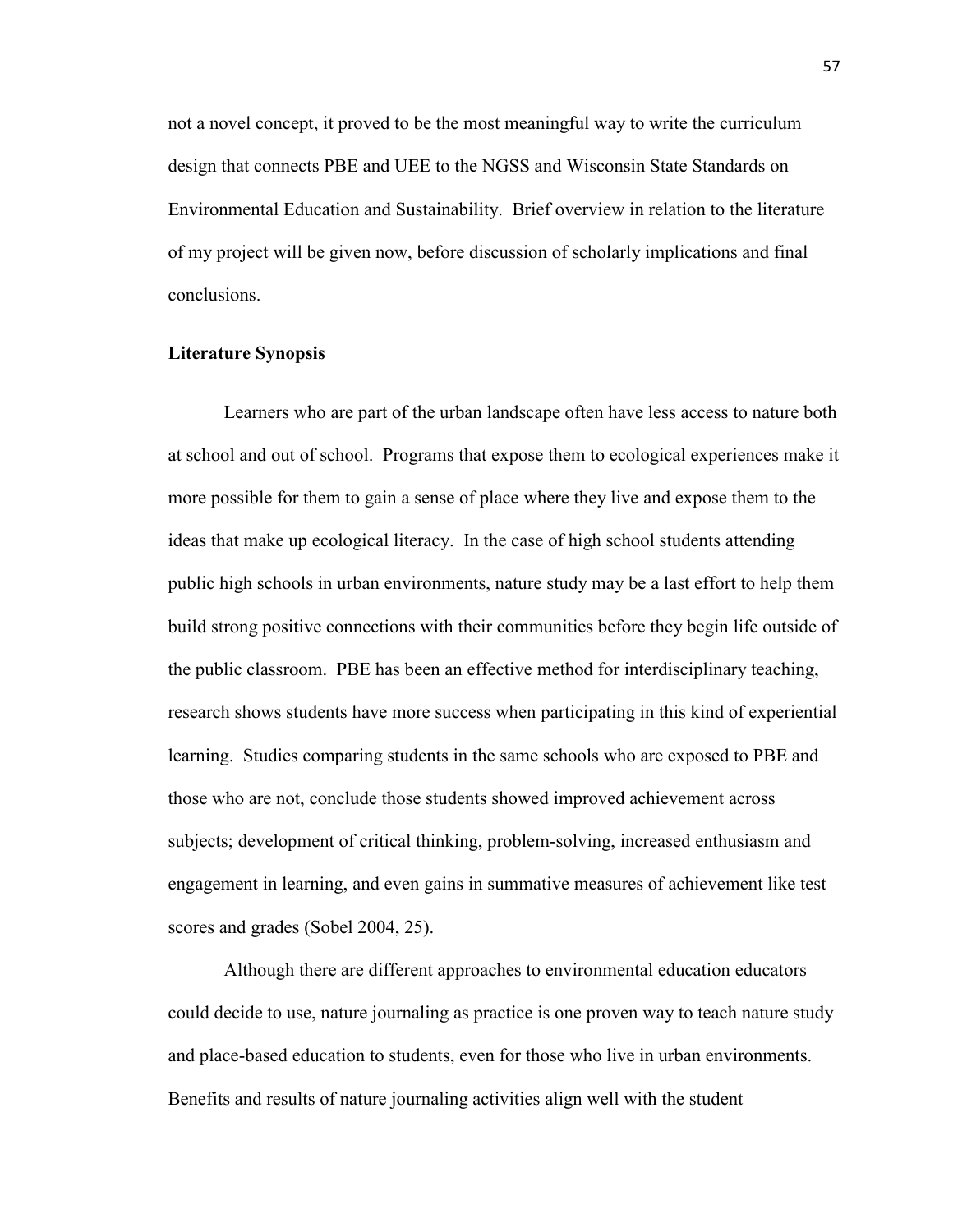not a novel concept, it proved to be the most meaningful way to write the curriculum design that connects PBE and UEE to the NGSS and Wisconsin State Standards on Environmental Education and Sustainability. Brief overview in relation to the literature of my project will be given now, before discussion of scholarly implications and final conclusions.

#### **Literature Synopsis**

Learners who are part of the urban landscape often have less access to nature both at school and out of school. Programs that expose them to ecological experiences make it more possible for them to gain a sense of place where they live and expose them to the ideas that make up ecological literacy. In the case of high school students attending public high schools in urban environments, nature study may be a last effort to help them build strong positive connections with their communities before they begin life outside of the public classroom. PBE has been an effective method for interdisciplinary teaching, research shows students have more success when participating in this kind of experiential learning. Studies comparing students in the same schools who are exposed to PBE and those who are not, conclude those students showed improved achievement across subjects; development of critical thinking, problem-solving, increased enthusiasm and engagement in learning, and even gains in summative measures of achievement like test scores and grades (Sobel 2004, 25).

Although there are different approaches to environmental education educators could decide to use, nature journaling as practice is one proven way to teach nature study and place-based education to students, even for those who live in urban environments. Benefits and results of nature journaling activities align well with the student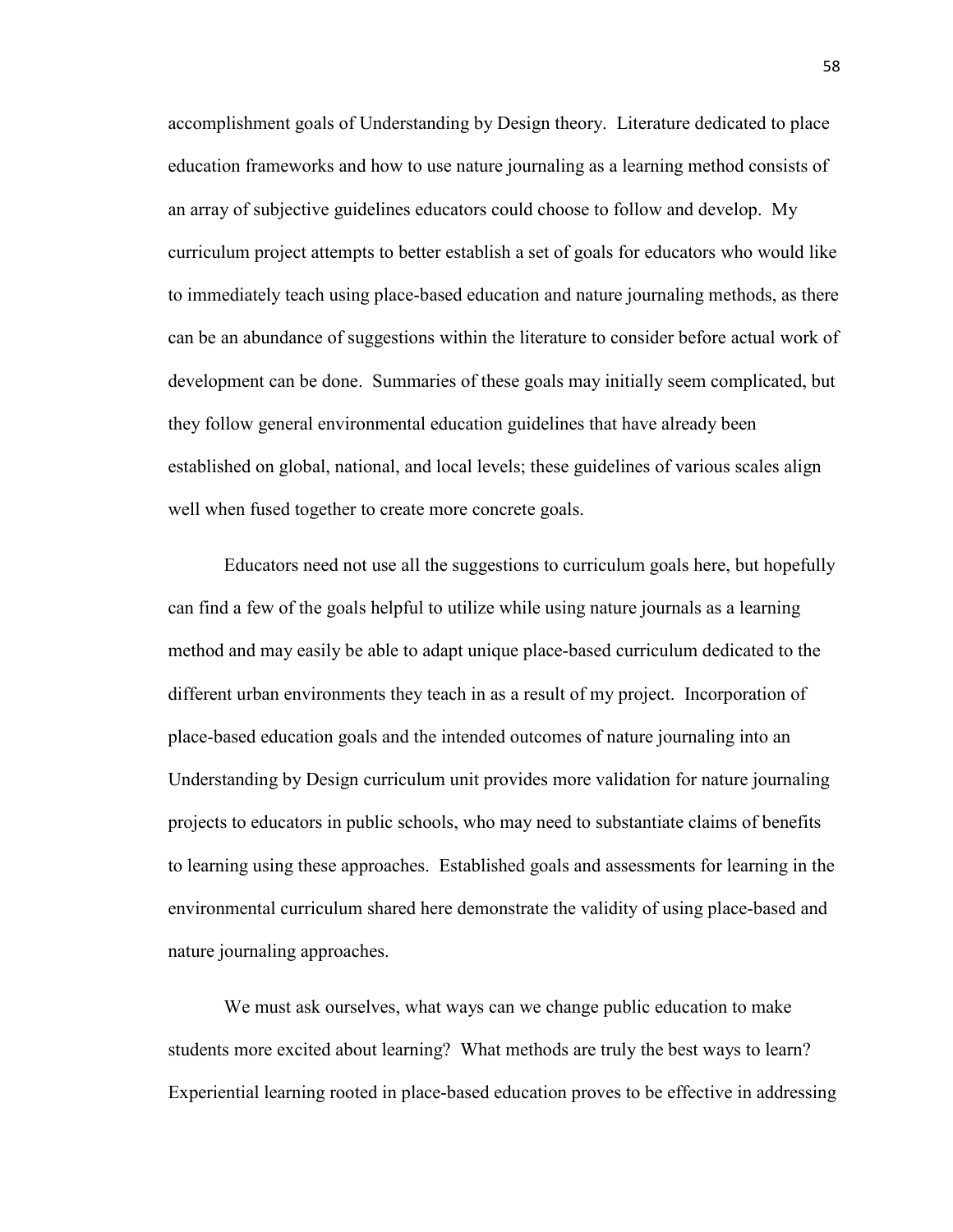accomplishment goals of Understanding by Design theory. Literature dedicated to place education frameworks and how to use nature journaling as a learning method consists of an array of subjective guidelines educators could choose to follow and develop. My curriculum project attempts to better establish a set of goals for educators who would like to immediately teach using place-based education and nature journaling methods, as there can be an abundance of suggestions within the literature to consider before actual work of development can be done. Summaries of these goals may initially seem complicated, but they follow general environmental education guidelines that have already been established on global, national, and local levels; these guidelines of various scales align well when fused together to create more concrete goals.

Educators need not use all the suggestions to curriculum goals here, but hopefully can find a few of the goals helpful to utilize while using nature journals as a learning method and may easily be able to adapt unique place-based curriculum dedicated to the different urban environments they teach in as a result of my project. Incorporation of place-based education goals and the intended outcomes of nature journaling into an Understanding by Design curriculum unit provides more validation for nature journaling projects to educators in public schools, who may need to substantiate claims of benefits to learning using these approaches. Established goals and assessments for learning in the environmental curriculum shared here demonstrate the validity of using place-based and nature journaling approaches.

We must ask ourselves, what ways can we change public education to make students more excited about learning? What methods are truly the best ways to learn? Experiential learning rooted in place-based education proves to be effective in addressing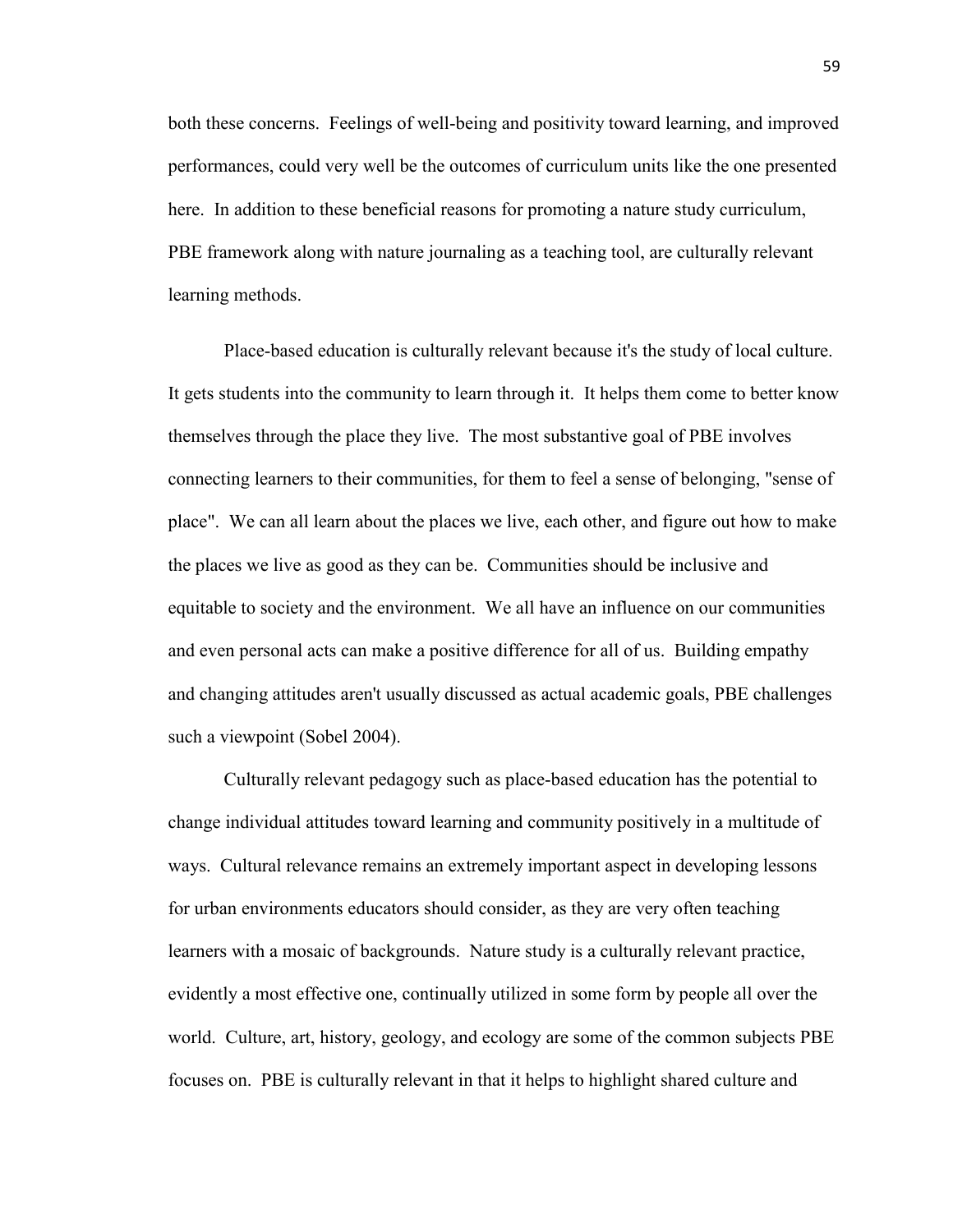both these concerns. Feelings of well-being and positivity toward learning, and improved performances, could very well be the outcomes of curriculum units like the one presented here. In addition to these beneficial reasons for promoting a nature study curriculum, PBE framework along with nature journaling as a teaching tool, are culturally relevant learning methods.

Place-based education is culturally relevant because it's the study of local culture. It gets students into the community to learn through it. It helps them come to better know themselves through the place they live. The most substantive goal of PBE involves connecting learners to their communities, for them to feel a sense of belonging, "sense of place". We can all learn about the places we live, each other, and figure out how to make the places we live as good as they can be. Communities should be inclusive and equitable to society and the environment. We all have an influence on our communities and even personal acts can make a positive difference for all of us. Building empathy and changing attitudes aren't usually discussed as actual academic goals, PBE challenges such a viewpoint (Sobel 2004).

Culturally relevant pedagogy such as place-based education has the potential to change individual attitudes toward learning and community positively in a multitude of ways. Cultural relevance remains an extremely important aspect in developing lessons for urban environments educators should consider, as they are very often teaching learners with a mosaic of backgrounds. Nature study is a culturally relevant practice, evidently a most effective one, continually utilized in some form by people all over the world. Culture, art, history, geology, and ecology are some of the common subjects PBE focuses on. PBE is culturally relevant in that it helps to highlight shared culture and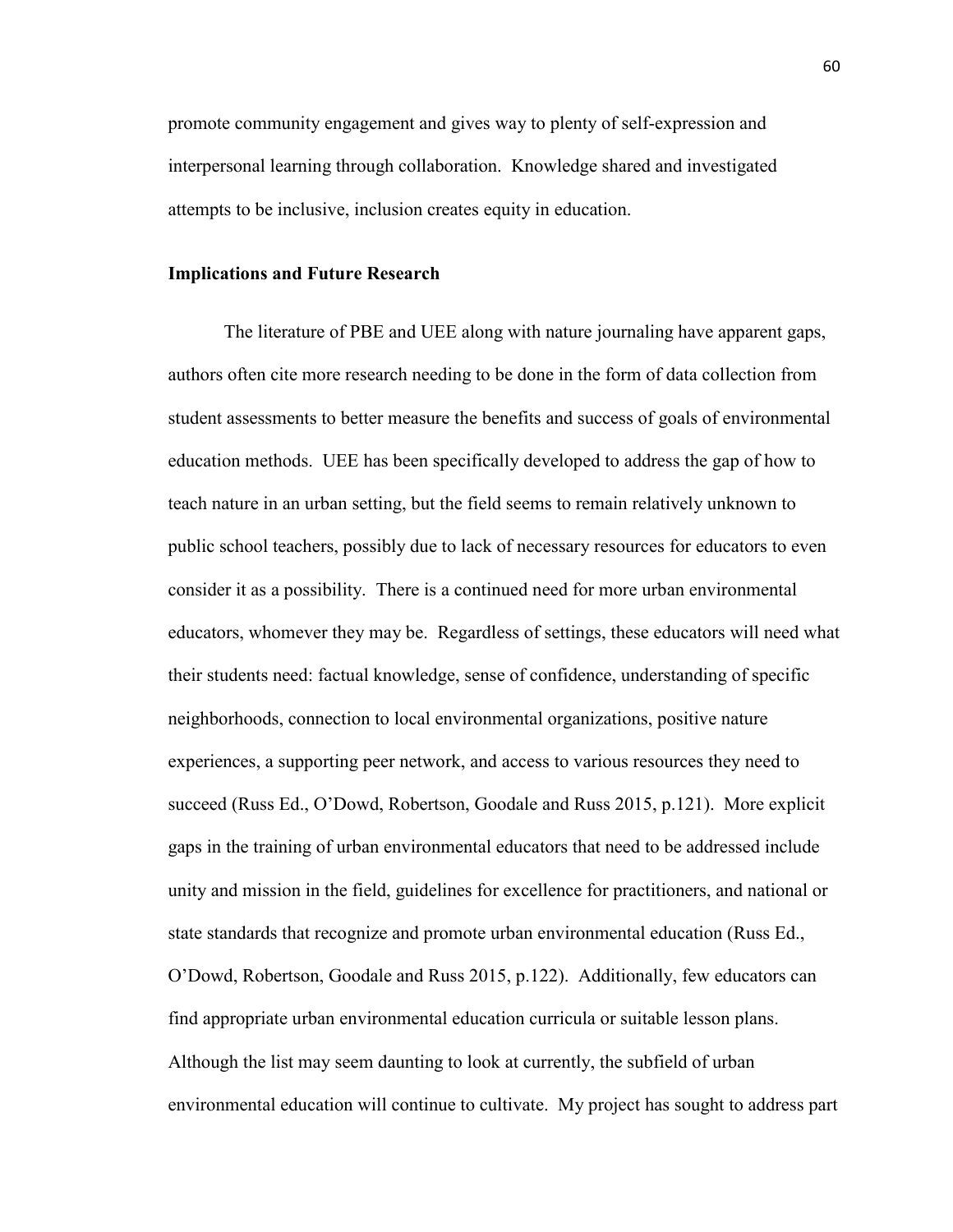promote community engagement and gives way to plenty of self-expression and interpersonal learning through collaboration. Knowledge shared and investigated attempts to be inclusive, inclusion creates equity in education.

#### **Implications and Future Research**

The literature of PBE and UEE along with nature journaling have apparent gaps, authors often cite more research needing to be done in the form of data collection from student assessments to better measure the benefits and success of goals of environmental education methods. UEE has been specifically developed to address the gap of how to teach nature in an urban setting, but the field seems to remain relatively unknown to public school teachers, possibly due to lack of necessary resources for educators to even consider it as a possibility. There is a continued need for more urban environmental educators, whomever they may be. Regardless of settings, these educators will need what their students need: factual knowledge, sense of confidence, understanding of specific neighborhoods, connection to local environmental organizations, positive nature experiences, a supporting peer network, and access to various resources they need to succeed (Russ Ed., O'Dowd, Robertson, Goodale and Russ 2015, p.121). More explicit gaps in the training of urban environmental educators that need to be addressed include unity and mission in the field, guidelines for excellence for practitioners, and national or state standards that recognize and promote urban environmental education (Russ Ed., O'Dowd, Robertson, Goodale and Russ 2015, p.122). Additionally, few educators can find appropriate urban environmental education curricula or suitable lesson plans. Although the list may seem daunting to look at currently, the subfield of urban environmental education will continue to cultivate. My project has sought to address part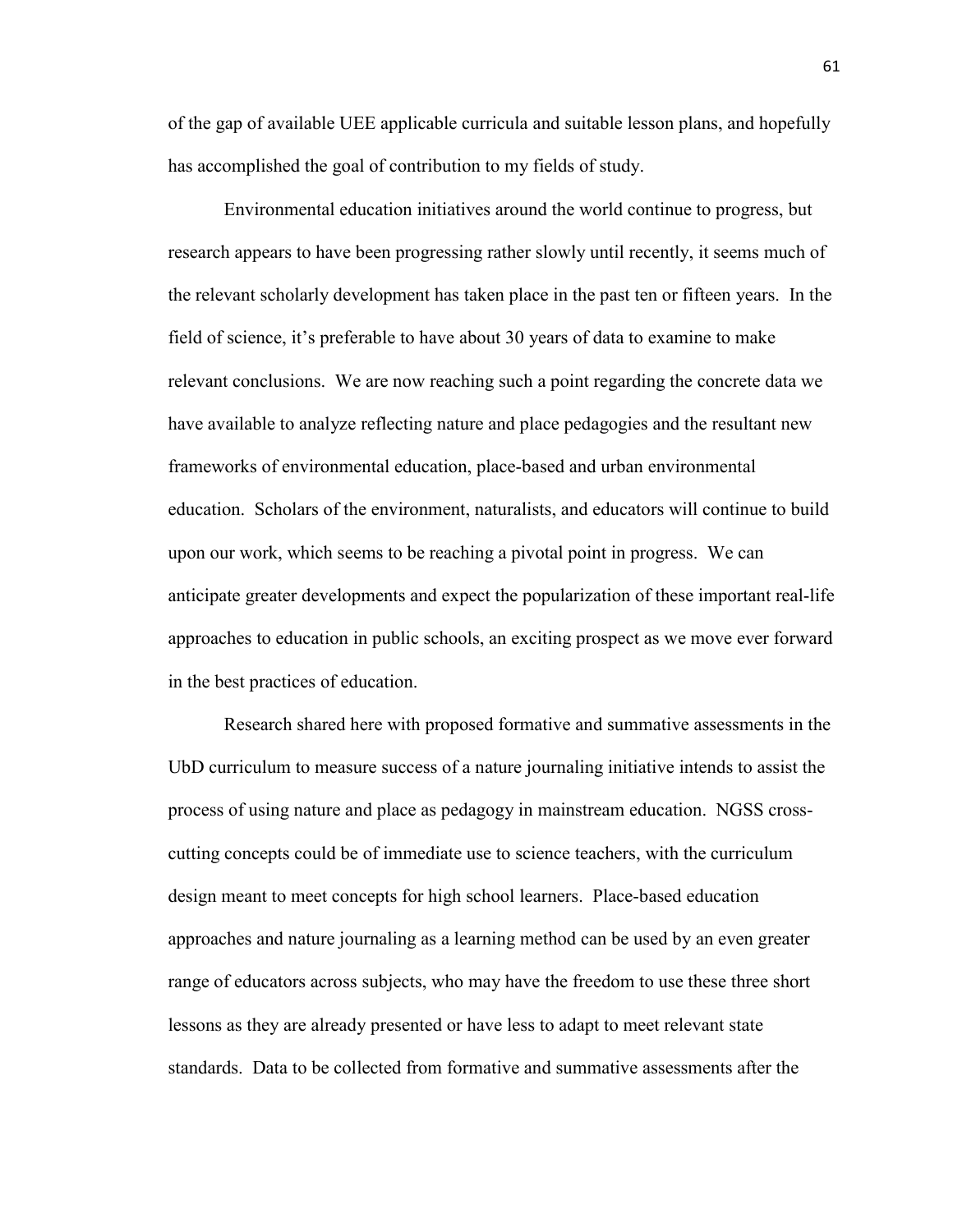of the gap of available UEE applicable curricula and suitable lesson plans, and hopefully has accomplished the goal of contribution to my fields of study.

Environmental education initiatives around the world continue to progress, but research appears to have been progressing rather slowly until recently, it seems much of the relevant scholarly development has taken place in the past ten or fifteen years. In the field of science, it's preferable to have about 30 years of data to examine to make relevant conclusions. We are now reaching such a point regarding the concrete data we have available to analyze reflecting nature and place pedagogies and the resultant new frameworks of environmental education, place-based and urban environmental education. Scholars of the environment, naturalists, and educators will continue to build upon our work, which seems to be reaching a pivotal point in progress. We can anticipate greater developments and expect the popularization of these important real-life approaches to education in public schools, an exciting prospect as we move ever forward in the best practices of education.

Research shared here with proposed formative and summative assessments in the UbD curriculum to measure success of a nature journaling initiative intends to assist the process of using nature and place as pedagogy in mainstream education. NGSS crosscutting concepts could be of immediate use to science teachers, with the curriculum design meant to meet concepts for high school learners. Place-based education approaches and nature journaling as a learning method can be used by an even greater range of educators across subjects, who may have the freedom to use these three short lessons as they are already presented or have less to adapt to meet relevant state standards. Data to be collected from formative and summative assessments after the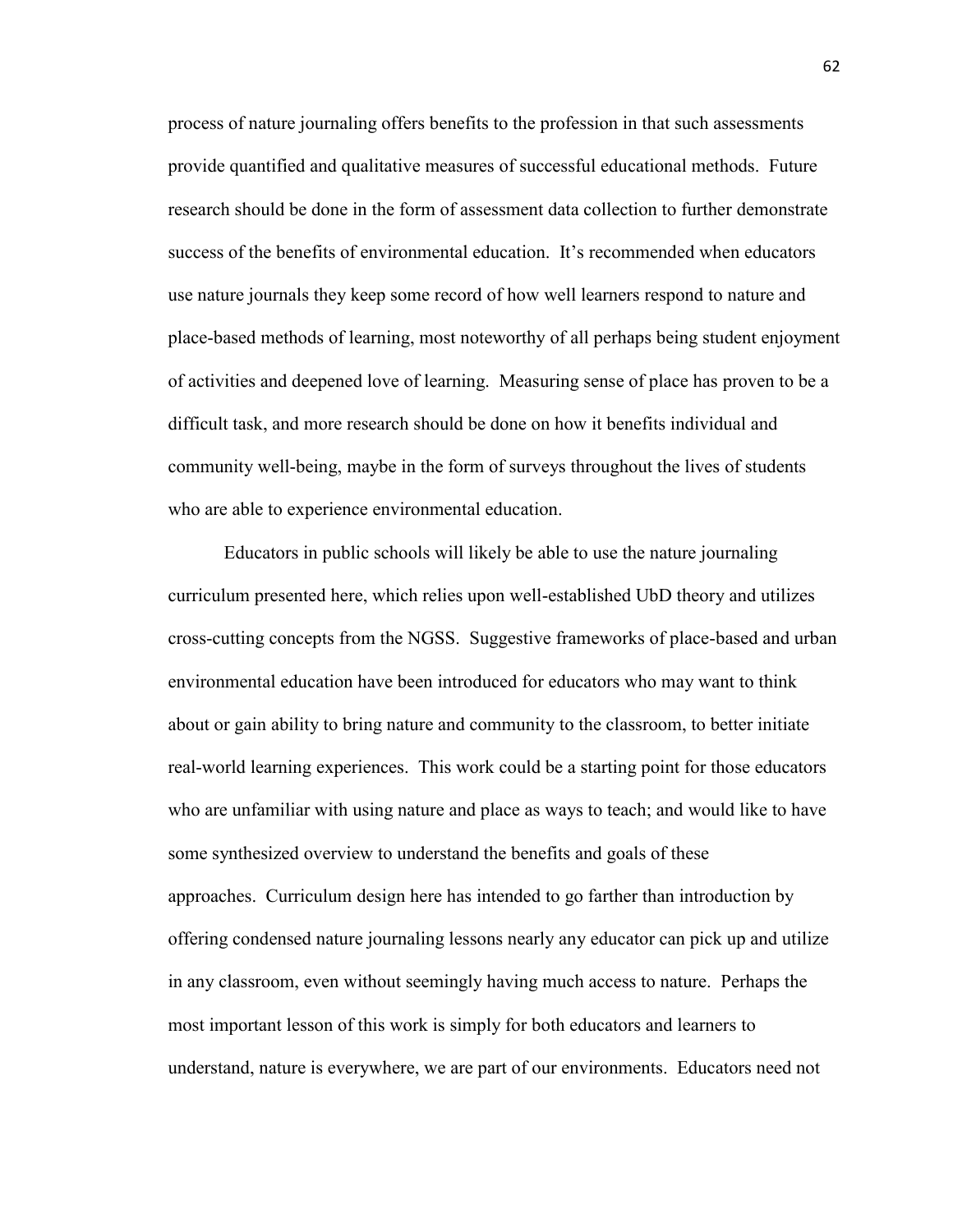process of nature journaling offers benefits to the profession in that such assessments provide quantified and qualitative measures of successful educational methods. Future research should be done in the form of assessment data collection to further demonstrate success of the benefits of environmental education. It's recommended when educators use nature journals they keep some record of how well learners respond to nature and place-based methods of learning, most noteworthy of all perhaps being student enjoyment of activities and deepened love of learning. Measuring sense of place has proven to be a difficult task, and more research should be done on how it benefits individual and community well-being, maybe in the form of surveys throughout the lives of students who are able to experience environmental education.

Educators in public schools will likely be able to use the nature journaling curriculum presented here, which relies upon well-established UbD theory and utilizes cross-cutting concepts from the NGSS. Suggestive frameworks of place-based and urban environmental education have been introduced for educators who may want to think about or gain ability to bring nature and community to the classroom, to better initiate real-world learning experiences. This work could be a starting point for those educators who are unfamiliar with using nature and place as ways to teach; and would like to have some synthesized overview to understand the benefits and goals of these approaches. Curriculum design here has intended to go farther than introduction by offering condensed nature journaling lessons nearly any educator can pick up and utilize in any classroom, even without seemingly having much access to nature. Perhaps the most important lesson of this work is simply for both educators and learners to understand, nature is everywhere, we are part of our environments. Educators need not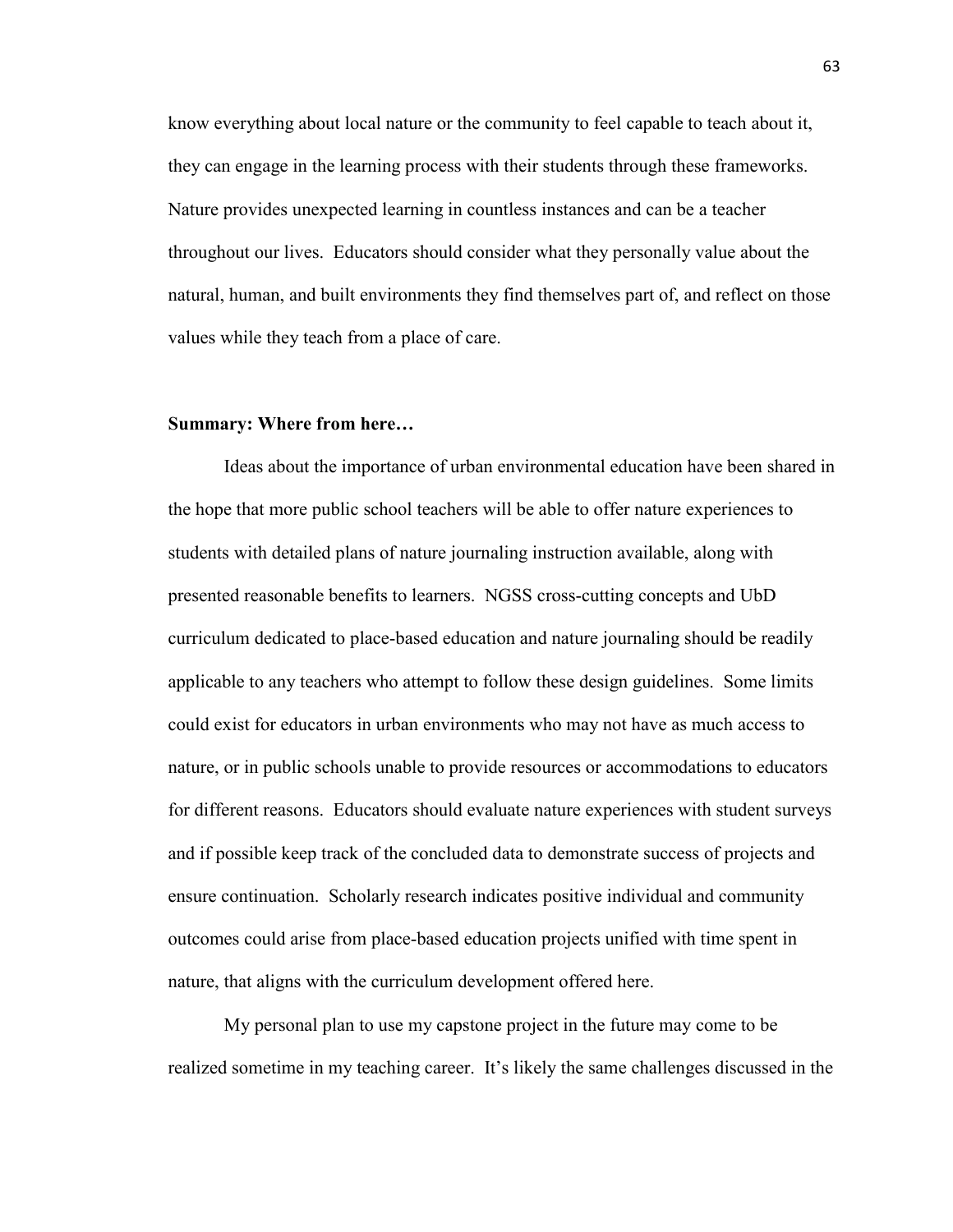know everything about local nature or the community to feel capable to teach about it, they can engage in the learning process with their students through these frameworks. Nature provides unexpected learning in countless instances and can be a teacher throughout our lives. Educators should consider what they personally value about the natural, human, and built environments they find themselves part of, and reflect on those values while they teach from a place of care.

#### **Summary: Where from here…**

Ideas about the importance of urban environmental education have been shared in the hope that more public school teachers will be able to offer nature experiences to students with detailed plans of nature journaling instruction available, along with presented reasonable benefits to learners. NGSS cross-cutting concepts and UbD curriculum dedicated to place-based education and nature journaling should be readily applicable to any teachers who attempt to follow these design guidelines. Some limits could exist for educators in urban environments who may not have as much access to nature, or in public schools unable to provide resources or accommodations to educators for different reasons. Educators should evaluate nature experiences with student surveys and if possible keep track of the concluded data to demonstrate success of projects and ensure continuation. Scholarly research indicates positive individual and community outcomes could arise from place-based education projects unified with time spent in nature, that aligns with the curriculum development offered here.

My personal plan to use my capstone project in the future may come to be realized sometime in my teaching career. It's likely the same challenges discussed in the